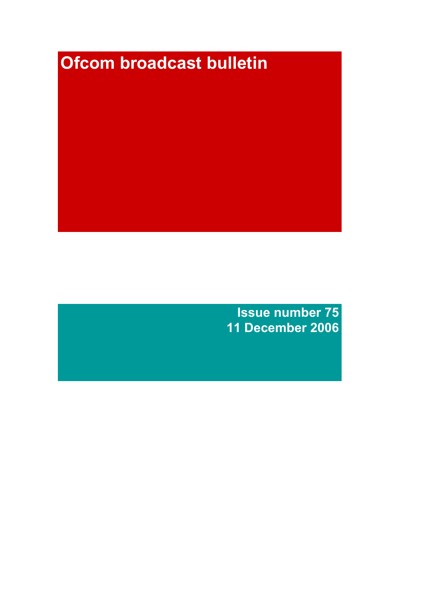# **Ofcom broadcast bulletin**

Issue number 75 11 December 2006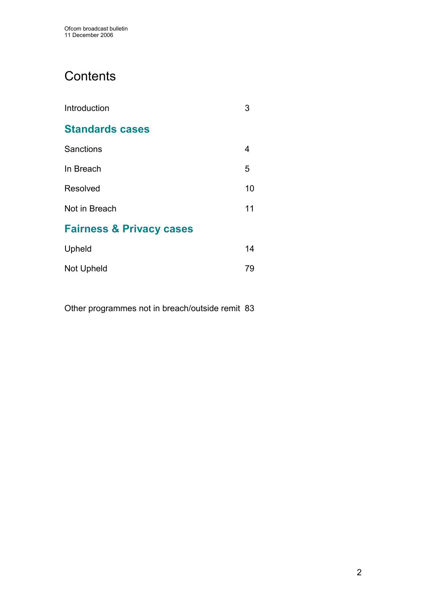# **Contents**

| Introduction                        | З  |
|-------------------------------------|----|
| <b>Standards cases</b>              |    |
| Sanctions                           | 4  |
| In Breach                           | 5  |
| Resolved                            | 10 |
| Not in Breach                       | 11 |
| <b>Fairness &amp; Privacy cases</b> |    |
| Upheld                              | 14 |

Other programmes not in breach/outside remit 83

Not Upheld 79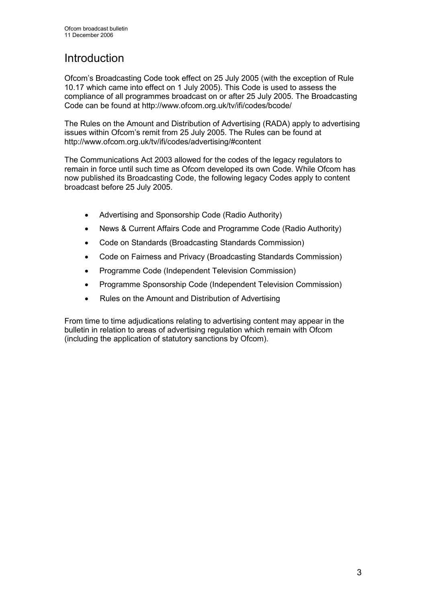# **Introduction**

Ofcom's Broadcasting Code took effect on 25 July 2005 (with the exception of Rule 10.17 which came into effect on 1 July 2005). This Code is used to assess the compliance of all programmes broadcast on or after 25 July 2005. The Broadcasting Code can be found at http://www.ofcom.org.uk/tv/ifi/codes/bcode/

The Rules on the Amount and Distribution of Advertising (RADA) apply to advertising issues within Ofcom's remit from 25 July 2005. The Rules can be found at http://www.ofcom.org.uk/tv/ifi/codes/advertising/#content

The Communications Act 2003 allowed for the codes of the legacy regulators to remain in force until such time as Ofcom developed its own Code. While Ofcom has now published its Broadcasting Code, the following legacy Codes apply to content broadcast before 25 July 2005.

- Advertising and Sponsorship Code (Radio Authority)
- News & Current Affairs Code and Programme Code (Radio Authority)
- Code on Standards (Broadcasting Standards Commission)
- Code on Fairness and Privacy (Broadcasting Standards Commission)
- Programme Code (Independent Television Commission)
- Programme Sponsorship Code (Independent Television Commission)
- Rules on the Amount and Distribution of Advertising

From time to time adjudications relating to advertising content may appear in the bulletin in relation to areas of advertising regulation which remain with Ofcom (including the application of statutory sanctions by Ofcom).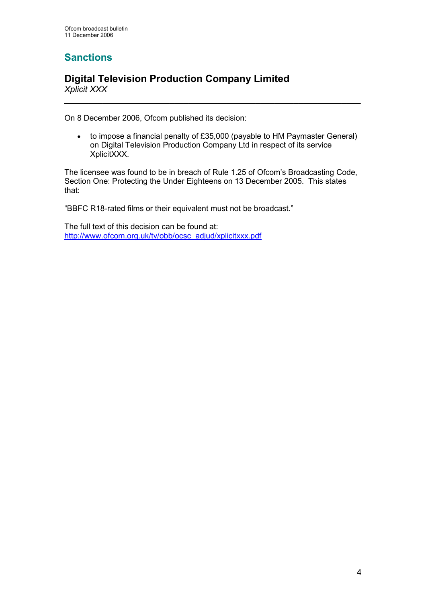# **Sanctions**

# Digital Television Production Company Limited Xplicit XXX

On 8 December 2006, Ofcom published its decision:

• to impose a financial penalty of £35,000 (payable to HM Paymaster General) on Digital Television Production Company Ltd in respect of its service XplicitXXX.

 $\overline{\phantom{a}}$  , and the contribution of the contribution of the contribution of the contribution of the contribution of the contribution of the contribution of the contribution of the contribution of the contribution of the

The licensee was found to be in breach of Rule 1.25 of Ofcom's Broadcasting Code, Section One: Protecting the Under Eighteens on 13 December 2005. This states that:

"BBFC R18-rated films or their equivalent must not be broadcast."

The full text of this decision can be found at: http://www.ofcom.org.uk/tv/obb/ocsc\_adjud/xplicitxxx.pdf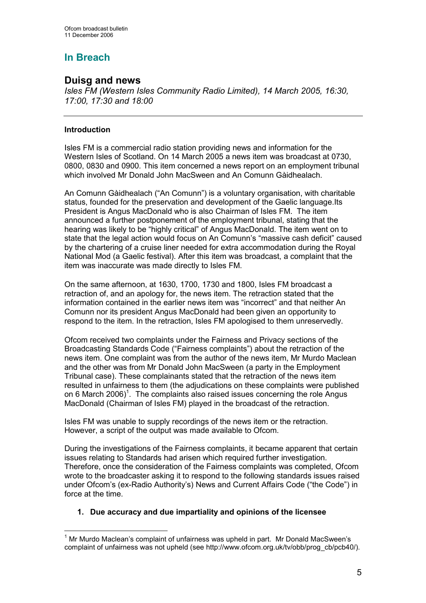# In Breach

# Duisg and news

Isles FM (Western Isles Community Radio Limited), 14 March 2005, 16:30, 17:00, 17:30 and 18:00

# Introduction

Isles FM is a commercial radio station providing news and information for the Western Isles of Scotland. On 14 March 2005 a news item was broadcast at 0730, 0800, 0830 and 0900. This item concerned a news report on an employment tribunal which involved Mr Donald John MacSween and An Comunn Gàidhealach.

An Comunn Gàidhealach ("An Comunn") is a voluntary organisation, with charitable status, founded for the preservation and development of the Gaelic language.Its President is Angus MacDonald who is also Chairman of Isles FM. The item announced a further postponement of the employment tribunal, stating that the hearing was likely to be "highly critical" of Angus MacDonald. The item went on to state that the legal action would focus on An Comunn's "massive cash deficit" caused by the chartering of a cruise liner needed for extra accommodation during the Royal National Mod (a Gaelic festival). After this item was broadcast, a complaint that the item was inaccurate was made directly to Isles FM.

On the same afternoon, at 1630, 1700, 1730 and 1800, Isles FM broadcast a retraction of, and an apology for, the news item. The retraction stated that the information contained in the earlier news item was "incorrect" and that neither An Comunn nor its president Angus MacDonald had been given an opportunity to respond to the item. In the retraction, Isles FM apologised to them unreservedly.

Ofcom received two complaints under the Fairness and Privacy sections of the Broadcasting Standards Code ("Fairness complaints") about the retraction of the news item. One complaint was from the author of the news item, Mr Murdo Maclean and the other was from Mr Donald John MacSween (a party in the Employment Tribunal case). These complainants stated that the retraction of the news item resulted in unfairness to them (the adjudications on these complaints were published on 6 March 2006)<sup>1</sup>. The complaints also raised issues concerning the role Angus MacDonald (Chairman of Isles FM) played in the broadcast of the retraction.

Isles FM was unable to supply recordings of the news item or the retraction. However, a script of the output was made available to Ofcom.

During the investigations of the Fairness complaints, it became apparent that certain issues relating to Standards had arisen which required further investigation. Therefore, once the consideration of the Fairness complaints was completed, Ofcom wrote to the broadcaster asking it to respond to the following standards issues raised under Ofcom's (ex-Radio Authority's) News and Current Affairs Code ("the Code") in force at the time.

# 1. Due accuracy and due impartiality and opinions of the licensee

 $\overline{\phantom{a}}$ <sup>1</sup> Mr Murdo Maclean's complaint of unfairness was upheld in part. Mr Donald MacSween's complaint of unfairness was not upheld (see http://www.ofcom.org.uk/tv/obb/prog\_cb/pcb40/).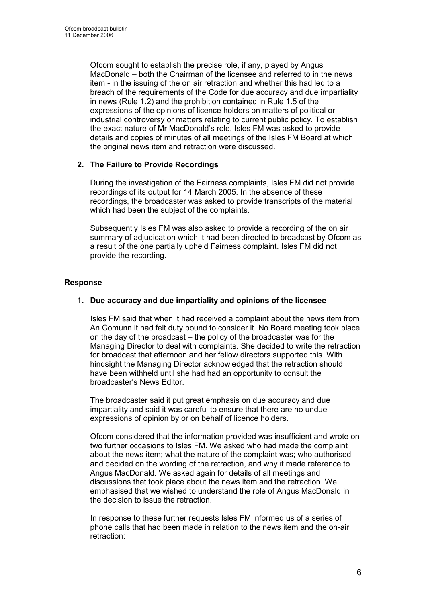Ofcom sought to establish the precise role, if any, played by Angus MacDonald – both the Chairman of the licensee and referred to in the news item - in the issuing of the on air retraction and whether this had led to a breach of the requirements of the Code for due accuracy and due impartiality in news (Rule 1.2) and the prohibition contained in Rule 1.5 of the expressions of the opinions of licence holders on matters of political or industrial controversy or matters relating to current public policy. To establish the exact nature of Mr MacDonald's role, Isles FM was asked to provide details and copies of minutes of all meetings of the Isles FM Board at which the original news item and retraction were discussed.

# 2. The Failure to Provide Recordings

During the investigation of the Fairness complaints, Isles FM did not provide recordings of its output for 14 March 2005. In the absence of these recordings, the broadcaster was asked to provide transcripts of the material which had been the subject of the complaints.

Subsequently Isles FM was also asked to provide a recording of the on air summary of adjudication which it had been directed to broadcast by Ofcom as a result of the one partially upheld Fairness complaint. Isles FM did not provide the recording.

# Response

# 1. Due accuracy and due impartiality and opinions of the licensee

Isles FM said that when it had received a complaint about the news item from An Comunn it had felt duty bound to consider it. No Board meeting took place on the day of the broadcast – the policy of the broadcaster was for the Managing Director to deal with complaints. She decided to write the retraction for broadcast that afternoon and her fellow directors supported this. With hindsight the Managing Director acknowledged that the retraction should have been withheld until she had had an opportunity to consult the broadcaster's News Editor.

The broadcaster said it put great emphasis on due accuracy and due impartiality and said it was careful to ensure that there are no undue expressions of opinion by or on behalf of licence holders.

Ofcom considered that the information provided was insufficient and wrote on two further occasions to Isles FM. We asked who had made the complaint about the news item; what the nature of the complaint was; who authorised and decided on the wording of the retraction, and why it made reference to Angus MacDonald. We asked again for details of all meetings and discussions that took place about the news item and the retraction. We emphasised that we wished to understand the role of Angus MacDonald in the decision to issue the retraction.

In response to these further requests Isles FM informed us of a series of phone calls that had been made in relation to the news item and the on-air retraction: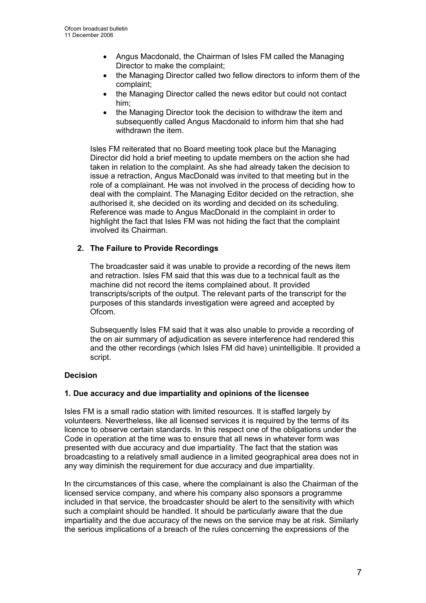- Angus Macdonald, the Chairman of Isles FM called the Managing Director to make the complaint;
- the Managing Director called two fellow directors to inform them of the complaint;
- the Managing Director called the news editor but could not contact him;
- the Managing Director took the decision to withdraw the item and subsequently called Angus Macdonald to inform him that she had withdrawn the item.

Isles FM reiterated that no Board meeting took place but the Managing Director did hold a brief meeting to update members on the action she had taken in relation to the complaint. As she had already taken the decision to issue a retraction, Angus MacDonald was invited to that meeting but in the role of a complainant. He was not involved in the process of deciding how to deal with the complaint. The Managing Editor decided on the retraction, she authorised it, she decided on its wording and decided on its scheduling. Reference was made to Angus MacDonald in the complaint in order to highlight the fact that Isles FM was not hiding the fact that the complaint involved its Chairman.

# 2. The Failure to Provide Recordings

The broadcaster said it was unable to provide a recording of the news item and retraction. Isles FM said that this was due to a technical fault as the machine did not record the items complained about. It provided transcripts/scripts of the output. The relevant parts of the transcript for the purposes of this standards investigation were agreed and accepted by Ofcom.

Subsequently Isles FM said that it was also unable to provide a recording of the on air summary of adjudication as severe interference had rendered this and the other recordings (which Isles FM did have) unintelligible. It provided a script.

# Decision

# 1. Due accuracy and due impartiality and opinions of the licensee

Isles FM is a small radio station with limited resources. It is staffed largely by volunteers. Nevertheless, like all licensed services it is required by the terms of its licence to observe certain standards. In this respect one of the obligations under the Code in operation at the time was to ensure that all news in whatever form was presented with due accuracy and due impartiality. The fact that the station was broadcasting to a relatively small audience in a limited geographical area does not in any way diminish the requirement for due accuracy and due impartiality.

In the circumstances of this case, where the complainant is also the Chairman of the licensed service company, and where his company also sponsors a programme included in that service, the broadcaster should be alert to the sensitivity with which such a complaint should be handled. It should be particularly aware that the due impartiality and the due accuracy of the news on the service may be at risk. Similarly the serious implications of a breach of the rules concerning the expressions of the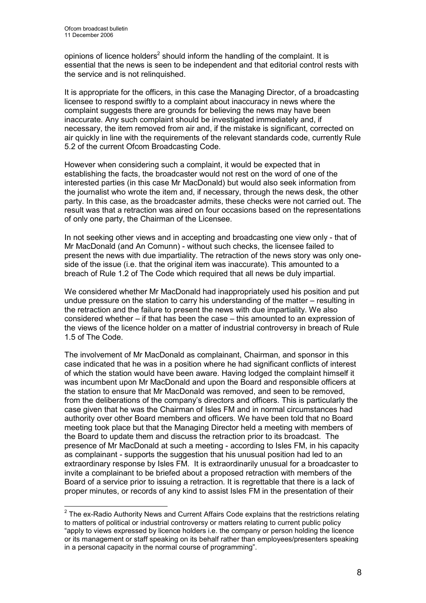opinions of licence holders<sup>2</sup> should inform the handling of the complaint. It is essential that the news is seen to be independent and that editorial control rests with the service and is not relinquished.

It is appropriate for the officers, in this case the Managing Director, of a broadcasting licensee to respond swiftly to a complaint about inaccuracy in news where the complaint suggests there are grounds for believing the news may have been inaccurate. Any such complaint should be investigated immediately and, if necessary, the item removed from air and, if the mistake is significant, corrected on air quickly in line with the requirements of the relevant standards code, currently Rule 5.2 of the current Ofcom Broadcasting Code.

However when considering such a complaint, it would be expected that in establishing the facts, the broadcaster would not rest on the word of one of the interested parties (in this case Mr MacDonald) but would also seek information from the journalist who wrote the item and, if necessary, through the news desk, the other party. In this case, as the broadcaster admits, these checks were not carried out. The result was that a retraction was aired on four occasions based on the representations of only one party, the Chairman of the Licensee.

In not seeking other views and in accepting and broadcasting one view only - that of Mr MacDonald (and An Comunn) - without such checks, the licensee failed to present the news with due impartiality. The retraction of the news story was only oneside of the issue (i.e. that the original item was inaccurate). This amounted to a breach of Rule 1.2 of The Code which required that all news be duly impartial.

We considered whether Mr MacDonald had inappropriately used his position and put undue pressure on the station to carry his understanding of the matter – resulting in the retraction and the failure to present the news with due impartiality. We also considered whether – if that has been the case – this amounted to an expression of the views of the licence holder on a matter of industrial controversy in breach of Rule 1.5 of The Code.

The involvement of Mr MacDonald as complainant, Chairman, and sponsor in this case indicated that he was in a position where he had significant conflicts of interest of which the station would have been aware. Having lodged the complaint himself it was incumbent upon Mr MacDonald and upon the Board and responsible officers at the station to ensure that Mr MacDonald was removed, and seen to be removed, from the deliberations of the company's directors and officers. This is particularly the case given that he was the Chairman of Isles FM and in normal circumstances had authority over other Board members and officers. We have been told that no Board meeting took place but that the Managing Director held a meeting with members of the Board to update them and discuss the retraction prior to its broadcast. The presence of Mr MacDonald at such a meeting - according to Isles FM, in his capacity as complainant - supports the suggestion that his unusual position had led to an extraordinary response by Isles FM. It is extraordinarily unusual for a broadcaster to invite a complainant to be briefed about a proposed retraction with members of the Board of a service prior to issuing a retraction. It is regrettable that there is a lack of proper minutes, or records of any kind to assist Isles FM in the presentation of their

<sup>————————————————————&</sup>lt;br><sup>2</sup> The ex-Radio Authority News and Current Affairs Code explains that the restrictions relating to matters of political or industrial controversy or matters relating to current public policy "apply to views expressed by licence holders i.e. the company or person holding the licence or its management or staff speaking on its behalf rather than employees/presenters speaking in a personal capacity in the normal course of programming".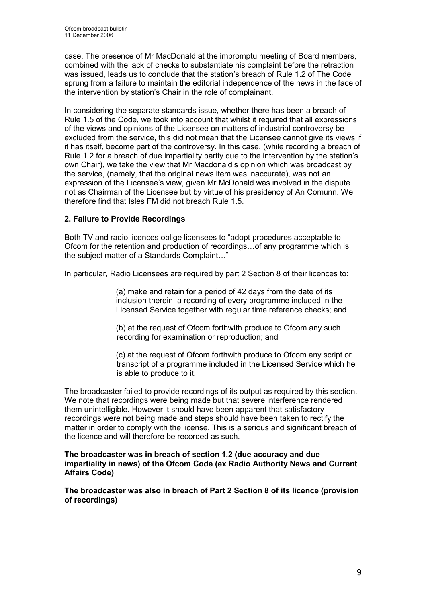case. The presence of Mr MacDonald at the impromptu meeting of Board members, combined with the lack of checks to substantiate his complaint before the retraction was issued, leads us to conclude that the station's breach of Rule 1.2 of The Code sprung from a failure to maintain the editorial independence of the news in the face of the intervention by station's Chair in the role of complainant.

In considering the separate standards issue, whether there has been a breach of Rule 1.5 of the Code, we took into account that whilst it required that all expressions of the views and opinions of the Licensee on matters of industrial controversy be excluded from the service, this did not mean that the Licensee cannot give its views if it has itself, become part of the controversy. In this case, (while recording a breach of Rule 1.2 for a breach of due impartiality partly due to the intervention by the station's own Chair), we take the view that Mr Macdonald's opinion which was broadcast by the service, (namely, that the original news item was inaccurate), was not an expression of the Licensee's view, given Mr McDonald was involved in the dispute not as Chairman of the Licensee but by virtue of his presidency of An Comunn. We therefore find that Isles FM did not breach Rule 1.5.

# 2. Failure to Provide Recordings

Both TV and radio licences oblige licensees to "adopt procedures acceptable to Ofcom for the retention and production of recordings…of any programme which is the subject matter of a Standards Complaint…"

In particular, Radio Licensees are required by part 2 Section 8 of their licences to:

(a) make and retain for a period of 42 days from the date of its inclusion therein, a recording of every programme included in the Licensed Service together with regular time reference checks; and

 (b) at the request of Ofcom forthwith produce to Ofcom any such recording for examination or reproduction; and

 (c) at the request of Ofcom forthwith produce to Ofcom any script or transcript of a programme included in the Licensed Service which he is able to produce to it.

The broadcaster failed to provide recordings of its output as required by this section. We note that recordings were being made but that severe interference rendered them unintelligible. However it should have been apparent that satisfactory recordings were not being made and steps should have been taken to rectify the matter in order to comply with the license. This is a serious and significant breach of the licence and will therefore be recorded as such.

### The broadcaster was in breach of section 1.2 (due accuracy and due impartiality in news) of the Ofcom Code (ex Radio Authority News and Current Affairs Code)

The broadcaster was also in breach of Part 2 Section 8 of its licence (provision of recordings)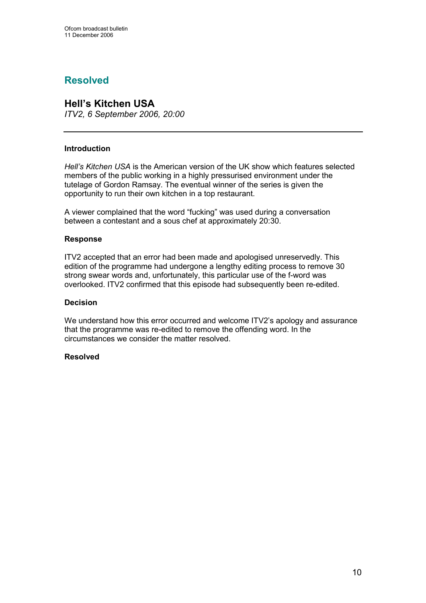# Resolved

# Hell's Kitchen USA

ITV2, 6 September 2006, 20:00

# Introduction

Hell's Kitchen USA is the American version of the UK show which features selected members of the public working in a highly pressurised environment under the tutelage of Gordon Ramsay. The eventual winner of the series is given the opportunity to run their own kitchen in a top restaurant.

A viewer complained that the word "fucking" was used during a conversation between a contestant and a sous chef at approximately 20:30.

### Response

ITV2 accepted that an error had been made and apologised unreservedly. This edition of the programme had undergone a lengthy editing process to remove 30 strong swear words and, unfortunately, this particular use of the f-word was overlooked. ITV2 confirmed that this episode had subsequently been re-edited.

### Decision

We understand how this error occurred and welcome ITV2's apology and assurance that the programme was re-edited to remove the offending word. In the circumstances we consider the matter resolved.

# Resolved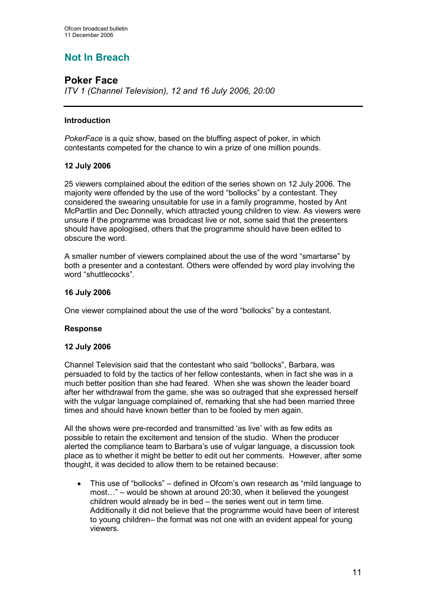# Not In Breach

# Poker Face

ITV 1 (Channel Television), 12 and 16 July 2006, 20:00

# Introduction

PokerFace is a quiz show, based on the bluffing aspect of poker, in which contestants competed for the chance to win a prize of one million pounds.

# 12 July 2006

25 viewers complained about the edition of the series shown on 12 July 2006. The majority were offended by the use of the word "bollocks" by a contestant. They considered the swearing unsuitable for use in a family programme, hosted by Ant McPartlin and Dec Donnelly, which attracted young children to view. As viewers were unsure if the programme was broadcast live or not, some said that the presenters should have apologised, others that the programme should have been edited to obscure the word.

A smaller number of viewers complained about the use of the word "smartarse" by both a presenter and a contestant. Others were offended by word play involving the word "shuttlecocks".

# 16 July 2006

One viewer complained about the use of the word "bollocks" by a contestant.

# Response

# 12 July 2006

Channel Television said that the contestant who said "bollocks", Barbara, was persuaded to fold by the tactics of her fellow contestants, when in fact she was in a much better position than she had feared. When she was shown the leader board after her withdrawal from the game, she was so outraged that she expressed herself with the vulgar language complained of, remarking that she had been married three times and should have known better than to be fooled by men again.

All the shows were pre-recorded and transmitted 'as live' with as few edits as possible to retain the excitement and tension of the studio. When the producer alerted the compliance team to Barbara's use of vulgar language, a discussion took place as to whether it might be better to edit out her comments. However, after some thought, it was decided to allow them to be retained because:

• This use of "bollocks" – defined in Ofcom's own research as "mild language to most…" – would be shown at around 20:30, when it believed the youngest children would already be in bed – the series went out in term time. Additionally it did not believe that the programme would have been of interest to young children– the format was not one with an evident appeal for young viewers.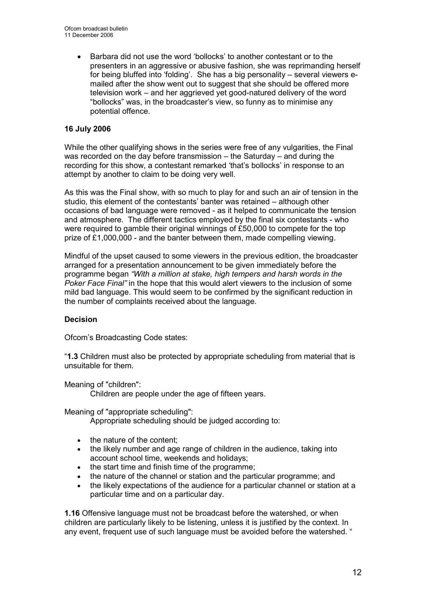• Barbara did not use the word 'bollocks' to another contestant or to the presenters in an aggressive or abusive fashion, she was reprimanding herself for being bluffed into 'folding'. She has a big personality – several viewers emailed after the show went out to suggest that she should be offered more television work – and her aggrieved yet good-natured delivery of the word "bollocks" was, in the broadcaster's view, so funny as to minimise any potential offence.

# 16 July 2006

While the other qualifying shows in the series were free of any vulgarities, the Final was recorded on the day before transmission – the Saturday – and during the recording for this show, a contestant remarked 'that's bollocks' in response to an attempt by another to claim to be doing very well.

As this was the Final show, with so much to play for and such an air of tension in the studio, this element of the contestants' banter was retained – although other occasions of bad language were removed - as it helped to communicate the tension and atmosphere. The different tactics employed by the final six contestants - who were required to gamble their original winnings of £50,000 to compete for the top prize of £1,000,000 - and the banter between them, made compelling viewing.

Mindful of the upset caused to some viewers in the previous edition, the broadcaster arranged for a presentation announcement to be given immediately before the programme began "With a million at stake, high tempers and harsh words in the Poker Face Final" in the hope that this would alert viewers to the inclusion of some mild bad language. This would seem to be confirmed by the significant reduction in the number of complaints received about the language.

# **Decision**

Ofcom's Broadcasting Code states:

"1.3 Children must also be protected by appropriate scheduling from material that is unsuitable for them.

Meaning of "children":

Children are people under the age of fifteen years.

Meaning of "appropriate scheduling":

Appropriate scheduling should be judged according to:

- the nature of the content:
- the likely number and age range of children in the audience, taking into account school time, weekends and holidays;
- the start time and finish time of the programme;
- the nature of the channel or station and the particular programme; and
- the likely expectations of the audience for a particular channel or station at a particular time and on a particular day.

1.16 Offensive language must not be broadcast before the watershed, or when children are particularly likely to be listening, unless it is justified by the context. In any event, frequent use of such language must be avoided before the watershed. "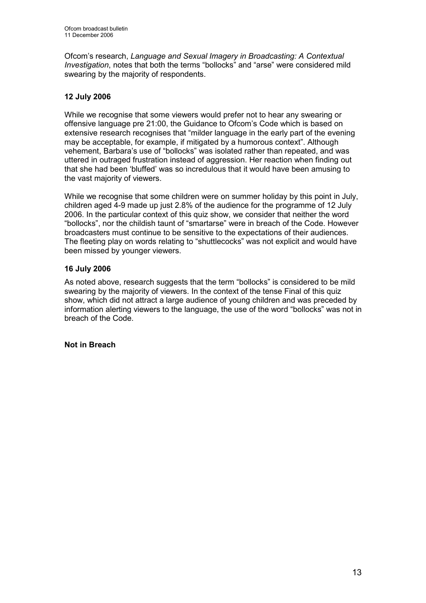Ofcom's research, Language and Sexual Imagery in Broadcasting: A Contextual Investigation, notes that both the terms "bollocks" and "arse" were considered mild swearing by the majority of respondents.

# 12 July 2006

While we recognise that some viewers would prefer not to hear any swearing or offensive language pre 21:00, the Guidance to Ofcom's Code which is based on extensive research recognises that "milder language in the early part of the evening may be acceptable, for example, if mitigated by a humorous context". Although vehement, Barbara's use of "bollocks" was isolated rather than repeated, and was uttered in outraged frustration instead of aggression. Her reaction when finding out that she had been 'bluffed' was so incredulous that it would have been amusing to the vast majority of viewers.

While we recognise that some children were on summer holiday by this point in July, children aged 4-9 made up just 2.8% of the audience for the programme of 12 July 2006. In the particular context of this quiz show, we consider that neither the word "bollocks", nor the childish taunt of "smartarse" were in breach of the Code. However broadcasters must continue to be sensitive to the expectations of their audiences. The fleeting play on words relating to "shuttlecocks" was not explicit and would have been missed by younger viewers.

# 16 July 2006

As noted above, research suggests that the term "bollocks" is considered to be mild swearing by the majority of viewers. In the context of the tense Final of this quiz show, which did not attract a large audience of young children and was preceded by information alerting viewers to the language, the use of the word "bollocks" was not in breach of the Code.

Not in Breach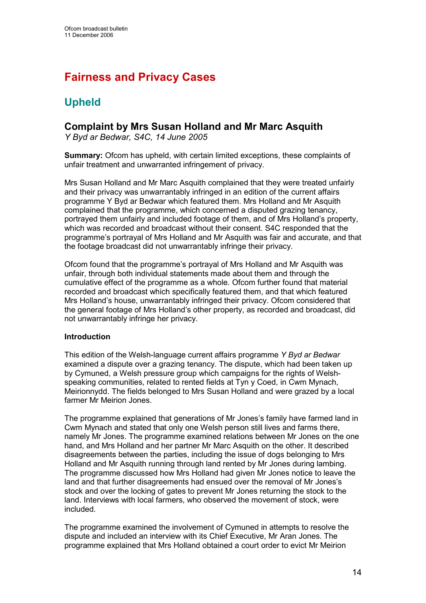# Fairness and Privacy Cases

# Upheld

# Complaint by Mrs Susan Holland and Mr Marc Asquith

Y Byd ar Bedwar, S4C, 14 June 2005

Summary: Ofcom has upheld, with certain limited exceptions, these complaints of unfair treatment and unwarranted infringement of privacy.

Mrs Susan Holland and Mr Marc Asquith complained that they were treated unfairly and their privacy was unwarrantably infringed in an edition of the current affairs programme Y Byd ar Bedwar which featured them. Mrs Holland and Mr Asquith complained that the programme, which concerned a disputed grazing tenancy, portrayed them unfairly and included footage of them, and of Mrs Holland's property, which was recorded and broadcast without their consent. S4C responded that the programme's portrayal of Mrs Holland and Mr Asquith was fair and accurate, and that the footage broadcast did not unwarrantably infringe their privacy.

Ofcom found that the programme's portrayal of Mrs Holland and Mr Asquith was unfair, through both individual statements made about them and through the cumulative effect of the programme as a whole. Ofcom further found that material recorded and broadcast which specifically featured them, and that which featured Mrs Holland's house, unwarrantably infringed their privacy. Ofcom considered that the general footage of Mrs Holland's other property, as recorded and broadcast, did not unwarrantably infringe her privacy.

# Introduction

This edition of the Welsh-language current affairs programme Y Byd ar Bedwar examined a dispute over a grazing tenancy. The dispute, which had been taken up by Cymuned, a Welsh pressure group which campaigns for the rights of Welshspeaking communities, related to rented fields at Tyn y Coed, in Cwm Mynach, Meirionnydd. The fields belonged to Mrs Susan Holland and were grazed by a local farmer Mr Meirion Jones.

The programme explained that generations of Mr Jones's family have farmed land in Cwm Mynach and stated that only one Welsh person still lives and farms there, namely Mr Jones. The programme examined relations between Mr Jones on the one hand, and Mrs Holland and her partner Mr Marc Asquith on the other. It described disagreements between the parties, including the issue of dogs belonging to Mrs Holland and Mr Asquith running through land rented by Mr Jones during lambing. The programme discussed how Mrs Holland had given Mr Jones notice to leave the land and that further disagreements had ensued over the removal of Mr Jones's stock and over the locking of gates to prevent Mr Jones returning the stock to the land. Interviews with local farmers, who observed the movement of stock, were included.

The programme examined the involvement of Cymuned in attempts to resolve the dispute and included an interview with its Chief Executive, Mr Aran Jones. The programme explained that Mrs Holland obtained a court order to evict Mr Meirion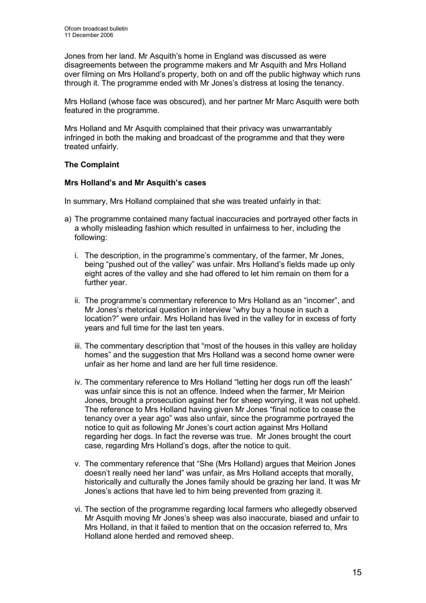Jones from her land. Mr Asquith's home in England was discussed as were disagreements between the programme makers and Mr Asquith and Mrs Holland over filming on Mrs Holland's property, both on and off the public highway which runs through it. The programme ended with Mr Jones's distress at losing the tenancy.

Mrs Holland (whose face was obscured), and her partner Mr Marc Asquith were both featured in the programme.

Mrs Holland and Mr Asquith complained that their privacy was unwarrantably infringed in both the making and broadcast of the programme and that they were treated unfairly.

# The Complaint

# Mrs Holland's and Mr Asquith's cases

In summary, Mrs Holland complained that she was treated unfairly in that:

- a) The programme contained many factual inaccuracies and portrayed other facts in a wholly misleading fashion which resulted in unfairness to her, including the following:
	- i. The description, in the programme's commentary, of the farmer, Mr Jones, being "pushed out of the valley" was unfair. Mrs Holland's fields made up only eight acres of the valley and she had offered to let him remain on them for a further year.
	- ii. The programme's commentary reference to Mrs Holland as an "incomer", and Mr Jones's rhetorical question in interview "why buy a house in such a location?" were unfair. Mrs Holland has lived in the valley for in excess of forty years and full time for the last ten years.
	- iii. The commentary description that "most of the houses in this valley are holiday homes" and the suggestion that Mrs Holland was a second home owner were unfair as her home and land are her full time residence.
	- iv. The commentary reference to Mrs Holland "letting her dogs run off the leash" was unfair since this is not an offence. Indeed when the farmer, Mr Meirion Jones, brought a prosecution against her for sheep worrying, it was not upheld. The reference to Mrs Holland having given Mr Jones "final notice to cease the tenancy over a year ago" was also unfair, since the programme portrayed the notice to quit as following Mr Jones's court action against Mrs Holland regarding her dogs. In fact the reverse was true. Mr Jones brought the court case, regarding Mrs Holland's dogs, after the notice to quit.
	- v. The commentary reference that "She (Mrs Holland) argues that Meirion Jones doesn't really need her land" was unfair, as Mrs Holland accepts that morally, historically and culturally the Jones family should be grazing her land. It was Mr Jones's actions that have led to him being prevented from grazing it.
	- vi. The section of the programme regarding local farmers who allegedly observed Mr Asquith moving Mr Jones's sheep was also inaccurate, biased and unfair to Mrs Holland, in that it failed to mention that on the occasion referred to, Mrs Holland alone herded and removed sheep.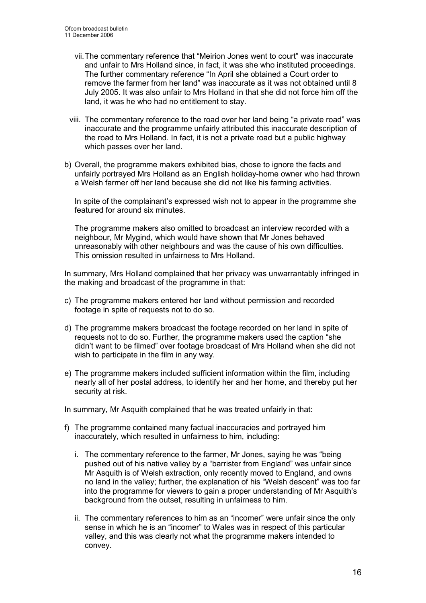- vii. The commentary reference that "Meirion Jones went to court" was inaccurate and unfair to Mrs Holland since, in fact, it was she who instituted proceedings. The further commentary reference "In April she obtained a Court order to remove the farmer from her land" was inaccurate as it was not obtained until 8 July 2005. It was also unfair to Mrs Holland in that she did not force him off the land, it was he who had no entitlement to stay.
- viii. The commentary reference to the road over her land being "a private road" was inaccurate and the programme unfairly attributed this inaccurate description of the road to Mrs Holland. In fact, it is not a private road but a public highway which passes over her land.
- b) Overall, the programme makers exhibited bias, chose to ignore the facts and unfairly portrayed Mrs Holland as an English holiday-home owner who had thrown a Welsh farmer off her land because she did not like his farming activities.

In spite of the complainant's expressed wish not to appear in the programme she featured for around six minutes.

The programme makers also omitted to broadcast an interview recorded with a neighbour, Mr Mygind, which would have shown that Mr Jones behaved unreasonably with other neighbours and was the cause of his own difficulties. This omission resulted in unfairness to Mrs Holland.

In summary, Mrs Holland complained that her privacy was unwarrantably infringed in the making and broadcast of the programme in that:

- c) The programme makers entered her land without permission and recorded footage in spite of requests not to do so.
- d) The programme makers broadcast the footage recorded on her land in spite of requests not to do so. Further, the programme makers used the caption "she didn't want to be filmed" over footage broadcast of Mrs Holland when she did not wish to participate in the film in any way.
- e) The programme makers included sufficient information within the film, including nearly all of her postal address, to identify her and her home, and thereby put her security at risk.

In summary, Mr Asquith complained that he was treated unfairly in that:

- f) The programme contained many factual inaccuracies and portrayed him inaccurately, which resulted in unfairness to him, including:
	- i. The commentary reference to the farmer, Mr Jones, saying he was "being pushed out of his native valley by a "barrister from England" was unfair since Mr Asquith is of Welsh extraction, only recently moved to England, and owns no land in the valley; further, the explanation of his "Welsh descent" was too far into the programme for viewers to gain a proper understanding of Mr Asquith's background from the outset, resulting in unfairness to him.
	- ii. The commentary references to him as an "incomer" were unfair since the only sense in which he is an "incomer" to Wales was in respect of this particular valley, and this was clearly not what the programme makers intended to convey.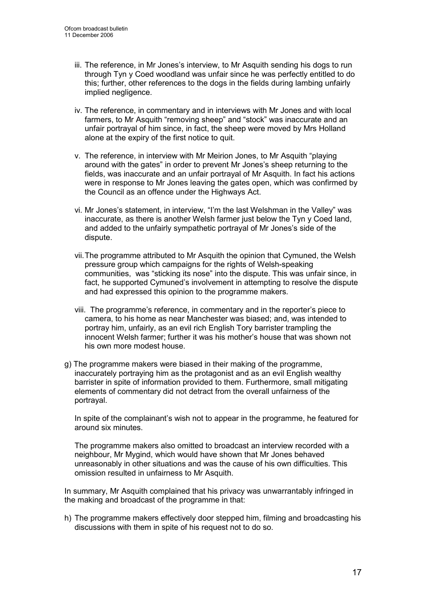- iii. The reference, in Mr Jones's interview, to Mr Asquith sending his dogs to run through Tyn y Coed woodland was unfair since he was perfectly entitled to do this; further, other references to the dogs in the fields during lambing unfairly implied negligence.
- iv. The reference, in commentary and in interviews with Mr Jones and with local farmers, to Mr Asquith "removing sheep" and "stock" was inaccurate and an unfair portrayal of him since, in fact, the sheep were moved by Mrs Holland alone at the expiry of the first notice to quit.
- v. The reference, in interview with Mr Meirion Jones, to Mr Asquith "playing around with the gates" in order to prevent Mr Jones's sheep returning to the fields, was inaccurate and an unfair portrayal of Mr Asquith. In fact his actions were in response to Mr Jones leaving the gates open, which was confirmed by the Council as an offence under the Highways Act.
- vi. Mr Jones's statement, in interview, "I'm the last Welshman in the Valley" was inaccurate, as there is another Welsh farmer just below the Tyn y Coed land, and added to the unfairly sympathetic portrayal of Mr Jones's side of the dispute.
- vii. The programme attributed to Mr Asquith the opinion that Cymuned, the Welsh pressure group which campaigns for the rights of Welsh-speaking communities, was "sticking its nose" into the dispute. This was unfair since, in fact, he supported Cymuned's involvement in attempting to resolve the dispute and had expressed this opinion to the programme makers.
- viii. The programme's reference, in commentary and in the reporter's piece to camera, to his home as near Manchester was biased; and, was intended to portray him, unfairly, as an evil rich English Tory barrister trampling the innocent Welsh farmer; further it was his mother's house that was shown not his own more modest house.
- g) The programme makers were biased in their making of the programme, inaccurately portraying him as the protagonist and as an evil English wealthy barrister in spite of information provided to them. Furthermore, small mitigating elements of commentary did not detract from the overall unfairness of the portrayal.

In spite of the complainant's wish not to appear in the programme, he featured for around six minutes.

The programme makers also omitted to broadcast an interview recorded with a neighbour, Mr Mygind, which would have shown that Mr Jones behaved unreasonably in other situations and was the cause of his own difficulties. This omission resulted in unfairness to Mr Asquith.

In summary, Mr Asquith complained that his privacy was unwarrantably infringed in the making and broadcast of the programme in that:

h) The programme makers effectively door stepped him, filming and broadcasting his discussions with them in spite of his request not to do so.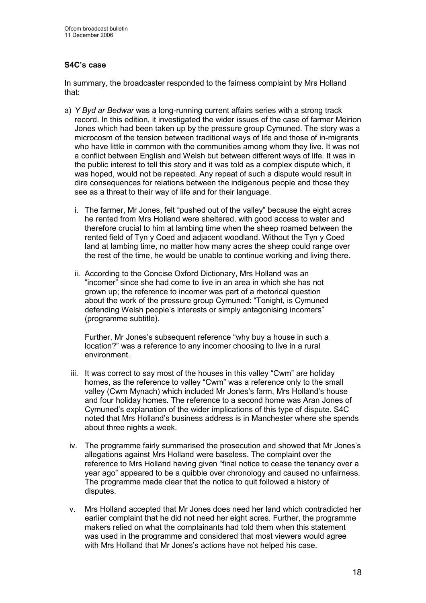# S4C's case

In summary, the broadcaster responded to the fairness complaint by Mrs Holland that:

- a) Y Byd ar Bedwar was a long-running current affairs series with a strong track record. In this edition, it investigated the wider issues of the case of farmer Meirion Jones which had been taken up by the pressure group Cymuned. The story was a microcosm of the tension between traditional ways of life and those of in-migrants who have little in common with the communities among whom they live. It was not a conflict between English and Welsh but between different ways of life. It was in the public interest to tell this story and it was told as a complex dispute which, it was hoped, would not be repeated. Any repeat of such a dispute would result in dire consequences for relations between the indigenous people and those they see as a threat to their way of life and for their language.
	- i. The farmer, Mr Jones, felt "pushed out of the valley" because the eight acres he rented from Mrs Holland were sheltered, with good access to water and therefore crucial to him at lambing time when the sheep roamed between the rented field of Tyn y Coed and adjacent woodland. Without the Tyn y Coed land at lambing time, no matter how many acres the sheep could range over the rest of the time, he would be unable to continue working and living there.
	- ii. According to the Concise Oxford Dictionary, Mrs Holland was an "incomer" since she had come to live in an area in which she has not grown up; the reference to incomer was part of a rhetorical question about the work of the pressure group Cymuned: "Tonight, is Cymuned defending Welsh people's interests or simply antagonising incomers" (programme subtitle).

Further, Mr Jones's subsequent reference "why buy a house in such a location?" was a reference to any incomer choosing to live in a rural environment.

- iii. It was correct to say most of the houses in this valley "Cwm" are holiday homes, as the reference to valley "Cwm" was a reference only to the small valley (Cwm Mynach) which included Mr Jones's farm, Mrs Holland's house and four holiday homes. The reference to a second home was Aran Jones of Cymuned's explanation of the wider implications of this type of dispute. S4C noted that Mrs Holland's business address is in Manchester where she spends about three nights a week.
- iv. The programme fairly summarised the prosecution and showed that Mr Jones's allegations against Mrs Holland were baseless. The complaint over the reference to Mrs Holland having given "final notice to cease the tenancy over a year ago" appeared to be a quibble over chronology and caused no unfairness. The programme made clear that the notice to quit followed a history of disputes.
- v. Mrs Holland accepted that Mr Jones does need her land which contradicted her earlier complaint that he did not need her eight acres. Further, the programme makers relied on what the complainants had told them when this statement was used in the programme and considered that most viewers would agree with Mrs Holland that Mr Jones's actions have not helped his case.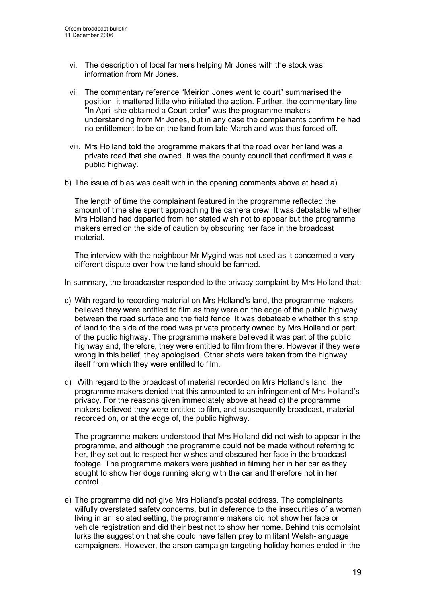- vi. The description of local farmers helping Mr Jones with the stock was information from Mr Jones.
- vii. The commentary reference "Meirion Jones went to court" summarised the position, it mattered little who initiated the action. Further, the commentary line "In April she obtained a Court order" was the programme makers' understanding from Mr Jones, but in any case the complainants confirm he had no entitlement to be on the land from late March and was thus forced off.
- viii. Mrs Holland told the programme makers that the road over her land was a private road that she owned. It was the county council that confirmed it was a public highway.
- b) The issue of bias was dealt with in the opening comments above at head a).

The length of time the complainant featured in the programme reflected the amount of time she spent approaching the camera crew. It was debatable whether Mrs Holland had departed from her stated wish not to appear but the programme makers erred on the side of caution by obscuring her face in the broadcast material.

The interview with the neighbour Mr Mygind was not used as it concerned a very different dispute over how the land should be farmed.

In summary, the broadcaster responded to the privacy complaint by Mrs Holland that:

- c) With regard to recording material on Mrs Holland's land, the programme makers believed they were entitled to film as they were on the edge of the public highway between the road surface and the field fence. It was debateable whether this strip of land to the side of the road was private property owned by Mrs Holland or part of the public highway. The programme makers believed it was part of the public highway and, therefore, they were entitled to film from there. However if they were wrong in this belief, they apologised. Other shots were taken from the highway itself from which they were entitled to film.
- d) With regard to the broadcast of material recorded on Mrs Holland's land, the programme makers denied that this amounted to an infringement of Mrs Holland's privacy. For the reasons given immediately above at head c) the programme makers believed they were entitled to film, and subsequently broadcast, material recorded on, or at the edge of, the public highway.

The programme makers understood that Mrs Holland did not wish to appear in the programme, and although the programme could not be made without referring to her, they set out to respect her wishes and obscured her face in the broadcast footage. The programme makers were justified in filming her in her car as they sought to show her dogs running along with the car and therefore not in her control.

e) The programme did not give Mrs Holland's postal address. The complainants wilfully overstated safety concerns, but in deference to the insecurities of a woman living in an isolated setting, the programme makers did not show her face or vehicle registration and did their best not to show her home. Behind this complaint lurks the suggestion that she could have fallen prey to militant Welsh-language campaigners. However, the arson campaign targeting holiday homes ended in the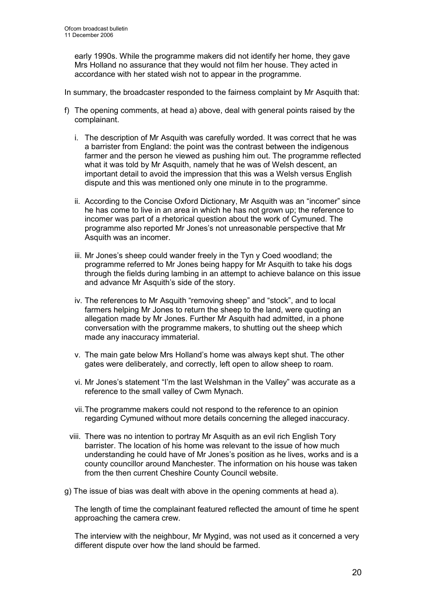early 1990s. While the programme makers did not identify her home, they gave Mrs Holland no assurance that they would not film her house. They acted in accordance with her stated wish not to appear in the programme.

- In summary, the broadcaster responded to the fairness complaint by Mr Asquith that:
- f) The opening comments, at head a) above, deal with general points raised by the complainant.
	- i. The description of Mr Asquith was carefully worded. It was correct that he was a barrister from England: the point was the contrast between the indigenous farmer and the person he viewed as pushing him out. The programme reflected what it was told by Mr Asquith, namely that he was of Welsh descent, an important detail to avoid the impression that this was a Welsh versus English dispute and this was mentioned only one minute in to the programme.
	- ii. According to the Concise Oxford Dictionary, Mr Asquith was an "incomer" since he has come to live in an area in which he has not grown up; the reference to incomer was part of a rhetorical question about the work of Cymuned. The programme also reported Mr Jones's not unreasonable perspective that Mr Asquith was an incomer.
	- iii. Mr Jones's sheep could wander freely in the Tyn y Coed woodland; the programme referred to Mr Jones being happy for Mr Asquith to take his dogs through the fields during lambing in an attempt to achieve balance on this issue and advance Mr Asquith's side of the story.
	- iv. The references to Mr Asquith "removing sheep" and "stock", and to local farmers helping Mr Jones to return the sheep to the land, were quoting an allegation made by Mr Jones. Further Mr Asquith had admitted, in a phone conversation with the programme makers, to shutting out the sheep which made any inaccuracy immaterial.
	- v. The main gate below Mrs Holland's home was always kept shut. The other gates were deliberately, and correctly, left open to allow sheep to roam.
	- vi. Mr Jones's statement "I'm the last Welshman in the Valley" was accurate as a reference to the small valley of Cwm Mynach.
	- vii. The programme makers could not respond to the reference to an opinion regarding Cymuned without more details concerning the alleged inaccuracy.
	- viii. There was no intention to portray Mr Asquith as an evil rich English Tory barrister. The location of his home was relevant to the issue of how much understanding he could have of Mr Jones's position as he lives, works and is a county councillor around Manchester. The information on his house was taken from the then current Cheshire County Council website.
- g) The issue of bias was dealt with above in the opening comments at head a).

The length of time the complainant featured reflected the amount of time he spent approaching the camera crew.

The interview with the neighbour, Mr Mygind, was not used as it concerned a very different dispute over how the land should be farmed.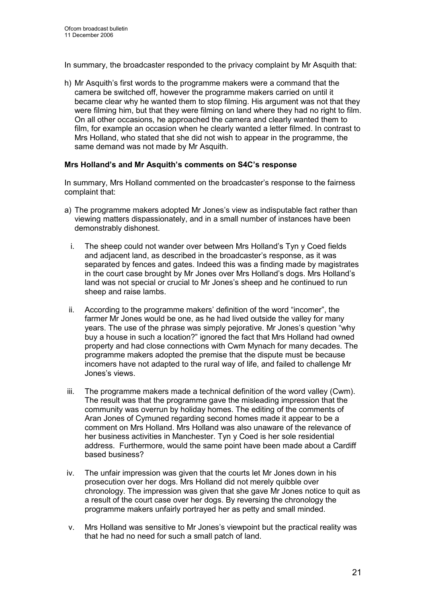In summary, the broadcaster responded to the privacy complaint by Mr Asquith that:

h) Mr Asquith's first words to the programme makers were a command that the camera be switched off, however the programme makers carried on until it became clear why he wanted them to stop filming. His argument was not that they were filming him, but that they were filming on land where they had no right to film. On all other occasions, he approached the camera and clearly wanted them to film, for example an occasion when he clearly wanted a letter filmed. In contrast to Mrs Holland, who stated that she did not wish to appear in the programme, the same demand was not made by Mr Asquith.

# Mrs Holland's and Mr Asquith's comments on S4C's response

In summary, Mrs Holland commented on the broadcaster's response to the fairness complaint that:

- a) The programme makers adopted Mr Jones's view as indisputable fact rather than viewing matters dispassionately, and in a small number of instances have been demonstrably dishonest.
	- i. The sheep could not wander over between Mrs Holland's Tyn y Coed fields and adjacent land, as described in the broadcaster's response, as it was separated by fences and gates. Indeed this was a finding made by magistrates in the court case brought by Mr Jones over Mrs Holland's dogs. Mrs Holland's land was not special or crucial to Mr Jones's sheep and he continued to run sheep and raise lambs.
	- ii. According to the programme makers' definition of the word "incomer", the farmer Mr Jones would be one, as he had lived outside the valley for many years. The use of the phrase was simply pejorative. Mr Jones's question "why buy a house in such a location?" ignored the fact that Mrs Holland had owned property and had close connections with Cwm Mynach for many decades. The programme makers adopted the premise that the dispute must be because incomers have not adapted to the rural way of life, and failed to challenge Mr Jones's views.
- iii. The programme makers made a technical definition of the word valley (Cwm). The result was that the programme gave the misleading impression that the community was overrun by holiday homes. The editing of the comments of Aran Jones of Cymuned regarding second homes made it appear to be a comment on Mrs Holland. Mrs Holland was also unaware of the relevance of her business activities in Manchester. Tyn y Coed is her sole residential address. Furthermore, would the same point have been made about a Cardiff based business?
- iv. The unfair impression was given that the courts let Mr Jones down in his prosecution over her dogs. Mrs Holland did not merely quibble over chronology. The impression was given that she gave Mr Jones notice to quit as a result of the court case over her dogs. By reversing the chronology the programme makers unfairly portrayed her as petty and small minded.
- v. Mrs Holland was sensitive to Mr Jones's viewpoint but the practical reality was that he had no need for such a small patch of land.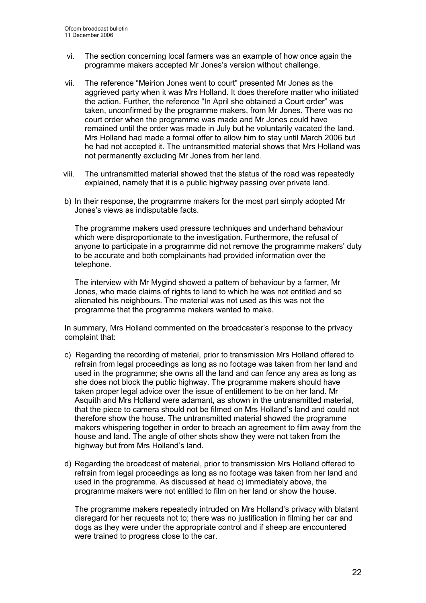- vi. The section concerning local farmers was an example of how once again the programme makers accepted Mr Jones's version without challenge.
- vii. The reference "Meirion Jones went to court" presented Mr Jones as the aggrieved party when it was Mrs Holland. It does therefore matter who initiated the action. Further, the reference "In April she obtained a Court order" was taken, unconfirmed by the programme makers, from Mr Jones. There was no court order when the programme was made and Mr Jones could have remained until the order was made in July but he voluntarily vacated the land. Mrs Holland had made a formal offer to allow him to stay until March 2006 but he had not accepted it. The untransmitted material shows that Mrs Holland was not permanently excluding Mr Jones from her land.
- viii. The untransmitted material showed that the status of the road was repeatedly explained, namely that it is a public highway passing over private land.
- b) In their response, the programme makers for the most part simply adopted Mr Jones's views as indisputable facts.

The programme makers used pressure techniques and underhand behaviour which were disproportionate to the investigation. Furthermore, the refusal of anyone to participate in a programme did not remove the programme makers' duty to be accurate and both complainants had provided information over the telephone.

The interview with Mr Mygind showed a pattern of behaviour by a farmer, Mr Jones, who made claims of rights to land to which he was not entitled and so alienated his neighbours. The material was not used as this was not the programme that the programme makers wanted to make.

In summary, Mrs Holland commented on the broadcaster's response to the privacy complaint that:

- c) Regarding the recording of material, prior to transmission Mrs Holland offered to refrain from legal proceedings as long as no footage was taken from her land and used in the programme; she owns all the land and can fence any area as long as she does not block the public highway. The programme makers should have taken proper legal advice over the issue of entitlement to be on her land. Mr Asquith and Mrs Holland were adamant, as shown in the untransmitted material, that the piece to camera should not be filmed on Mrs Holland's land and could not therefore show the house. The untransmitted material showed the programme makers whispering together in order to breach an agreement to film away from the house and land. The angle of other shots show they were not taken from the highway but from Mrs Holland's land.
- d) Regarding the broadcast of material, prior to transmission Mrs Holland offered to refrain from legal proceedings as long as no footage was taken from her land and used in the programme. As discussed at head c) immediately above, the programme makers were not entitled to film on her land or show the house.

The programme makers repeatedly intruded on Mrs Holland's privacy with blatant disregard for her requests not to; there was no justification in filming her car and dogs as they were under the appropriate control and if sheep are encountered were trained to progress close to the car.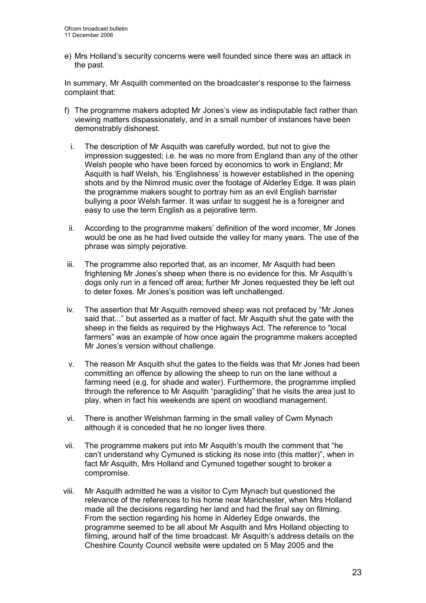e) Mrs Holland's security concerns were well founded since there was an attack in the past.

In summary, Mr Asquith commented on the broadcaster's response to the fairness complaint that:

- f) The programme makers adopted Mr Jones's view as indisputable fact rather than viewing matters dispassionately, and in a small number of instances have been demonstrably dishonest.
	- i. The description of Mr Asquith was carefully worded, but not to give the impression suggested; i.e. he was no more from England than any of the other Welsh people who have been forced by economics to work in England; Mr Asquith is half Welsh, his 'Englishness' is however established in the opening shots and by the Nimrod music over the footage of Alderley Edge. It was plain the programme makers sought to portray him as an evil English barrister bullying a poor Welsh farmer. It was unfair to suggest he is a foreigner and easy to use the term English as a pejorative term.
	- ii. According to the programme makers' definition of the word incomer, Mr Jones would be one as he had lived outside the valley for many years. The use of the phrase was simply pejorative.
- iii. The programme also reported that, as an incomer, Mr Asquith had been frightening Mr Jones's sheep when there is no evidence for this. Mr Asquith's dogs only run in a fenced off area; further Mr Jones requested they be left out to deter foxes. Mr Jones's position was left unchallenged.
- iv. The assertion that Mr Asquith removed sheep was not prefaced by "Mr Jones said that..." but asserted as a matter of fact. Mr Asquith shut the gate with the sheep in the fields as required by the Highways Act. The reference to "local farmers" was an example of how once again the programme makers accepted Mr Jones's version without challenge.
- v. The reason Mr Asquith shut the gates to the fields was that Mr Jones had been committing an offence by allowing the sheep to run on the lane without a farming need (e.g. for shade and water). Furthermore, the programme implied through the reference to Mr Asquith "paragliding" that he visits the area just to play, when in fact his weekends are spent on woodland management.
- vi. There is another Welshman farming in the small valley of Cwm Mynach although it is conceded that he no longer lives there.
- vii. The programme makers put into Mr Asquith's mouth the comment that "he can't understand why Cymuned is sticking its nose into (this matter)", when in fact Mr Asquith, Mrs Holland and Cymuned together sought to broker a compromise.
- viii. Mr Asquith admitted he was a visitor to Cym Mynach but questioned the relevance of the references to his home near Manchester, when Mrs Holland made all the decisions regarding her land and had the final say on filming. From the section regarding his home in Alderley Edge onwards, the programme seemed to be all about Mr Asquith and Mrs Holland objecting to filming, around half of the time broadcast. Mr Asquith's address details on the Cheshire County Council website were updated on 5 May 2005 and the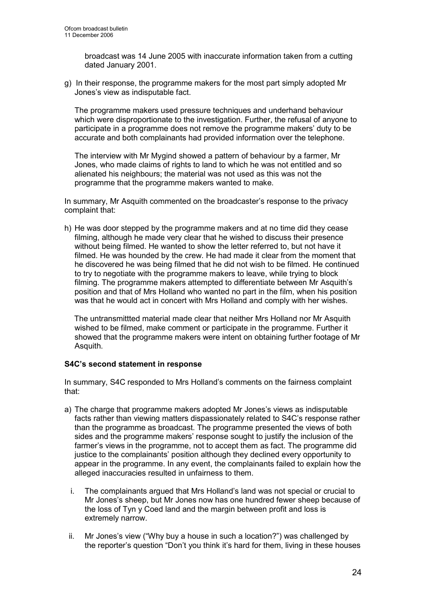broadcast was 14 June 2005 with inaccurate information taken from a cutting dated January 2001.

g) In their response, the programme makers for the most part simply adopted Mr Jones's view as indisputable fact.

The programme makers used pressure techniques and underhand behaviour which were disproportionate to the investigation. Further, the refusal of anyone to participate in a programme does not remove the programme makers' duty to be accurate and both complainants had provided information over the telephone.

The interview with Mr Mygind showed a pattern of behaviour by a farmer, Mr Jones, who made claims of rights to land to which he was not entitled and so alienated his neighbours; the material was not used as this was not the programme that the programme makers wanted to make.

In summary, Mr Asquith commented on the broadcaster's response to the privacy complaint that:

h) He was door stepped by the programme makers and at no time did they cease filming, although he made very clear that he wished to discuss their presence without being filmed. He wanted to show the letter referred to, but not have it filmed. He was hounded by the crew. He had made it clear from the moment that he discovered he was being filmed that he did not wish to be filmed. He continued to try to negotiate with the programme makers to leave, while trying to block filming. The programme makers attempted to differentiate between Mr Asquith's position and that of Mrs Holland who wanted no part in the film, when his position was that he would act in concert with Mrs Holland and comply with her wishes.

 The untransmittted material made clear that neither Mrs Holland nor Mr Asquith wished to be filmed, make comment or participate in the programme. Further it showed that the programme makers were intent on obtaining further footage of Mr Asquith.

# S4C's second statement in response

In summary, S4C responded to Mrs Holland's comments on the fairness complaint that:

- a) The charge that programme makers adopted Mr Jones's views as indisputable facts rather than viewing matters dispassionately related to S4C's response rather than the programme as broadcast. The programme presented the views of both sides and the programme makers' response sought to justify the inclusion of the farmer's views in the programme, not to accept them as fact. The programme did justice to the complainants' position although they declined every opportunity to appear in the programme. In any event, the complainants failed to explain how the alleged inaccuracies resulted in unfairness to them.
	- i. The complainants argued that Mrs Holland's land was not special or crucial to Mr Jones's sheep, but Mr Jones now has one hundred fewer sheep because of the loss of Tyn y Coed land and the margin between profit and loss is extremely narrow.
	- ii. Mr Jones's view ("Why buy a house in such a location?") was challenged by the reporter's question "Don't you think it's hard for them, living in these houses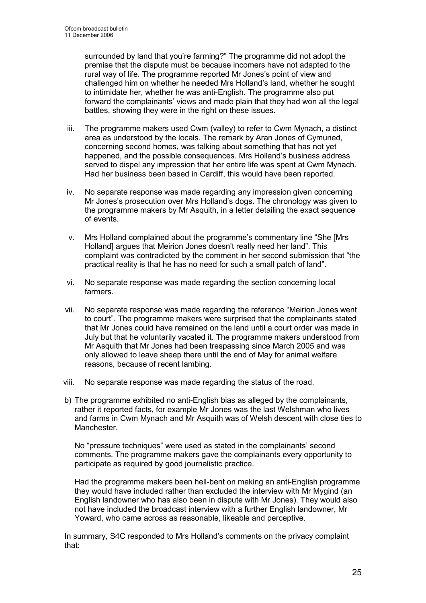surrounded by land that you're farming?" The programme did not adopt the premise that the dispute must be because incomers have not adapted to the rural way of life. The programme reported Mr Jones's point of view and challenged him on whether he needed Mrs Holland's land, whether he sought to intimidate her, whether he was anti-English. The programme also put forward the complainants' views and made plain that they had won all the legal battles, showing they were in the right on these issues.

- iii. The programme makers used Cwm (valley) to refer to Cwm Mynach, a distinct area as understood by the locals. The remark by Aran Jones of Cymuned, concerning second homes, was talking about something that has not yet happened, and the possible consequences. Mrs Holland's business address served to dispel any impression that her entire life was spent at Cwm Mynach. Had her business been based in Cardiff, this would have been reported.
- iv. No separate response was made regarding any impression given concerning Mr Jones's prosecution over Mrs Holland's dogs. The chronology was given to the programme makers by Mr Asquith, in a letter detailing the exact sequence of events.
- v. Mrs Holland complained about the programme's commentary line "She [Mrs Holland] argues that Meirion Jones doesn't really need her land". This complaint was contradicted by the comment in her second submission that "the practical reality is that he has no need for such a small patch of land".
- vi. No separate response was made regarding the section concerning local farmers.
- vii. No separate response was made regarding the reference "Meirion Jones went to court". The programme makers were surprised that the complainants stated that Mr Jones could have remained on the land until a court order was made in July but that he voluntarily vacated it. The programme makers understood from Mr Asquith that Mr Jones had been trespassing since March 2005 and was only allowed to leave sheep there until the end of May for animal welfare reasons, because of recent lambing.
- viii. No separate response was made regarding the status of the road.
- b) The programme exhibited no anti-English bias as alleged by the complainants, rather it reported facts, for example Mr Jones was the last Welshman who lives and farms in Cwm Mynach and Mr Asquith was of Welsh descent with close ties to Manchester.

No "pressure techniques" were used as stated in the complainants' second comments. The programme makers gave the complainants every opportunity to participate as required by good journalistic practice.

Had the programme makers been hell-bent on making an anti-English programme they would have included rather than excluded the interview with Mr Mygind (an English landowner who has also been in dispute with Mr Jones). They would also not have included the broadcast interview with a further English landowner, Mr Yoward, who came across as reasonable, likeable and perceptive.

In summary, S4C responded to Mrs Holland's comments on the privacy complaint that: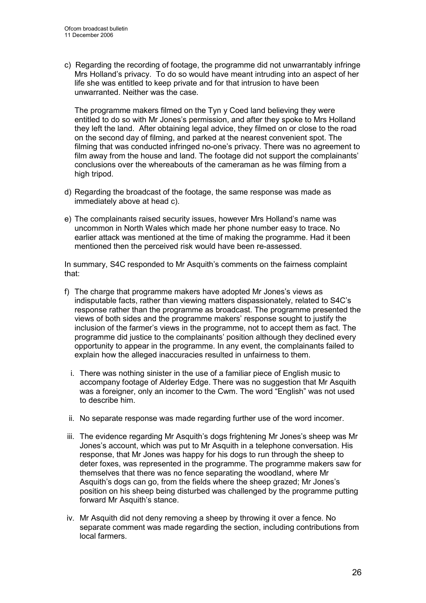c) Regarding the recording of footage, the programme did not unwarrantably infringe Mrs Holland's privacy. To do so would have meant intruding into an aspect of her life she was entitled to keep private and for that intrusion to have been unwarranted. Neither was the case.

The programme makers filmed on the Tyn y Coed land believing they were entitled to do so with Mr Jones's permission, and after they spoke to Mrs Holland they left the land. After obtaining legal advice, they filmed on or close to the road on the second day of filming, and parked at the nearest convenient spot. The filming that was conducted infringed no-one's privacy. There was no agreement to film away from the house and land. The footage did not support the complainants' conclusions over the whereabouts of the cameraman as he was filming from a high tripod.

- d) Regarding the broadcast of the footage, the same response was made as immediately above at head c).
- e) The complainants raised security issues, however Mrs Holland's name was uncommon in North Wales which made her phone number easy to trace. No earlier attack was mentioned at the time of making the programme. Had it been mentioned then the perceived risk would have been re-assessed.

In summary, S4C responded to Mr Asquith's comments on the fairness complaint that:

- f) The charge that programme makers have adopted Mr Jones's views as indisputable facts, rather than viewing matters dispassionately, related to S4C's response rather than the programme as broadcast. The programme presented the views of both sides and the programme makers' response sought to justify the inclusion of the farmer's views in the programme, not to accept them as fact. The programme did justice to the complainants' position although they declined every opportunity to appear in the programme. In any event, the complainants failed to explain how the alleged inaccuracies resulted in unfairness to them.
	- i. There was nothing sinister in the use of a familiar piece of English music to accompany footage of Alderley Edge. There was no suggestion that Mr Asquith was a foreigner, only an incomer to the Cwm. The word "English" was not used to describe him.
	- ii. No separate response was made regarding further use of the word incomer.
- iii. The evidence regarding Mr Asquith's dogs frightening Mr Jones's sheep was Mr Jones's account, which was put to Mr Asquith in a telephone conversation. His response, that Mr Jones was happy for his dogs to run through the sheep to deter foxes, was represented in the programme. The programme makers saw for themselves that there was no fence separating the woodland, where Mr Asquith's dogs can go, from the fields where the sheep grazed; Mr Jones's position on his sheep being disturbed was challenged by the programme putting forward Mr Asquith's stance.
- iv. Mr Asquith did not deny removing a sheep by throwing it over a fence. No separate comment was made regarding the section, including contributions from local farmers.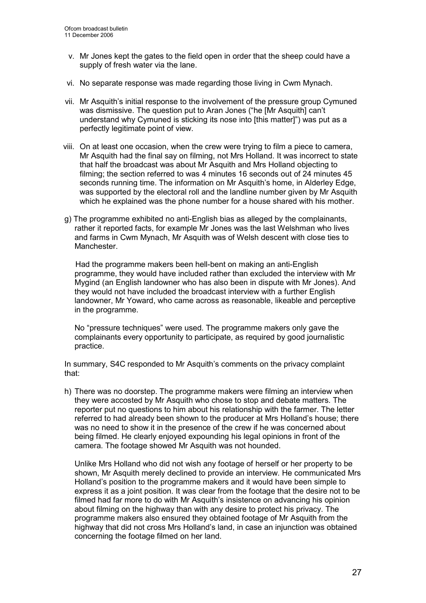- v. Mr Jones kept the gates to the field open in order that the sheep could have a supply of fresh water via the lane.
- vi. No separate response was made regarding those living in Cwm Mynach.
- vii. Mr Asquith's initial response to the involvement of the pressure group Cymuned was dismissive. The question put to Aran Jones ("he [Mr Asquith] can't understand why Cymuned is sticking its nose into [this matter]") was put as a perfectly legitimate point of view.
- viii. On at least one occasion, when the crew were trying to film a piece to camera, Mr Asquith had the final say on filming, not Mrs Holland. It was incorrect to state that half the broadcast was about Mr Asquith and Mrs Holland objecting to filming; the section referred to was 4 minutes 16 seconds out of 24 minutes 45 seconds running time. The information on Mr Asquith's home, in Alderley Edge, was supported by the electoral roll and the landline number given by Mr Asquith which he explained was the phone number for a house shared with his mother.
- g) The programme exhibited no anti-English bias as alleged by the complainants, rather it reported facts, for example Mr Jones was the last Welshman who lives and farms in Cwm Mynach, Mr Asquith was of Welsh descent with close ties to Manchester.

 Had the programme makers been hell-bent on making an anti-English programme, they would have included rather than excluded the interview with Mr Mygind (an English landowner who has also been in dispute with Mr Jones). And they would not have included the broadcast interview with a further English landowner, Mr Yoward, who came across as reasonable, likeable and perceptive in the programme.

 No "pressure techniques" were used. The programme makers only gave the complainants every opportunity to participate, as required by good journalistic practice.

In summary, S4C responded to Mr Asquith's comments on the privacy complaint that:

h) There was no doorstep. The programme makers were filming an interview when they were accosted by Mr Asquith who chose to stop and debate matters. The reporter put no questions to him about his relationship with the farmer. The letter referred to had already been shown to the producer at Mrs Holland's house; there was no need to show it in the presence of the crew if he was concerned about being filmed. He clearly enjoyed expounding his legal opinions in front of the camera. The footage showed Mr Asquith was not hounded.

Unlike Mrs Holland who did not wish any footage of herself or her property to be shown, Mr Asquith merely declined to provide an interview. He communicated Mrs Holland's position to the programme makers and it would have been simple to express it as a joint position. It was clear from the footage that the desire not to be filmed had far more to do with Mr Asquith's insistence on advancing his opinion about filming on the highway than with any desire to protect his privacy. The programme makers also ensured they obtained footage of Mr Asquith from the highway that did not cross Mrs Holland's land, in case an injunction was obtained concerning the footage filmed on her land.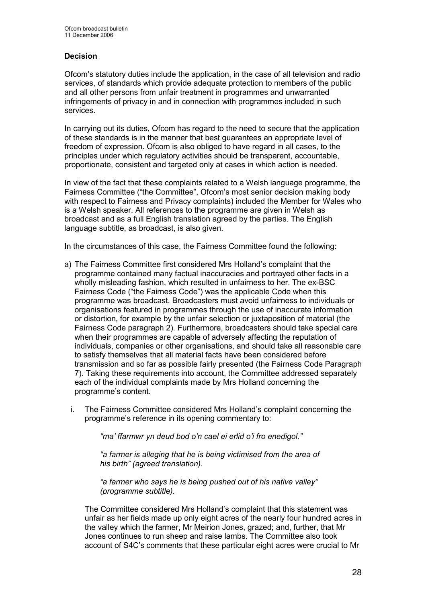# Decision

Ofcom's statutory duties include the application, in the case of all television and radio services, of standards which provide adequate protection to members of the public and all other persons from unfair treatment in programmes and unwarranted infringements of privacy in and in connection with programmes included in such services.

In carrying out its duties, Ofcom has regard to the need to secure that the application of these standards is in the manner that best guarantees an appropriate level of freedom of expression. Ofcom is also obliged to have regard in all cases, to the principles under which regulatory activities should be transparent, accountable, proportionate, consistent and targeted only at cases in which action is needed.

In view of the fact that these complaints related to a Welsh language programme, the Fairness Committee ("the Committee", Ofcom's most senior decision making body with respect to Fairness and Privacy complaints) included the Member for Wales who is a Welsh speaker. All references to the programme are given in Welsh as broadcast and as a full English translation agreed by the parties. The English language subtitle, as broadcast, is also given.

In the circumstances of this case, the Fairness Committee found the following:

- a) The Fairness Committee first considered Mrs Holland's complaint that the programme contained many factual inaccuracies and portrayed other facts in a wholly misleading fashion, which resulted in unfairness to her. The ex-BSC Fairness Code ("the Fairness Code") was the applicable Code when this programme was broadcast. Broadcasters must avoid unfairness to individuals or organisations featured in programmes through the use of inaccurate information or distortion, for example by the unfair selection or juxtaposition of material (the Fairness Code paragraph 2). Furthermore, broadcasters should take special care when their programmes are capable of adversely affecting the reputation of individuals, companies or other organisations, and should take all reasonable care to satisfy themselves that all material facts have been considered before transmission and so far as possible fairly presented (the Fairness Code Paragraph 7). Taking these requirements into account, the Committee addressed separately each of the individual complaints made by Mrs Holland concerning the programme's content.
	- i. The Fairness Committee considered Mrs Holland's complaint concerning the programme's reference in its opening commentary to:

"ma' ffarmwr yn deud bod o'n cael ei erlid o'i fro enedigol."

"a farmer is alleging that he is being victimised from the area of his birth" (agreed translation).

"a farmer who says he is being pushed out of his native valley" (programme subtitle).

The Committee considered Mrs Holland's complaint that this statement was unfair as her fields made up only eight acres of the nearly four hundred acres in the valley which the farmer, Mr Meirion Jones, grazed; and, further, that Mr Jones continues to run sheep and raise lambs. The Committee also took account of S4C's comments that these particular eight acres were crucial to Mr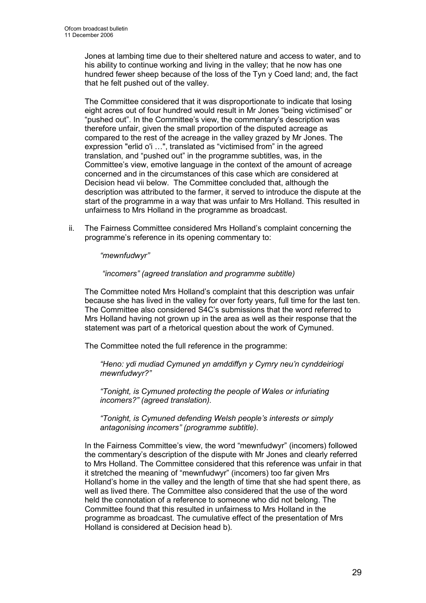Jones at lambing time due to their sheltered nature and access to water, and to his ability to continue working and living in the valley; that he now has one hundred fewer sheep because of the loss of the Tyn y Coed land; and, the fact that he felt pushed out of the valley.

 The Committee considered that it was disproportionate to indicate that losing eight acres out of four hundred would result in Mr Jones "being victimised" or "pushed out". In the Committee's view, the commentary's description was therefore unfair, given the small proportion of the disputed acreage as compared to the rest of the acreage in the valley grazed by Mr Jones. The expression "erlid o'i …", translated as "victimised from" in the agreed translation, and "pushed out" in the programme subtitles, was, in the Committee's view, emotive language in the context of the amount of acreage concerned and in the circumstances of this case which are considered at Decision head vii below. The Committee concluded that, although the description was attributed to the farmer, it served to introduce the dispute at the start of the programme in a way that was unfair to Mrs Holland. This resulted in unfairness to Mrs Holland in the programme as broadcast.

ii. The Fairness Committee considered Mrs Holland's complaint concerning the programme's reference in its opening commentary to:

"mewnfudwyr"

"incomers" (agreed translation and programme subtitle)

The Committee noted Mrs Holland's complaint that this description was unfair because she has lived in the valley for over forty years, full time for the last ten. The Committee also considered S4C's submissions that the word referred to Mrs Holland having not grown up in the area as well as their response that the statement was part of a rhetorical question about the work of Cymuned.

The Committee noted the full reference in the programme:

"Heno: ydi mudiad Cymuned yn amddiffyn y Cymry neu'n cynddeiriogi mewnfudwyr?"

"Tonight, is Cymuned protecting the people of Wales or infuriating incomers?" (agreed translation).

"Tonight, is Cymuned defending Welsh people's interests or simply antagonising incomers" (programme subtitle).

In the Fairness Committee's view, the word "mewnfudwyr" (incomers) followed the commentary's description of the dispute with Mr Jones and clearly referred to Mrs Holland. The Committee considered that this reference was unfair in that it stretched the meaning of "mewnfudwyr" (incomers) too far given Mrs Holland's home in the valley and the length of time that she had spent there, as well as lived there. The Committee also considered that the use of the word held the connotation of a reference to someone who did not belong. The Committee found that this resulted in unfairness to Mrs Holland in the programme as broadcast. The cumulative effect of the presentation of Mrs Holland is considered at Decision head b).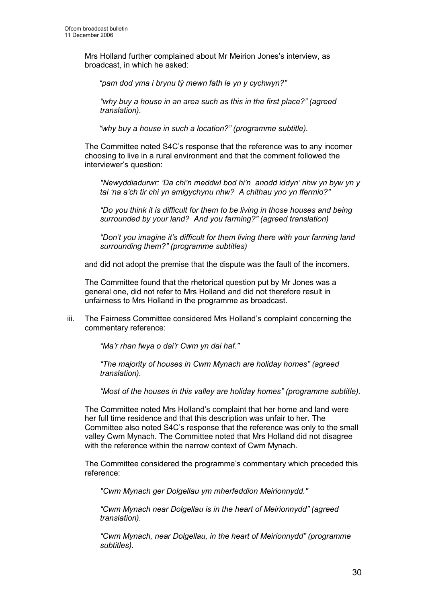Mrs Holland further complained about Mr Meirion Jones's interview, as broadcast, in which he asked:

"pam dod yma i brynu tŷ mewn fath le yn y cychwyn?"

"why buy a house in an area such as this in the first place?" (agreed translation).

"why buy a house in such a location?" (programme subtitle).

The Committee noted S4C's response that the reference was to any incomer choosing to live in a rural environment and that the comment followed the interviewer's question:

"Newyddiadurwr: 'Da chi'n meddwl bod hi'n anodd iddyn' nhw yn byw yn y tai 'na a'ch tir chi yn amlgychynu nhw? A chithau yno yn ffermio?"

"Do you think it is difficult for them to be living in those houses and being surrounded by your land? And you farming?" (agreed translation)

"Don't you imagine it's difficult for them living there with your farming land surrounding them?" (programme subtitles)

and did not adopt the premise that the dispute was the fault of the incomers.

The Committee found that the rhetorical question put by Mr Jones was a general one, did not refer to Mrs Holland and did not therefore result in unfairness to Mrs Holland in the programme as broadcast.

iii. The Fairness Committee considered Mrs Holland's complaint concerning the commentary reference:

"Ma'r rhan fwya o dai'r Cwm yn dai haf."

"The majority of houses in Cwm Mynach are holiday homes" (agreed translation).

"Most of the houses in this valley are holiday homes" (programme subtitle).

The Committee noted Mrs Holland's complaint that her home and land were her full time residence and that this description was unfair to her. The Committee also noted S4C's response that the reference was only to the small valley Cwm Mynach. The Committee noted that Mrs Holland did not disagree with the reference within the narrow context of Cwm Mynach.

The Committee considered the programme's commentary which preceded this reference:

"Cwm Mynach ger Dolgellau ym mherfeddion Meirionnydd."

"Cwm Mynach near Dolgellau is in the heart of Meirionnydd" (agreed translation).

"Cwm Mynach, near Dolgellau, in the heart of Meirionnydd" (programme subtitles).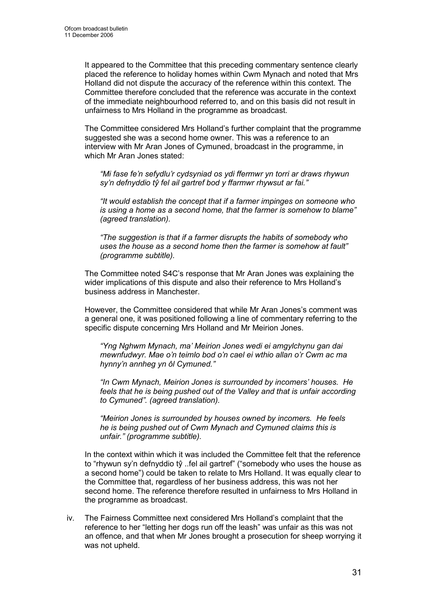It appeared to the Committee that this preceding commentary sentence clearly placed the reference to holiday homes within Cwm Mynach and noted that Mrs Holland did not dispute the accuracy of the reference within this context. The Committee therefore concluded that the reference was accurate in the context of the immediate neighbourhood referred to, and on this basis did not result in unfairness to Mrs Holland in the programme as broadcast.

The Committee considered Mrs Holland's further complaint that the programme suggested she was a second home owner. This was a reference to an interview with Mr Aran Jones of Cymuned, broadcast in the programme, in which Mr Aran Jones stated:

"Mi fase fe'n sefydlu'r cydsyniad os ydi ffermwr yn torri ar draws rhywun sy'n defnyddio tŷ fel ail gartref bod y ffarmwr rhywsut ar fai."

"It would establish the concept that if a farmer impinges on someone who is using a home as a second home, that the farmer is somehow to blame" (agreed translation).

"The suggestion is that if a farmer disrupts the habits of somebody who uses the house as a second home then the farmer is somehow at fault" (programme subtitle).

The Committee noted S4C's response that Mr Aran Jones was explaining the wider implications of this dispute and also their reference to Mrs Holland's business address in Manchester.

However, the Committee considered that while Mr Aran Jones's comment was a general one, it was positioned following a line of commentary referring to the specific dispute concerning Mrs Holland and Mr Meirion Jones.

"Yng Nghwm Mynach, ma' Meirion Jones wedi ei amgylchynu gan dai mewnfudwyr. Mae o'n teimlo bod o'n cael ei wthio allan o'r Cwm ac ma hynny'n annheg yn ôl Cymuned."

"In Cwm Mynach, Meirion Jones is surrounded by incomers' houses. He feels that he is being pushed out of the Valley and that is unfair according to Cymuned". (agreed translation).

"Meirion Jones is surrounded by houses owned by incomers. He feels he is being pushed out of Cwm Mynach and Cymuned claims this is unfair." (programme subtitle).

In the context within which it was included the Committee felt that the reference to "rhywun sy'n defnyddio tŷ ..fel ail gartref" ("somebody who uses the house as a second home") could be taken to relate to Mrs Holland. It was equally clear to the Committee that, regardless of her business address, this was not her second home. The reference therefore resulted in unfairness to Mrs Holland in the programme as broadcast.

iv. The Fairness Committee next considered Mrs Holland's complaint that the reference to her "letting her dogs run off the leash" was unfair as this was not an offence, and that when Mr Jones brought a prosecution for sheep worrying it was not upheld.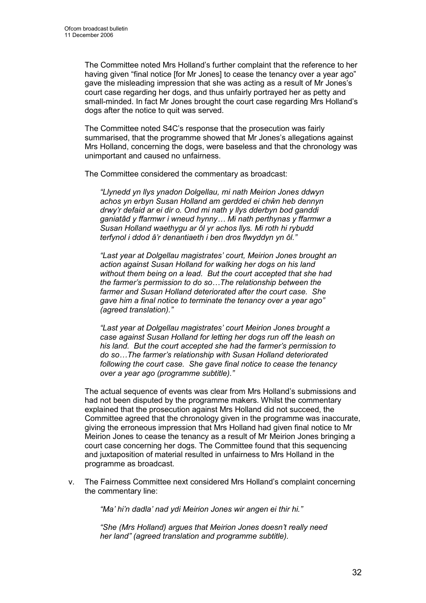The Committee noted Mrs Holland's further complaint that the reference to her having given "final notice [for Mr Jones] to cease the tenancy over a year ago" gave the misleading impression that she was acting as a result of Mr Jones's court case regarding her dogs, and thus unfairly portrayed her as petty and small-minded. In fact Mr Jones brought the court case regarding Mrs Holland's dogs after the notice to quit was served.

The Committee noted S4C's response that the prosecution was fairly summarised, that the programme showed that Mr Jones's allegations against Mrs Holland, concerning the dogs, were baseless and that the chronology was unimportant and caused no unfairness.

The Committee considered the commentary as broadcast:

"Llynedd yn llys ynadon Dolgellau, mi nath Meirion Jones ddwyn achos yn erbyn Susan Holland am gerdded ei chŵn heb dennyn drwy'r defaid ar ei dir o. Ond mi nath y llys dderbyn bod ganddi ganiatâd y ffarmwr i wneud hynny… Mi nath perthynas y ffarmwr a Susan Holland waethygu ar ôl yr achos llys. Mi roth hi rybudd terfynol i ddod â'r denantiaeth i ben dros flwyddyn yn ôl."

"Last year at Dolgellau magistrates' court, Meirion Jones brought an action against Susan Holland for walking her dogs on his land without them being on a lead. But the court accepted that she had the farmer's permission to do so…The relationship between the farmer and Susan Holland deteriorated after the court case. She gave him a final notice to terminate the tenancy over a year ago" (agreed translation)."

"Last year at Dolgellau magistrates' court Meirion Jones brought a case against Susan Holland for letting her dogs run off the leash on his land. But the court accepted she had the farmer's permission to do so…The farmer's relationship with Susan Holland deteriorated following the court case. She gave final notice to cease the tenancy over a year ago (programme subtitle)."

The actual sequence of events was clear from Mrs Holland's submissions and had not been disputed by the programme makers. Whilst the commentary explained that the prosecution against Mrs Holland did not succeed, the Committee agreed that the chronology given in the programme was inaccurate, giving the erroneous impression that Mrs Holland had given final notice to Mr Meirion Jones to cease the tenancy as a result of Mr Meirion Jones bringing a court case concerning her dogs. The Committee found that this sequencing and juxtaposition of material resulted in unfairness to Mrs Holland in the programme as broadcast.

v. The Fairness Committee next considered Mrs Holland's complaint concerning the commentary line:

"Ma' hi'n dadla' nad ydi Meirion Jones wir angen ei thir hi."

"She (Mrs Holland) argues that Meirion Jones doesn't really need her land" (agreed translation and programme subtitle).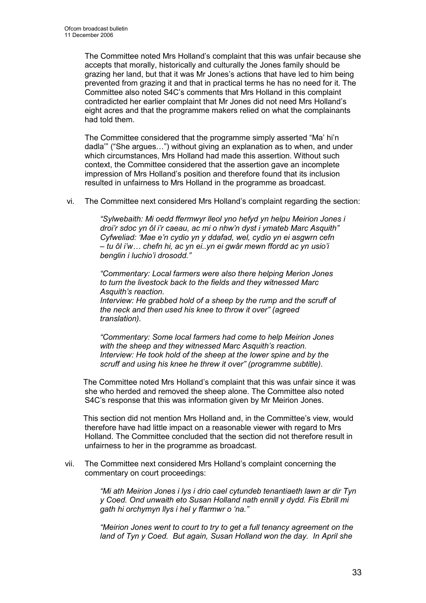The Committee noted Mrs Holland's complaint that this was unfair because she accepts that morally, historically and culturally the Jones family should be grazing her land, but that it was Mr Jones's actions that have led to him being prevented from grazing it and that in practical terms he has no need for it. The Committee also noted S4C's comments that Mrs Holland in this complaint contradicted her earlier complaint that Mr Jones did not need Mrs Holland's eight acres and that the programme makers relied on what the complainants had told them.

The Committee considered that the programme simply asserted "Ma' hi'n dadla'" ("She argues…") without giving an explanation as to when, and under which circumstances, Mrs Holland had made this assertion. Without such context, the Committee considered that the assertion gave an incomplete impression of Mrs Holland's position and therefore found that its inclusion resulted in unfairness to Mrs Holland in the programme as broadcast.

vi. The Committee next considered Mrs Holland's complaint regarding the section:

"Sylwebaith: Mi oedd ffermwyr lleol yno hefyd yn helpu Meirion Jones i droi'r sdoc yn ôl i'r caeau, ac mi o nhw'n dyst i ymateb Marc Asquith" Cyfweliad: 'Mae e'n cydio yn y ddafad, wel, cydio yn ei asgwrn cefn – tu ôl i'w… chefn hi, ac yn ei..yn ei gwâr mewn ffordd ac yn usio'i benglin i luchio'i drosodd."

"Commentary: Local farmers were also there helping Merion Jones to turn the livestock back to the fields and they witnessed Marc Asquith's reaction.

Interview: He grabbed hold of a sheep by the rump and the scruff of the neck and then used his knee to throw it over" (agreed translation).

"Commentary: Some local farmers had come to help Meirion Jones with the sheep and they witnessed Marc Asquith's reaction. Interview: He took hold of the sheep at the lower spine and by the scruff and using his knee he threw it over" (programme subtitle).

 The Committee noted Mrs Holland's complaint that this was unfair since it was she who herded and removed the sheep alone. The Committee also noted S4C's response that this was information given by Mr Meirion Jones.

 This section did not mention Mrs Holland and, in the Committee's view, would therefore have had little impact on a reasonable viewer with regard to Mrs Holland. The Committee concluded that the section did not therefore result in unfairness to her in the programme as broadcast.

vii. The Committee next considered Mrs Holland's complaint concerning the commentary on court proceedings:

> "Mi ath Meirion Jones i lys i drio cael cytundeb tenantiaeth lawn ar dir Tyn y Coed. Ond unwaith eto Susan Holland nath ennill y dydd. Fis Ebrill mi gath hi orchymyn llys i hel y ffarmwr o 'na."

> "Meirion Jones went to court to try to get a full tenancy agreement on the land of Tyn y Coed. But again, Susan Holland won the day. In April she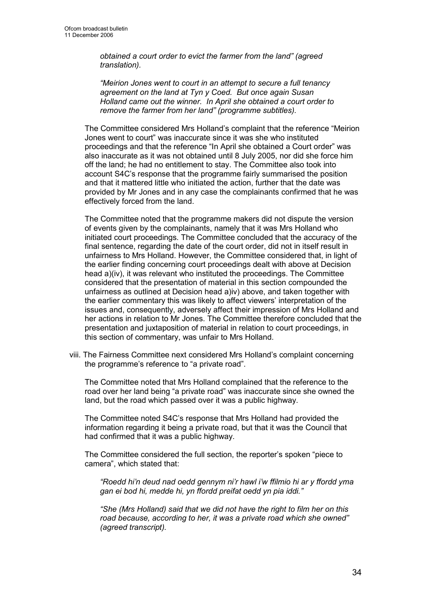obtained a court order to evict the farmer from the land" (agreed translation).

"Meirion Jones went to court in an attempt to secure a full tenancy agreement on the land at Tyn y Coed. But once again Susan Holland came out the winner. In April she obtained a court order to remove the farmer from her land" (programme subtitles).

The Committee considered Mrs Holland's complaint that the reference "Meirion Jones went to court" was inaccurate since it was she who instituted proceedings and that the reference "In April she obtained a Court order" was also inaccurate as it was not obtained until 8 July 2005, nor did she force him off the land; he had no entitlement to stay. The Committee also took into account S4C's response that the programme fairly summarised the position and that it mattered little who initiated the action, further that the date was provided by Mr Jones and in any case the complainants confirmed that he was effectively forced from the land.

The Committee noted that the programme makers did not dispute the version of events given by the complainants, namely that it was Mrs Holland who initiated court proceedings. The Committee concluded that the accuracy of the final sentence, regarding the date of the court order, did not in itself result in unfairness to Mrs Holland. However, the Committee considered that, in light of the earlier finding concerning court proceedings dealt with above at Decision head a)(iv), it was relevant who instituted the proceedings. The Committee considered that the presentation of material in this section compounded the unfairness as outlined at Decision head a)iv) above, and taken together with the earlier commentary this was likely to affect viewers' interpretation of the issues and, consequently, adversely affect their impression of Mrs Holland and her actions in relation to Mr Jones. The Committee therefore concluded that the presentation and juxtaposition of material in relation to court proceedings, in this section of commentary, was unfair to Mrs Holland.

viii. The Fairness Committee next considered Mrs Holland's complaint concerning the programme's reference to "a private road".

The Committee noted that Mrs Holland complained that the reference to the road over her land being "a private road" was inaccurate since she owned the land, but the road which passed over it was a public highway.

The Committee noted S4C's response that Mrs Holland had provided the information regarding it being a private road, but that it was the Council that had confirmed that it was a public highway.

The Committee considered the full section, the reporter's spoken "piece to camera", which stated that:

"Roedd hi'n deud nad oedd gennym ni'r hawl i'w ffilmio hi ar y ffordd yma gan ei bod hi, medde hi, yn ffordd preifat oedd yn pia iddi."

"She (Mrs Holland) said that we did not have the right to film her on this road because, according to her, it was a private road which she owned" (agreed transcript).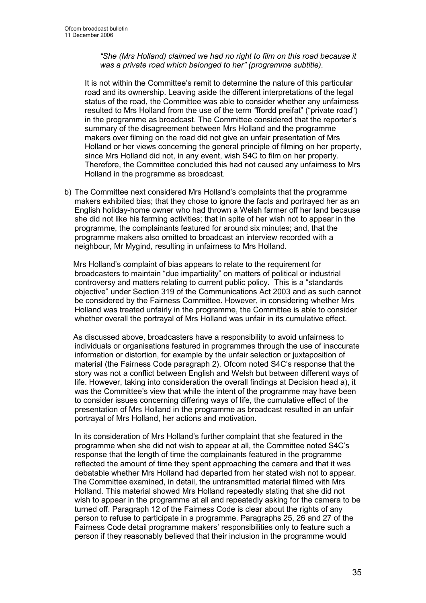"She (Mrs Holland) claimed we had no right to film on this road because it was a private road which belonged to her" (programme subtitle).

It is not within the Committee's remit to determine the nature of this particular road and its ownership. Leaving aside the different interpretations of the legal status of the road, the Committee was able to consider whether any unfairness resulted to Mrs Holland from the use of the term "ffordd preifat" ("private road") in the programme as broadcast. The Committee considered that the reporter's summary of the disagreement between Mrs Holland and the programme makers over filming on the road did not give an unfair presentation of Mrs Holland or her views concerning the general principle of filming on her property, since Mrs Holland did not, in any event, wish S4C to film on her property. Therefore, the Committee concluded this had not caused any unfairness to Mrs Holland in the programme as broadcast.

b) The Committee next considered Mrs Holland's complaints that the programme makers exhibited bias; that they chose to ignore the facts and portrayed her as an English holiday-home owner who had thrown a Welsh farmer off her land because she did not like his farming activities; that in spite of her wish not to appear in the programme, the complainants featured for around six minutes; and, that the programme makers also omitted to broadcast an interview recorded with a neighbour, Mr Mygind, resulting in unfairness to Mrs Holland.

 Mrs Holland's complaint of bias appears to relate to the requirement for broadcasters to maintain "due impartiality" on matters of political or industrial controversy and matters relating to current public policy. This is a "standards objective" under Section 319 of the Communications Act 2003 and as such cannot be considered by the Fairness Committee. However, in considering whether Mrs Holland was treated unfairly in the programme, the Committee is able to consider whether overall the portrayal of Mrs Holland was unfair in its cumulative effect.

 As discussed above, broadcasters have a responsibility to avoid unfairness to individuals or organisations featured in programmes through the use of inaccurate information or distortion, for example by the unfair selection or juxtaposition of material (the Fairness Code paragraph 2). Ofcom noted S4C's response that the story was not a conflict between English and Welsh but between different ways of life. However, taking into consideration the overall findings at Decision head a), it was the Committee's view that while the intent of the programme may have been to consider issues concerning differing ways of life, the cumulative effect of the presentation of Mrs Holland in the programme as broadcast resulted in an unfair portrayal of Mrs Holland, her actions and motivation.

In its consideration of Mrs Holland's further complaint that she featured in the programme when she did not wish to appear at all, the Committee noted S4C's response that the length of time the complainants featured in the programme reflected the amount of time they spent approaching the camera and that it was debatable whether Mrs Holland had departed from her stated wish not to appear. The Committee examined, in detail, the untransmitted material filmed with Mrs Holland. This material showed Mrs Holland repeatedly stating that she did not wish to appear in the programme at all and repeatedly asking for the camera to be turned off. Paragraph 12 of the Fairness Code is clear about the rights of any person to refuse to participate in a programme. Paragraphs 25, 26 and 27 of the Fairness Code detail programme makers' responsibilities only to feature such a person if they reasonably believed that their inclusion in the programme would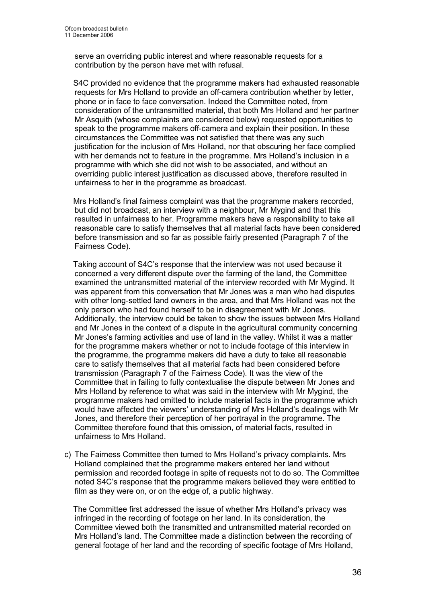serve an overriding public interest and where reasonable requests for a contribution by the person have met with refusal.

 S4C provided no evidence that the programme makers had exhausted reasonable requests for Mrs Holland to provide an off-camera contribution whether by letter, phone or in face to face conversation. Indeed the Committee noted, from consideration of the untransmitted material, that both Mrs Holland and her partner Mr Asquith (whose complaints are considered below) requested opportunities to speak to the programme makers off-camera and explain their position. In these circumstances the Committee was not satisfied that there was any such justification for the inclusion of Mrs Holland, nor that obscuring her face complied with her demands not to feature in the programme. Mrs Holland's inclusion in a programme with which she did not wish to be associated, and without an overriding public interest justification as discussed above, therefore resulted in unfairness to her in the programme as broadcast.

 Mrs Holland's final fairness complaint was that the programme makers recorded, but did not broadcast, an interview with a neighbour, Mr Mygind and that this resulted in unfairness to her. Programme makers have a responsibility to take all reasonable care to satisfy themselves that all material facts have been considered before transmission and so far as possible fairly presented (Paragraph 7 of the Fairness Code).

 Taking account of S4C's response that the interview was not used because it concerned a very different dispute over the farming of the land, the Committee examined the untransmitted material of the interview recorded with Mr Mygind. It was apparent from this conversation that Mr Jones was a man who had disputes with other long-settled land owners in the area, and that Mrs Holland was not the only person who had found herself to be in disagreement with Mr Jones. Additionally, the interview could be taken to show the issues between Mrs Holland and Mr Jones in the context of a dispute in the agricultural community concerning Mr Jones's farming activities and use of land in the valley. Whilst it was a matter for the programme makers whether or not to include footage of this interview in the programme, the programme makers did have a duty to take all reasonable care to satisfy themselves that all material facts had been considered before transmission (Paragraph 7 of the Fairness Code). It was the view of the Committee that in failing to fully contextualise the dispute between Mr Jones and Mrs Holland by reference to what was said in the interview with Mr Mygind, the programme makers had omitted to include material facts in the programme which would have affected the viewers' understanding of Mrs Holland's dealings with Mr Jones, and therefore their perception of her portrayal in the programme. The Committee therefore found that this omission, of material facts, resulted in unfairness to Mrs Holland.

c) The Fairness Committee then turned to Mrs Holland's privacy complaints. Mrs Holland complained that the programme makers entered her land without permission and recorded footage in spite of requests not to do so. The Committee noted S4C's response that the programme makers believed they were entitled to film as they were on, or on the edge of, a public highway.

 The Committee first addressed the issue of whether Mrs Holland's privacy was infringed in the recording of footage on her land. In its consideration, the Committee viewed both the transmitted and untransmitted material recorded on Mrs Holland's land. The Committee made a distinction between the recording of general footage of her land and the recording of specific footage of Mrs Holland,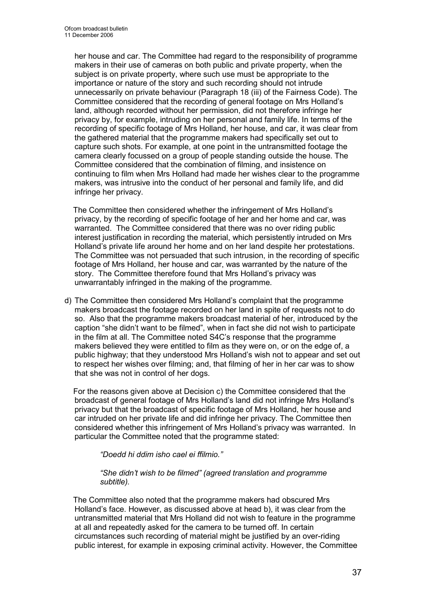her house and car. The Committee had regard to the responsibility of programme makers in their use of cameras on both public and private property, when the subject is on private property, where such use must be appropriate to the importance or nature of the story and such recording should not intrude unnecessarily on private behaviour (Paragraph 18 (iii) of the Fairness Code). The Committee considered that the recording of general footage on Mrs Holland's land, although recorded without her permission, did not therefore infringe her privacy by, for example, intruding on her personal and family life. In terms of the recording of specific footage of Mrs Holland, her house, and car, it was clear from the gathered material that the programme makers had specifically set out to capture such shots. For example, at one point in the untransmitted footage the camera clearly focussed on a group of people standing outside the house. The Committee considered that the combination of filming, and insistence on continuing to film when Mrs Holland had made her wishes clear to the programme makers, was intrusive into the conduct of her personal and family life, and did infringe her privacy.

 The Committee then considered whether the infringement of Mrs Holland's privacy, by the recording of specific footage of her and her home and car, was warranted. The Committee considered that there was no over riding public interest justification in recording the material, which persistently intruded on Mrs Holland's private life around her home and on her land despite her protestations. The Committee was not persuaded that such intrusion, in the recording of specific footage of Mrs Holland, her house and car, was warranted by the nature of the story. The Committee therefore found that Mrs Holland's privacy was unwarrantably infringed in the making of the programme.

d) The Committee then considered Mrs Holland's complaint that the programme makers broadcast the footage recorded on her land in spite of requests not to do so. Also that the programme makers broadcast material of her, introduced by the caption "she didn't want to be filmed", when in fact she did not wish to participate in the film at all. The Committee noted S4C's response that the programme makers believed they were entitled to film as they were on, or on the edge of, a public highway; that they understood Mrs Holland's wish not to appear and set out to respect her wishes over filming; and, that filming of her in her car was to show that she was not in control of her dogs.

 For the reasons given above at Decision c) the Committee considered that the broadcast of general footage of Mrs Holland's land did not infringe Mrs Holland's privacy but that the broadcast of specific footage of Mrs Holland, her house and car intruded on her private life and did infringe her privacy. The Committee then considered whether this infringement of Mrs Holland's privacy was warranted. In particular the Committee noted that the programme stated:

"Doedd hi ddim isho cael ei ffilmio."

#### "She didn't wish to be filmed" (agreed translation and programme subtitle).

 The Committee also noted that the programme makers had obscured Mrs Holland's face. However, as discussed above at head b), it was clear from the untransmitted material that Mrs Holland did not wish to feature in the programme at all and repeatedly asked for the camera to be turned off. In certain circumstances such recording of material might be justified by an over-riding public interest, for example in exposing criminal activity. However, the Committee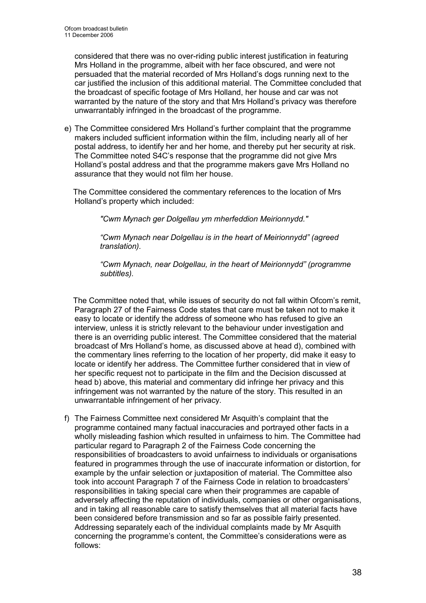considered that there was no over-riding public interest justification in featuring Mrs Holland in the programme, albeit with her face obscured, and were not persuaded that the material recorded of Mrs Holland's dogs running next to the car justified the inclusion of this additional material. The Committee concluded that the broadcast of specific footage of Mrs Holland, her house and car was not warranted by the nature of the story and that Mrs Holland's privacy was therefore unwarrantably infringed in the broadcast of the programme.

e) The Committee considered Mrs Holland's further complaint that the programme makers included sufficient information within the film, including nearly all of her postal address, to identify her and her home, and thereby put her security at risk. The Committee noted S4C's response that the programme did not give Mrs Holland's postal address and that the programme makers gave Mrs Holland no assurance that they would not film her house.

 The Committee considered the commentary references to the location of Mrs Holland's property which included:

"Cwm Mynach ger Dolgellau ym mherfeddion Meirionnydd."

"Cwm Mynach near Dolgellau is in the heart of Meirionnydd" (agreed translation).

"Cwm Mynach, near Dolgellau, in the heart of Meirionnydd" (programme subtitles).

 The Committee noted that, while issues of security do not fall within Ofcom's remit, Paragraph 27 of the Fairness Code states that care must be taken not to make it easy to locate or identify the address of someone who has refused to give an interview, unless it is strictly relevant to the behaviour under investigation and there is an overriding public interest. The Committee considered that the material broadcast of Mrs Holland's home, as discussed above at head d), combined with the commentary lines referring to the location of her property, did make it easy to locate or identify her address. The Committee further considered that in view of her specific request not to participate in the film and the Decision discussed at head b) above, this material and commentary did infringe her privacy and this infringement was not warranted by the nature of the story. This resulted in an unwarrantable infringement of her privacy.

f) The Fairness Committee next considered Mr Asquith's complaint that the programme contained many factual inaccuracies and portrayed other facts in a wholly misleading fashion which resulted in unfairness to him. The Committee had particular regard to Paragraph 2 of the Fairness Code concerning the responsibilities of broadcasters to avoid unfairness to individuals or organisations featured in programmes through the use of inaccurate information or distortion, for example by the unfair selection or juxtaposition of material. The Committee also took into account Paragraph 7 of the Fairness Code in relation to broadcasters' responsibilities in taking special care when their programmes are capable of adversely affecting the reputation of individuals, companies or other organisations, and in taking all reasonable care to satisfy themselves that all material facts have been considered before transmission and so far as possible fairly presented. Addressing separately each of the individual complaints made by Mr Asquith concerning the programme's content, the Committee's considerations were as follows: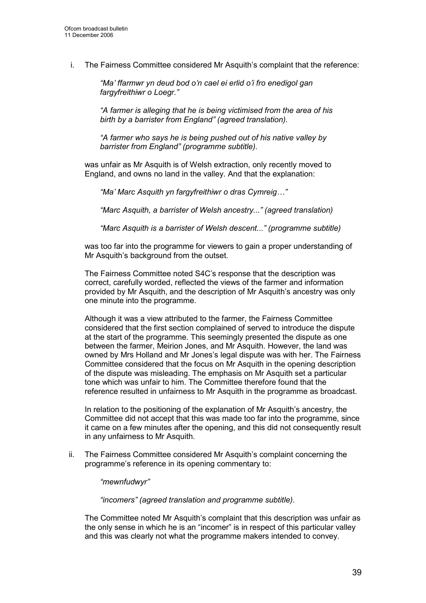i. The Fairness Committee considered Mr Asquith's complaint that the reference:

"Ma' ffarmwr yn deud bod o'n cael ei erlid o'i fro enedigol gan fargyfreithiwr o Loegr."

"A farmer is alleging that he is being victimised from the area of his birth by a barrister from England" (agreed translation).

"A farmer who says he is being pushed out of his native valley by barrister from England" (programme subtitle).

was unfair as Mr Asquith is of Welsh extraction, only recently moved to England, and owns no land in the valley. And that the explanation:

"Ma' Marc Asquith yn fargyfreithiwr o dras Cymreig…"

"Marc Asquith, a barrister of Welsh ancestry..." (agreed translation)

"Marc Asquith is a barrister of Welsh descent..." (programme subtitle)

was too far into the programme for viewers to gain a proper understanding of Mr Asquith's background from the outset.

The Fairness Committee noted S4C's response that the description was correct, carefully worded, reflected the views of the farmer and information provided by Mr Asquith, and the description of Mr Asquith's ancestry was only one minute into the programme.

Although it was a view attributed to the farmer, the Fairness Committee considered that the first section complained of served to introduce the dispute at the start of the programme. This seemingly presented the dispute as one between the farmer, Meirion Jones, and Mr Asquith. However, the land was owned by Mrs Holland and Mr Jones's legal dispute was with her. The Fairness Committee considered that the focus on Mr Asquith in the opening description of the dispute was misleading. The emphasis on Mr Asquith set a particular tone which was unfair to him. The Committee therefore found that the reference resulted in unfairness to Mr Asquith in the programme as broadcast.

In relation to the positioning of the explanation of Mr Asquith's ancestry, the Committee did not accept that this was made too far into the programme, since it came on a few minutes after the opening, and this did not consequently result in any unfairness to Mr Asquith.

ii. The Fairness Committee considered Mr Asquith's complaint concerning the programme's reference in its opening commentary to:

"mewnfudwyr"

"incomers" (agreed translation and programme subtitle).

The Committee noted Mr Asquith's complaint that this description was unfair as the only sense in which he is an "incomer" is in respect of this particular valley and this was clearly not what the programme makers intended to convey.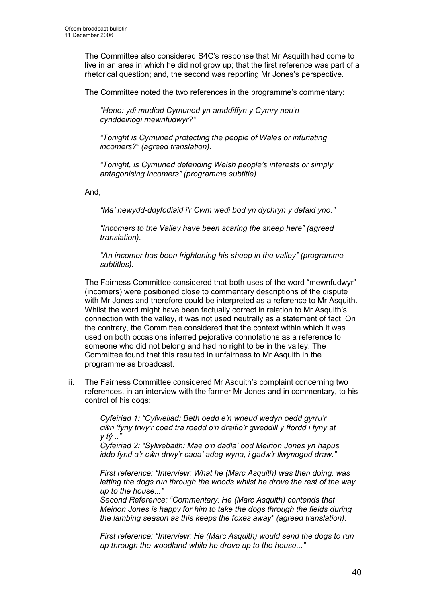The Committee also considered S4C's response that Mr Asquith had come to live in an area in which he did not grow up; that the first reference was part of a rhetorical question; and, the second was reporting Mr Jones's perspective.

The Committee noted the two references in the programme's commentary:

"Heno: ydi mudiad Cymuned yn amddiffyn y Cymry neu'n cynddeiriogi mewnfudwyr?"

"Tonight is Cymuned protecting the people of Wales or infuriating incomers?" (agreed translation).

"Tonight, is Cymuned defending Welsh people's interests or simply antagonising incomers" (programme subtitle).

And,

"Ma' newydd-ddyfodiaid i'r Cwm wedi bod yn dychryn y defaid yno."

"Incomers to the Valley have been scaring the sheep here" (agreed translation).

"An incomer has been frightening his sheep in the valley" (programme subtitles).

The Fairness Committee considered that both uses of the word "mewnfudwyr" (incomers) were positioned close to commentary descriptions of the dispute with Mr Jones and therefore could be interpreted as a reference to Mr Asquith. Whilst the word might have been factually correct in relation to Mr Asquith's connection with the valley, it was not used neutrally as a statement of fact. On the contrary, the Committee considered that the context within which it was used on both occasions inferred pejorative connotations as a reference to someone who did not belong and had no right to be in the valley. The Committee found that this resulted in unfairness to Mr Asquith in the programme as broadcast.

iii. The Fairness Committee considered Mr Asquith's complaint concerning two references, in an interview with the farmer Mr Jones and in commentary, to his control of his dogs:

> Cyfeiriad 1: "Cyfweliad: Beth oedd e'n wneud wedyn oedd gyrru'r cŵn 'fyny trwy'r coed tra roedd o'n dreifio'r gweddill y ffordd i fyny at  $V$  tv $\hat{V}$   $\ldots$ "

Cyfeiriad 2: "Sylwebaith: Mae o'n dadla' bod Meirion Jones yn hapus iddo fynd a'r cŵn drwy'r caea' adeg wyna, i gadw'r llwynogod draw."

First reference: "Interview: What he (Marc Asquith) was then doing, was letting the dogs run through the woods whilst he drove the rest of the way up to the house..."

Second Reference: "Commentary: He (Marc Asquith) contends that Meirion Jones is happy for him to take the dogs through the fields during the lambing season as this keeps the foxes away" (agreed translation).

First reference: "Interview: He (Marc Asquith) would send the dogs to run up through the woodland while he drove up to the house..."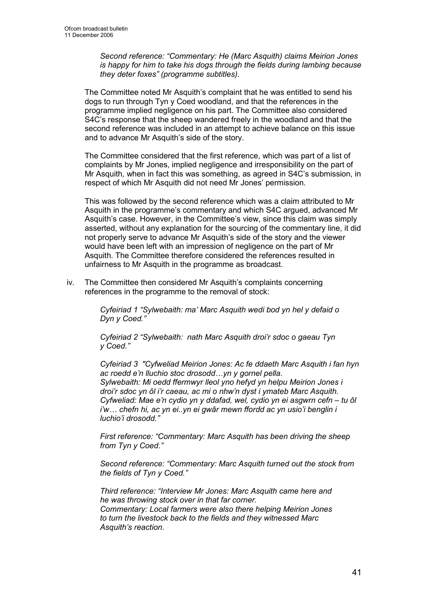Second reference: "Commentary: He (Marc Asquith) claims Meirion Jones is happy for him to take his dogs through the fields during lambing because they deter foxes" (programme subtitles).

The Committee noted Mr Asquith's complaint that he was entitled to send his dogs to run through Tyn y Coed woodland, and that the references in the programme implied negligence on his part. The Committee also considered S4C's response that the sheep wandered freely in the woodland and that the second reference was included in an attempt to achieve balance on this issue and to advance Mr Asquith's side of the story.

The Committee considered that the first reference, which was part of a list of complaints by Mr Jones, implied negligence and irresponsibility on the part of Mr Asquith, when in fact this was something, as agreed in S4C's submission, in respect of which Mr Asquith did not need Mr Jones' permission.

This was followed by the second reference which was a claim attributed to Mr Asquith in the programme's commentary and which S4C argued, advanced Mr Asquith's case. However, in the Committee's view, since this claim was simply asserted, without any explanation for the sourcing of the commentary line, it did not properly serve to advance Mr Asquith's side of the story and the viewer would have been left with an impression of negligence on the part of Mr Asquith. The Committee therefore considered the references resulted in unfairness to Mr Asquith in the programme as broadcast.

iv. The Committee then considered Mr Asquith's complaints concerning references in the programme to the removal of stock:

> Cyfeiriad 1 "Sylwebaith: ma' Marc Asquith wedi bod yn hel y defaid o Dyn y Coed."

Cyfeiriad 2 "Sylwebaith: nath Marc Asquith droi'r sdoc o gaeau Tyn y Coed."

Cyfeiriad 3 "Cyfweliad Meirion Jones: Ac fe ddaeth Marc Asquith i fan hyn ac roedd e'n lluchio stoc drosodd…yn y gornel pella. Sylwebaith: Mi oedd ffermwyr lleol yno hefyd yn helpu Meirion Jones i droi'r sdoc yn ôl i'r caeau, ac mi o nhw'n dyst i ymateb Marc Asquith. Cyfweliad: Mae e'n cydio yn y ddafad, wel, cydio yn ei asgwrn cefn – tu ôl i'w… chefn hi, ac yn ei..yn ei gwâr mewn ffordd ac yn usio'i benglin i luchio'i drosodd."

First reference: "Commentary: Marc Asquith has been driving the sheep from Tyn y Coed."

Second reference: "Commentary: Marc Asquith turned out the stock from the fields of Tyn y Coed."

Third reference: "Interview Mr Jones: Marc Asquith came here and he was throwing stock over in that far corner. Commentary: Local farmers were also there helping Meirion Jones to turn the livestock back to the fields and they witnessed Marc Asquith's reaction.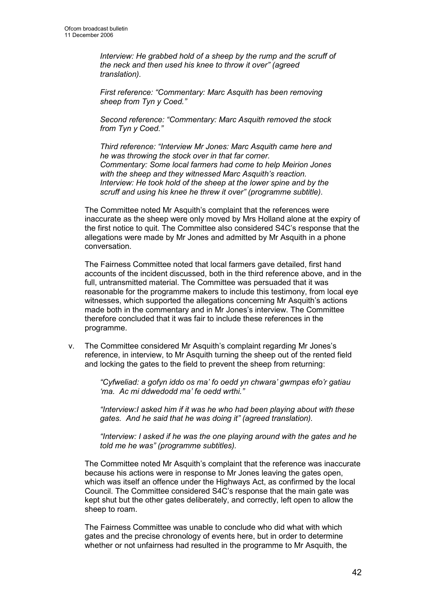Interview: He grabbed hold of a sheep by the rump and the scruff of the neck and then used his knee to throw it over" (agreed translation).

First reference: "Commentary: Marc Asquith has been removing sheep from Tyn y Coed."

Second reference: "Commentary: Marc Asquith removed the stock from Tyn y Coed."

Third reference: "Interview Mr Jones: Marc Asquith came here and he was throwing the stock over in that far corner. Commentary: Some local farmers had come to help Meirion Jones with the sheep and they witnessed Marc Asquith's reaction. Interview: He took hold of the sheep at the lower spine and by the scruff and using his knee he threw it over" (programme subtitle).

The Committee noted Mr Asquith's complaint that the references were inaccurate as the sheep were only moved by Mrs Holland alone at the expiry of the first notice to quit. The Committee also considered S4C's response that the allegations were made by Mr Jones and admitted by Mr Asquith in a phone conversation.

The Fairness Committee noted that local farmers gave detailed, first hand accounts of the incident discussed, both in the third reference above, and in the full, untransmitted material. The Committee was persuaded that it was reasonable for the programme makers to include this testimony, from local eye witnesses, which supported the allegations concerning Mr Asquith's actions made both in the commentary and in Mr Jones's interview. The Committee therefore concluded that it was fair to include these references in the programme.

v. The Committee considered Mr Asquith's complaint regarding Mr Jones's reference, in interview, to Mr Asquith turning the sheep out of the rented field and locking the gates to the field to prevent the sheep from returning:

> "Cyfweliad: a gofyn iddo os ma' fo oedd yn chwara' gwmpas efo'r gatiau 'ma. Ac mi ddwedodd ma' fe oedd wrthi."

"Interview:I asked him if it was he who had been playing about with these gates. And he said that he was doing it" (agreed translation).

"Interview: I asked if he was the one playing around with the gates and he told me he was" (programme subtitles).

The Committee noted Mr Asquith's complaint that the reference was inaccurate because his actions were in response to Mr Jones leaving the gates open, which was itself an offence under the Highways Act, as confirmed by the local Council. The Committee considered S4C's response that the main gate was kept shut but the other gates deliberately, and correctly, left open to allow the sheep to roam.

The Fairness Committee was unable to conclude who did what with which gates and the precise chronology of events here, but in order to determine whether or not unfairness had resulted in the programme to Mr Asquith, the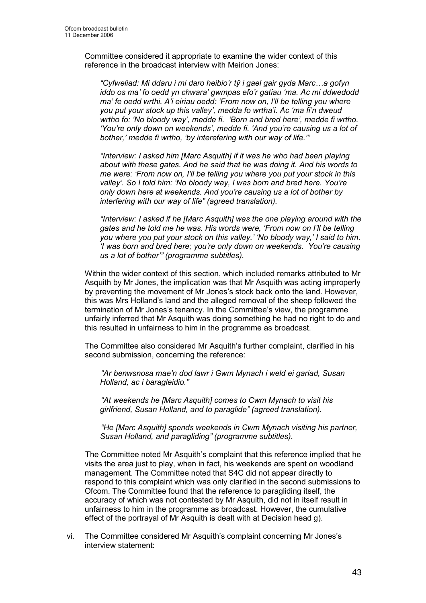Committee considered it appropriate to examine the wider context of this reference in the broadcast interview with Meirion Jones:

"Cyfweliad: Mi ddaru i mi daro heibio'r tŷ i gael gair gyda Marc…a gofyn iddo os ma' fo oedd yn chwara' gwmpas efo'r gatiau 'ma. Ac mi ddwedodd ma' fe oedd wrthi. A'i eiriau oedd: 'From now on, I'll be telling you where you put your stock up this valley', medda fo wrtha'i. Ac 'ma fi'n dweud wrtho fo: 'No bloody way', medde fi. 'Born and bred here', medde fi wrtho. 'You're only down on weekends', medde fi. 'And you're causing us a lot of bother,' medde fi wrtho, 'by interefering with our way of life.'"

"Interview: I asked him [Marc Asquith] if it was he who had been playing about with these gates. And he said that he was doing it. And his words to me were: 'From now on, I'll be telling you where you put your stock in this valley'. So I told him: 'No bloody way, I was born and bred here. You're only down here at weekends. And you're causing us a lot of bother by interfering with our way of life" (agreed translation).

"Interview: I asked if he [Marc Asquith] was the one playing around with the gates and he told me he was. His words were, 'From now on I'll be telling you where you put your stock on this valley.' 'No bloody way,' I said to him. 'I was born and bred here; you're only down on weekends. You're causing us a lot of bother'" (programme subtitles).

Within the wider context of this section, which included remarks attributed to Mr Asquith by Mr Jones, the implication was that Mr Asquith was acting improperly by preventing the movement of Mr Jones's stock back onto the land. However, this was Mrs Holland's land and the alleged removal of the sheep followed the termination of Mr Jones's tenancy. In the Committee's view, the programme unfairly inferred that Mr Asquith was doing something he had no right to do and this resulted in unfairness to him in the programme as broadcast.

The Committee also considered Mr Asquith's further complaint, clarified in his second submission, concerning the reference:

"Ar benwsnosa mae'n dod lawr i Gwm Mynach i weld ei gariad, Susan Holland, ac i baragleidio."

"At weekends he [Marc Asquith] comes to Cwm Mynach to visit his girlfriend, Susan Holland, and to paraglide" (agreed translation).

"He [Marc Asquith] spends weekends in Cwm Mynach visiting his partner, Susan Holland, and paragliding" (programme subtitles).

The Committee noted Mr Asquith's complaint that this reference implied that he visits the area just to play, when in fact, his weekends are spent on woodland management. The Committee noted that S4C did not appear directly to respond to this complaint which was only clarified in the second submissions to Ofcom. The Committee found that the reference to paragliding itself, the accuracy of which was not contested by Mr Asquith, did not in itself result in unfairness to him in the programme as broadcast. However, the cumulative effect of the portrayal of Mr Asquith is dealt with at Decision head g).

vi. The Committee considered Mr Asquith's complaint concerning Mr Jones's interview statement: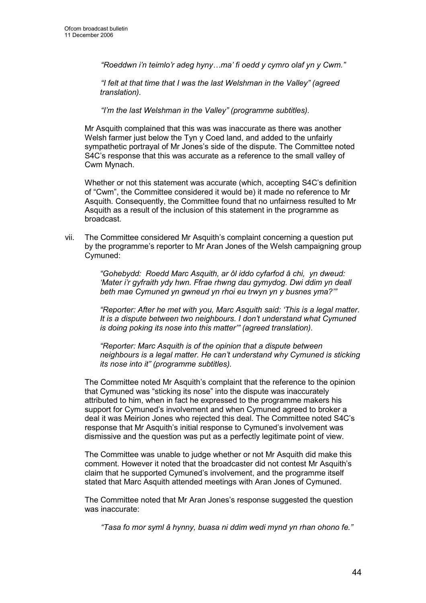"Roeddwn i'n teimlo'r adeg hyny…ma' fi oedd y cymro olaf yn y Cwm."

"I felt at that time that I was the last Welshman in the Valley" (agreed translation).

"I'm the last Welshman in the Valley" (programme subtitles).

Mr Asquith complained that this was was inaccurate as there was another Welsh farmer just below the Tyn y Coed land, and added to the unfairly sympathetic portrayal of Mr Jones's side of the dispute. The Committee noted S4C's response that this was accurate as a reference to the small valley of Cwm Mynach.

Whether or not this statement was accurate (which, accepting S4C's definition of "Cwm", the Committee considered it would be) it made no reference to Mr Asquith. Consequently, the Committee found that no unfairness resulted to Mr Asquith as a result of the inclusion of this statement in the programme as broadcast.

vii. The Committee considered Mr Asquith's complaint concerning a question put by the programme's reporter to Mr Aran Jones of the Welsh campaigning group Cymuned:

> "Gohebydd: Roedd Marc Asquith, ar ôl iddo cyfarfod â chi, yn dweud: 'Mater i'r gyfraith ydy hwn. Ffrae rhwng dau gymydog. Dwi ddim yn deall beth mae Cymuned yn gwneud yn rhoi eu trwyn yn y busnes yma?'"

"Reporter: After he met with you, Marc Asquith said: 'This is a legal matter. It is a dispute between two neighbours. I don't understand what Cymuned is doing poking its nose into this matter'" (agreed translation).

"Reporter: Marc Asquith is of the opinion that a dispute between neighbours is a legal matter. He can't understand why Cymuned is sticking its nose into it" (programme subtitles).

The Committee noted Mr Asquith's complaint that the reference to the opinion that Cymuned was "sticking its nose" into the dispute was inaccurately attributed to him, when in fact he expressed to the programme makers his support for Cymuned's involvement and when Cymuned agreed to broker a deal it was Meirion Jones who rejected this deal. The Committee noted S4C's response that Mr Asquith's initial response to Cymuned's involvement was dismissive and the question was put as a perfectly legitimate point of view.

The Committee was unable to judge whether or not Mr Asquith did make this comment. However it noted that the broadcaster did not contest Mr Asquith's claim that he supported Cymuned's involvement, and the programme itself stated that Marc Asquith attended meetings with Aran Jones of Cymuned.

The Committee noted that Mr Aran Jones's response suggested the question was inaccurate:

"Tasa fo mor syml â hynny, buasa ni ddim wedi mynd yn rhan ohono fe."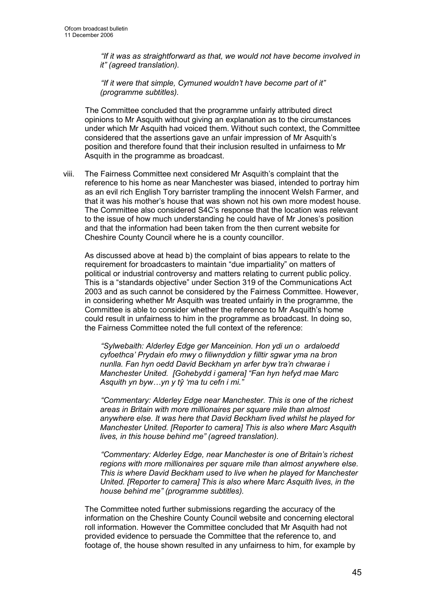"If it was as straightforward as that, we would not have become involved in it" (agreed translation).

"If it were that simple, Cymuned wouldn't have become part of it" (programme subtitles).

The Committee concluded that the programme unfairly attributed direct opinions to Mr Asquith without giving an explanation as to the circumstances under which Mr Asquith had voiced them. Without such context, the Committee considered that the assertions gave an unfair impression of Mr Asquith's position and therefore found that their inclusion resulted in unfairness to Mr Asquith in the programme as broadcast.

viii. The Fairness Committee next considered Mr Asquith's complaint that the reference to his home as near Manchester was biased, intended to portray him as an evil rich English Tory barrister trampling the innocent Welsh Farmer, and that it was his mother's house that was shown not his own more modest house. The Committee also considered S4C's response that the location was relevant to the issue of how much understanding he could have of Mr Jones's position and that the information had been taken from the then current website for Cheshire County Council where he is a county councillor.

As discussed above at head b) the complaint of bias appears to relate to the requirement for broadcasters to maintain "due impartiality" on matters of political or industrial controversy and matters relating to current public policy. This is a "standards objective" under Section 319 of the Communications Act 2003 and as such cannot be considered by the Fairness Committee. However, in considering whether Mr Asquith was treated unfairly in the programme, the Committee is able to consider whether the reference to Mr Asquith's home could result in unfairness to him in the programme as broadcast. In doing so, the Fairness Committee noted the full context of the reference:

"Sylwebaith: Alderley Edge ger Manceinion. Hon ydi un o ardaloedd cyfoethca' Prydain efo mwy o filiwnyddion y filltir sgwar yma na bron nunlla. Fan hyn oedd David Beckham yn arfer byw tra'n chwarae i Manchester United. [Gohebydd i gamera] "Fan hyn hefyd mae Marc Asquith yn byw…yn y tŷ 'ma tu cefn i mi."

"Commentary: Alderley Edge near Manchester. This is one of the richest areas in Britain with more millionaires per square mile than almost anywhere else. It was here that David Beckham lived whilst he played for Manchester United. [Reporter to camera] This is also where Marc Asquith lives, in this house behind me" (agreed translation).

"Commentary: Alderley Edge, near Manchester is one of Britain's richest regions with more millionaires per square mile than almost anywhere else. This is where David Beckham used to live when he played for Manchester United. [Reporter to camera] This is also where Marc Asquith lives, in the house behind me" (programme subtitles).

The Committee noted further submissions regarding the accuracy of the information on the Cheshire County Council website and concerning electoral roll information. However the Committee concluded that Mr Asquith had not provided evidence to persuade the Committee that the reference to, and footage of, the house shown resulted in any unfairness to him, for example by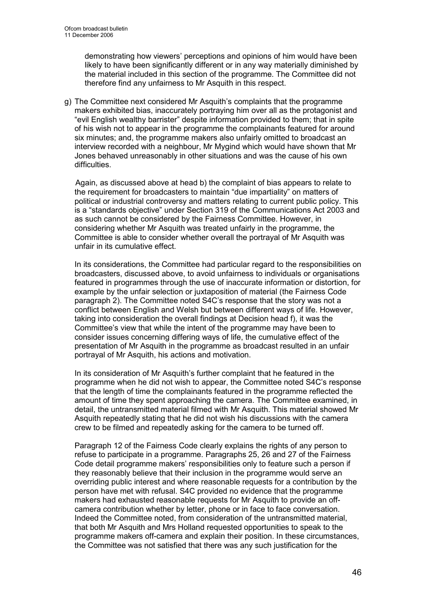demonstrating how viewers' perceptions and opinions of him would have been likely to have been significantly different or in any way materially diminished by the material included in this section of the programme. The Committee did not therefore find any unfairness to Mr Asquith in this respect.

g) The Committee next considered Mr Asquith's complaints that the programme makers exhibited bias, inaccurately portraying him over all as the protagonist and "evil English wealthy barrister" despite information provided to them; that in spite of his wish not to appear in the programme the complainants featured for around six minutes; and, the programme makers also unfairly omitted to broadcast an interview recorded with a neighbour, Mr Mygind which would have shown that Mr Jones behaved unreasonably in other situations and was the cause of his own difficulties.

 Again, as discussed above at head b) the complaint of bias appears to relate to the requirement for broadcasters to maintain "due impartiality" on matters of political or industrial controversy and matters relating to current public policy. This is a "standards objective" under Section 319 of the Communications Act 2003 and as such cannot be considered by the Fairness Committee. However, in considering whether Mr Asquith was treated unfairly in the programme, the Committee is able to consider whether overall the portrayal of Mr Asquith was unfair in its cumulative effect.

In its considerations, the Committee had particular regard to the responsibilities on broadcasters, discussed above, to avoid unfairness to individuals or organisations featured in programmes through the use of inaccurate information or distortion, for example by the unfair selection or juxtaposition of material (the Fairness Code paragraph 2). The Committee noted S4C's response that the story was not a conflict between English and Welsh but between different ways of life. However, taking into consideration the overall findings at Decision head f), it was the Committee's view that while the intent of the programme may have been to consider issues concerning differing ways of life, the cumulative effect of the presentation of Mr Asquith in the programme as broadcast resulted in an unfair portrayal of Mr Asquith, his actions and motivation.

In its consideration of Mr Asquith's further complaint that he featured in the programme when he did not wish to appear, the Committee noted S4C's response that the length of time the complainants featured in the programme reflected the amount of time they spent approaching the camera. The Committee examined, in detail, the untransmitted material filmed with Mr Asquith. This material showed Mr Asquith repeatedly stating that he did not wish his discussions with the camera crew to be filmed and repeatedly asking for the camera to be turned off.

Paragraph 12 of the Fairness Code clearly explains the rights of any person to refuse to participate in a programme. Paragraphs 25, 26 and 27 of the Fairness Code detail programme makers' responsibilities only to feature such a person if they reasonably believe that their inclusion in the programme would serve an overriding public interest and where reasonable requests for a contribution by the person have met with refusal. S4C provided no evidence that the programme makers had exhausted reasonable requests for Mr Asquith to provide an offcamera contribution whether by letter, phone or in face to face conversation. Indeed the Committee noted, from consideration of the untransmitted material, that both Mr Asquith and Mrs Holland requested opportunities to speak to the programme makers off-camera and explain their position. In these circumstances, the Committee was not satisfied that there was any such justification for the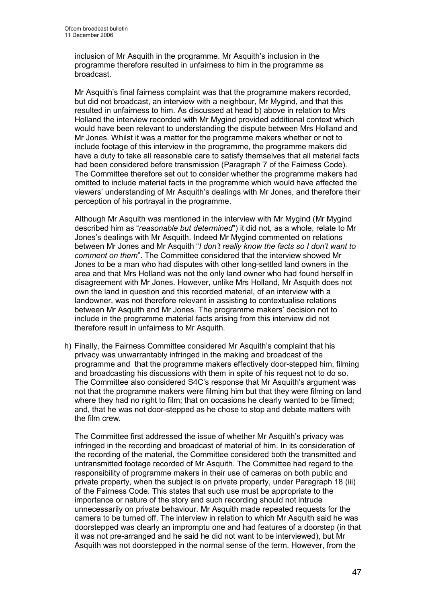inclusion of Mr Asquith in the programme. Mr Asquith's inclusion in the programme therefore resulted in unfairness to him in the programme as broadcast.

Mr Asquith's final fairness complaint was that the programme makers recorded, but did not broadcast, an interview with a neighbour, Mr Mygind, and that this resulted in unfairness to him. As discussed at head b) above in relation to Mrs Holland the interview recorded with Mr Mygind provided additional context which would have been relevant to understanding the dispute between Mrs Holland and Mr Jones. Whilst it was a matter for the programme makers whether or not to include footage of this interview in the programme, the programme makers did have a duty to take all reasonable care to satisfy themselves that all material facts had been considered before transmission (Paragraph 7 of the Fairness Code). The Committee therefore set out to consider whether the programme makers had omitted to include material facts in the programme which would have affected the viewers' understanding of Mr Asquith's dealings with Mr Jones, and therefore their perception of his portrayal in the programme.

Although Mr Asquith was mentioned in the interview with Mr Mygind (Mr Mygind described him as "reasonable but determined") it did not, as a whole, relate to Mr Jones's dealings with Mr Asquith. Indeed Mr Mygind commented on relations between Mr Jones and Mr Asquith "I don't really know the facts so I don't want to comment on them". The Committee considered that the interview showed Mr Jones to be a man who had disputes with other long-settled land owners in the area and that Mrs Holland was not the only land owner who had found herself in disagreement with Mr Jones. However, unlike Mrs Holland, Mr Asquith does not own the land in question and this recorded material, of an interview with a landowner, was not therefore relevant in assisting to contextualise relations between Mr Asquith and Mr Jones. The programme makers' decision not to include in the programme material facts arising from this interview did not therefore result in unfairness to Mr Asquith.

h) Finally, the Fairness Committee considered Mr Asquith's complaint that his privacy was unwarrantably infringed in the making and broadcast of the programme and that the programme makers effectively door-stepped him, filming and broadcasting his discussions with them in spite of his request not to do so. The Committee also considered S4C's response that Mr Asquith's argument was not that the programme makers were filming him but that they were filming on land where they had no right to film; that on occasions he clearly wanted to be filmed; and, that he was not door-stepped as he chose to stop and debate matters with the film crew.

The Committee first addressed the issue of whether Mr Asquith's privacy was infringed in the recording and broadcast of material of him. In its consideration of the recording of the material, the Committee considered both the transmitted and untransmitted footage recorded of Mr Asquith. The Committee had regard to the responsibility of programme makers in their use of cameras on both public and private property, when the subject is on private property, under Paragraph 18 (iii) of the Fairness Code. This states that such use must be appropriate to the importance or nature of the story and such recording should not intrude unnecessarily on private behaviour. Mr Asquith made repeated requests for the camera to be turned off. The interview in relation to which Mr Asquith said he was doorstepped was clearly an impromptu one and had features of a doorstep (in that it was not pre-arranged and he said he did not want to be interviewed), but Mr Asquith was not doorstepped in the normal sense of the term. However, from the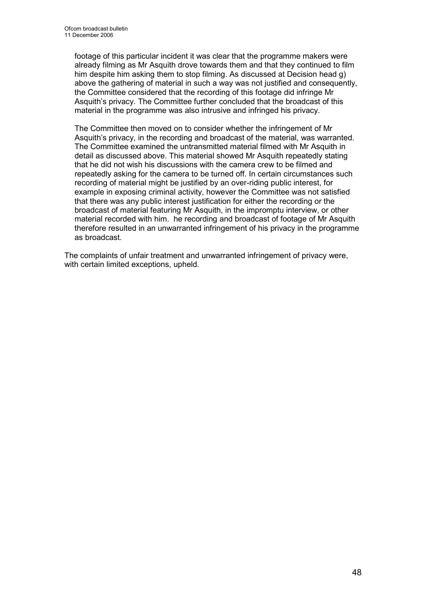footage of this particular incident it was clear that the programme makers were already filming as Mr Asquith drove towards them and that they continued to film him despite him asking them to stop filming. As discussed at Decision head g) above the gathering of material in such a way was not justified and consequently, the Committee considered that the recording of this footage did infringe Mr Asquith's privacy. The Committee further concluded that the broadcast of this material in the programme was also intrusive and infringed his privacy.

The Committee then moved on to consider whether the infringement of Mr Asquith's privacy, in the recording and broadcast of the material, was warranted. The Committee examined the untransmitted material filmed with Mr Asquith in detail as discussed above. This material showed Mr Asquith repeatedly stating that he did not wish his discussions with the camera crew to be filmed and repeatedly asking for the camera to be turned off. In certain circumstances such recording of material might be justified by an over-riding public interest, for example in exposing criminal activity, however the Committee was not satisfied that there was any public interest justification for either the recording or the broadcast of material featuring Mr Asquith, in the impromptu interview, or other material recorded with him. he recording and broadcast of footage of Mr Asquith therefore resulted in an unwarranted infringement of his privacy in the programme as broadcast.

The complaints of unfair treatment and unwarranted infringement of privacy were, with certain limited exceptions, upheld.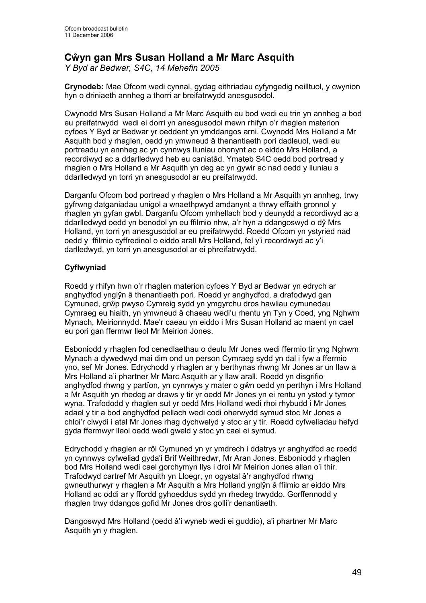# Cŵyn gan Mrs Susan Holland a Mr Marc Asquith

Y Byd ar Bedwar, S4C, 14 Mehefin 2005

Crynodeb: Mae Ofcom wedi cynnal, gydag eithriadau cyfyngedig neilltuol, y cwynion hyn o driniaeth annheg a thorri ar breifatrwydd anesgusodol.

Cwynodd Mrs Susan Holland a Mr Marc Asquith eu bod wedi eu trin yn annheg a bod eu preifatrwydd wedi ei dorri yn anesgusodol mewn rhifyn o'r rhaglen materion cyfoes Y Byd ar Bedwar yr oeddent yn ymddangos arni. Cwynodd Mrs Holland a Mr Asquith bod y rhaglen, oedd yn ymwneud â thenantiaeth pori dadleuol, wedi eu portreadu yn annheg ac yn cynnwys lluniau ohonynt ac o eiddo Mrs Holland, a recordiwyd ac a ddarlledwyd heb eu caniatâd. Ymateb S4C oedd bod portread y rhaglen o Mrs Holland a Mr Asquith yn deg ac yn gywir ac nad oedd y lluniau a ddarlledwyd yn torri yn anesgusodol ar eu preifatrwydd.

Darganfu Ofcom bod portread y rhaglen o Mrs Holland a Mr Asquith yn annheg, trwy gyfrwng datganiadau unigol a wnaethpwyd amdanynt a thrwy effaith gronnol y rhaglen yn gyfan gwbl. Darganfu Ofcom ymhellach bod y deunydd a recordiwyd ac a ddarlledwyd oedd yn benodol yn eu ffilmio nhw, a'r hyn a ddangoswyd o dŷ Mrs Holland, yn torri yn anesgusodol ar eu preifatrwydd. Roedd Ofcom yn ystyried nad oedd y ffilmio cyffredinol o eiddo arall Mrs Holland, fel y'i recordiwyd ac y'i darlledwyd, yn torri yn anesgusodol ar ei phreifatrwydd.

# Cyflwyniad

Roedd y rhifyn hwn o'r rhaglen materion cyfoes Y Byd ar Bedwar yn edrych ar anghydfod ynglŷn â thenantiaeth pori. Roedd yr anghydfod, a drafodwyd gan Cymuned, grŵp pwyso Cymreig sydd yn ymgyrchu dros hawliau cymunedau Cymraeg eu hiaith, yn ymwneud â chaeau wedi'u rhentu yn Tyn y Coed, yng Nghwm Mynach, Meirionnydd. Mae'r caeau yn eiddo i Mrs Susan Holland ac maent yn cael eu pori gan ffermwr lleol Mr Meirion Jones.

Esboniodd y rhaglen fod cenedlaethau o deulu Mr Jones wedi ffermio tir yng Nghwm Mynach a dywedwyd mai dim ond un person Cymraeg sydd yn dal i fyw a ffermio yno, sef Mr Jones. Edrychodd y rhaglen ar y berthynas rhwng Mr Jones ar un llaw a Mrs Holland a'i phartner Mr Marc Asquith ar y llaw arall. Roedd yn disgrifio anghydfod rhwng y partïon, yn cynnwys y mater o gŵn oedd yn perthyn i Mrs Holland a Mr Asquith yn rhedeg ar draws y tir yr oedd Mr Jones yn ei rentu yn ystod y tymor wyna. Trafododd y rhaglen sut yr oedd Mrs Holland wedi rhoi rhybudd i Mr Jones adael y tir a bod anghydfod pellach wedi codi oherwydd symud stoc Mr Jones a chloi'r clwydi i atal Mr Jones rhag dychwelyd y stoc ar y tir. Roedd cyfweliadau hefyd gyda ffermwyr lleol oedd wedi gweld y stoc yn cael ei symud.

Edrychodd y rhaglen ar rôl Cymuned yn yr ymdrech i ddatrys yr anghydfod ac roedd yn cynnwys cyfweliad gyda'i Brif Weithredwr, Mr Aran Jones. Esboniodd y rhaglen bod Mrs Holland wedi cael gorchymyn llys i droi Mr Meirion Jones allan o'i thir. Trafodwyd cartref Mr Asquith yn Lloegr, yn ogystal â'r anghydfod rhwng gwneuthurwyr y rhaglen a Mr Asquith a Mrs Holland ynglŷn â ffilmio ar eiddo Mrs Holland ac oddi ar y ffordd gyhoeddus sydd yn rhedeg trwyddo. Gorffennodd y rhaglen trwy ddangos gofid Mr Jones dros golli'r denantiaeth.

Dangoswyd Mrs Holland (oedd â'i wyneb wedi ei guddio), a'i phartner Mr Marc Asquith yn y rhaglen.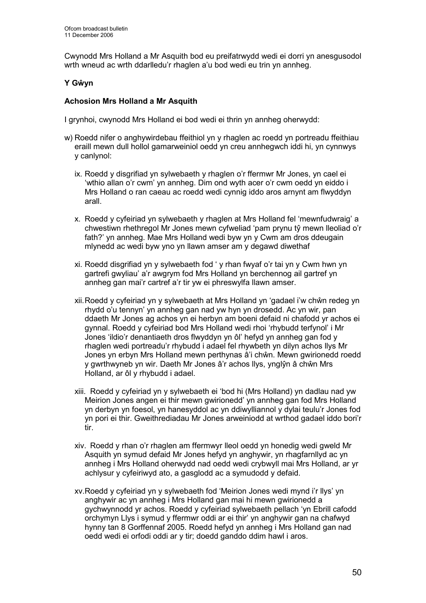Cwynodd Mrs Holland a Mr Asquith bod eu preifatrwydd wedi ei dorri yn anesgusodol wrth wneud ac wrth ddarlledu'r rhaglen a'u bod wedi eu trin yn annheg.

## Y Gŵyn

## Achosion Mrs Holland a Mr Asquith

I grynhoi, cwynodd Mrs Holland ei bod wedi ei thrin yn annheg oherwydd:

- w) Roedd nifer o anghywirdebau ffeithiol yn y rhaglen ac roedd yn portreadu ffeithiau eraill mewn dull hollol gamarweiniol oedd yn creu annhegwch iddi hi, yn cynnwys y canlynol:
	- ix. Roedd y disgrifiad yn sylwebaeth y rhaglen o'r ffermwr Mr Jones, yn cael ei 'wthio allan o'r cwm' yn annheg. Dim ond wyth acer o'r cwm oedd yn eiddo i Mrs Holland o ran caeau ac roedd wedi cynnig iddo aros arnynt am flwyddyn arall.
	- x. Roedd y cyfeiriad yn sylwebaeth y rhaglen at Mrs Holland fel 'mewnfudwraig' a chwestiwn rhethregol Mr Jones mewn cyfweliad 'pam prynu tŷ mewn lleoliad o'r fath?' yn annheg. Mae Mrs Holland wedi byw yn y Cwm am dros ddeugain mlynedd ac wedi byw yno yn llawn amser am y degawd diwethaf
	- xi. Roedd disgrifiad yn y sylwebaeth fod ' y rhan fwyaf o'r tai yn y Cwm hwn yn gartrefi gwyliau' a'r awgrym fod Mrs Holland yn berchennog ail gartref yn annheg gan mai'r cartref a'r tir yw ei phreswylfa llawn amser.
	- xii. Roedd y cyfeiriad yn y sylwebaeth at Mrs Holland yn 'gadael i'w chŵn redeg yn rhydd o'u tennyn' yn annheg gan nad yw hyn yn drosedd. Ac yn wir, pan ddaeth Mr Jones ag achos yn ei herbyn am boeni defaid ni chafodd yr achos ei gynnal. Roedd y cyfeiriad bod Mrs Holland wedi rhoi 'rhybudd terfynol' i Mr Jones 'ildio'r denantiaeth dros flwyddyn yn ôl' hefyd yn annheg gan fod y rhaglen wedi portreadu'r rhybudd i adael fel rhywbeth yn dilyn achos llys Mr Jones yn erbyn Mrs Holland mewn perthynas â'i chŵn. Mewn gwirionedd roedd y gwrthwyneb yn wir. Daeth Mr Jones â'r achos llys, ynglŷn â chŵn Mrs Holland, ar ôl y rhybudd i adael.
	- xiii. Roedd y cyfeiriad yn y sylwebaeth ei 'bod hi (Mrs Holland) yn dadlau nad yw Meirion Jones angen ei thir mewn gwirionedd' yn annheg gan fod Mrs Holland yn derbyn yn foesol, yn hanesyddol ac yn ddiwylliannol y dylai teulu'r Jones fod yn pori ei thir. Gweithrediadau Mr Jones arweiniodd at wrthod gadael iddo bori'r tir.
	- xiv. Roedd y rhan o'r rhaglen am ffermwyr lleol oedd yn honedig wedi gweld Mr Asquith yn symud defaid Mr Jones hefyd yn anghywir, yn rhagfarnllyd ac yn annheg i Mrs Holland oherwydd nad oedd wedi crybwyll mai Mrs Holland, ar yr achlysur y cyfeiriwyd ato, a gasglodd ac a symudodd y defaid.
	- xv. Roedd y cyfeiriad yn y sylwebaeth fod 'Meirion Jones wedi mynd i'r llys' yn anghywir ac yn annheg i Mrs Holland gan mai hi mewn gwirionedd a gychwynnodd yr achos. Roedd y cyfeiriad sylwebaeth pellach 'yn Ebrill cafodd orchymyn Llys i symud y ffermwr oddi ar ei thir' yn anghywir gan na chafwyd hynny tan 8 Gorffennaf 2005. Roedd hefyd yn annheg i Mrs Holland gan nad oedd wedi ei orfodi oddi ar y tir; doedd ganddo ddim hawl i aros.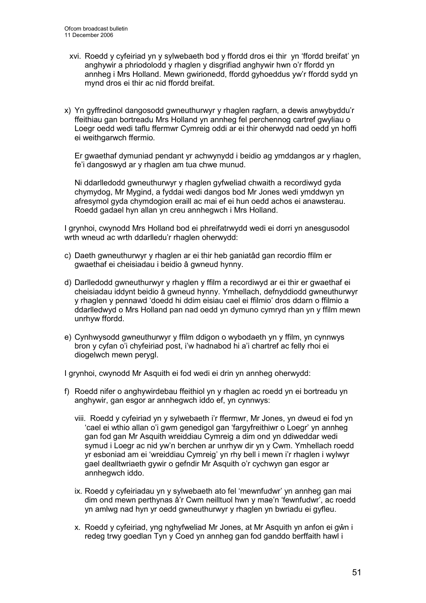- xvi. Roedd y cyfeiriad yn y sylwebaeth bod y ffordd dros ei thir yn 'ffordd breifat' yn anghywir a phriodolodd y rhaglen y disgrifiad anghywir hwn o'r ffordd yn annheg i Mrs Holland. Mewn gwirionedd, ffordd gyhoeddus yw'r ffordd sydd yn mynd dros ei thir ac nid ffordd breifat.
- x) Yn gyffredinol dangosodd gwneuthurwyr y rhaglen ragfarn, a dewis anwybyddu'r ffeithiau gan bortreadu Mrs Holland yn annheg fel perchennog cartref gwyliau o Loegr oedd wedi taflu ffermwr Cymreig oddi ar ei thir oherwydd nad oedd yn hoffi ei weithgarwch ffermio.

Er gwaethaf dymuniad pendant yr achwynydd i beidio ag ymddangos ar y rhaglen, fe'i dangoswyd ar y rhaglen am tua chwe munud.

Ni ddarlledodd gwneuthurwyr y rhaglen gyfweliad chwaith a recordiwyd gyda chymydog, Mr Mygind, a fyddai wedi dangos bod Mr Jones wedi ymddwyn yn afresymol gyda chymdogion eraill ac mai ef ei hun oedd achos ei anawsterau. Roedd gadael hyn allan yn creu annhegwch i Mrs Holland.

I grynhoi, cwynodd Mrs Holland bod ei phreifatrwydd wedi ei dorri yn anesgusodol wrth wneud ac wrth ddarlledu'r rhaglen oherwydd:

- c) Daeth gwneuthurwyr y rhaglen ar ei thir heb ganiatâd gan recordio ffilm er gwaethaf ei cheisiadau i beidio â gwneud hynny.
- d) Darlledodd gwneuthurwyr y rhaglen y ffilm a recordiwyd ar ei thir er gwaethaf ei cheisiadau iddynt beidio â gwneud hynny. Ymhellach, defnyddiodd gwneuthurwyr y rhaglen y pennawd 'doedd hi ddim eisiau cael ei ffilmio' dros ddarn o ffilmio a ddarlledwyd o Mrs Holland pan nad oedd yn dymuno cymryd rhan yn y ffilm mewn unrhyw ffordd.
- e) Cynhwysodd gwneuthurwyr y ffilm ddigon o wybodaeth yn y ffilm, yn cynnwys bron y cyfan o'i chyfeiriad post, i'w hadnabod hi a'i chartref ac felly rhoi ei diogelwch mewn perygl.

I grynhoi, cwynodd Mr Asquith ei fod wedi ei drin yn annheg oherwydd:

- f) Roedd nifer o anghywirdebau ffeithiol yn y rhaglen ac roedd yn ei bortreadu yn anghywir, gan esgor ar annhegwch iddo ef, yn cynnwys:
	- viii. Roedd y cyfeiriad yn y sylwebaeth i'r ffermwr, Mr Jones, yn dweud ei fod yn 'cael ei wthio allan o'i gwm genedigol gan 'fargyfreithiwr o Loegr' yn annheg gan fod gan Mr Asquith wreiddiau Cymreig a dim ond yn ddiweddar wedi symud i Loegr ac nid yw'n berchen ar unrhyw dir yn y Cwm. Ymhellach roedd yr esboniad am ei 'wreiddiau Cymreig' yn rhy bell i mewn i'r rhaglen i wylwyr gael dealltwriaeth gywir o gefndir Mr Asquith o'r cychwyn gan esgor ar annhegwch iddo.
	- ix. Roedd y cyfeiriadau yn y sylwebaeth ato fel 'mewnfudwr' yn annheg gan mai dim ond mewn perthynas â'r Cwm neilltuol hwn y mae'n 'fewnfudwr', ac roedd yn amlwg nad hyn yr oedd gwneuthurwyr y rhaglen yn bwriadu ei gyfleu.
	- x. Roedd y cyfeiriad, yng nghyfweliad Mr Jones, at Mr Asquith yn anfon ei gŵn i redeg trwy goedlan Tyn y Coed yn annheg gan fod ganddo berffaith hawl i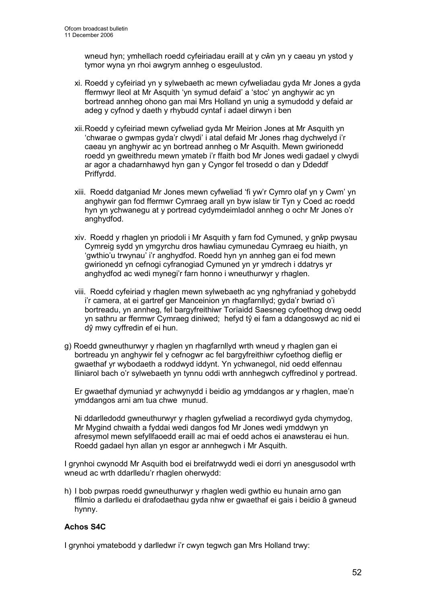wneud hyn; ymhellach roedd cyfeiriadau eraill at y cŵn yn y caeau yn ystod y tymor wyna yn rhoi awgrym annheg o esgeulustod.

- xi. Roedd y cyfeiriad yn y sylwebaeth ac mewn cyfweliadau gyda Mr Jones a gyda ffermwyr lleol at Mr Asquith 'yn symud defaid' a 'stoc' yn anghywir ac yn bortread annheg ohono gan mai Mrs Holland yn unig a symudodd y defaid ar adeg y cyfnod y daeth y rhybudd cyntaf i adael dirwyn i ben
- xii. Roedd y cyfeiriad mewn cyfweliad gyda Mr Meirion Jones at Mr Asquith yn 'chwarae o gwmpas gyda'r clwydi' i atal defaid Mr Jones rhag dychwelyd i'r caeau yn anghywir ac yn bortread annheg o Mr Asquith. Mewn gwirionedd roedd yn gweithredu mewn ymateb i'r ffaith bod Mr Jones wedi gadael y clwydi ar agor a chadarnhawyd hyn gan y Cyngor fel trosedd o dan y Ddeddf Priffyrdd.
- xiii. Roedd datganiad Mr Jones mewn cyfweliad 'fi yw'r Cymro olaf yn y Cwm' yn anghywir gan fod ffermwr Cymraeg arall yn byw islaw tir Tyn y Coed ac roedd hyn yn ychwanegu at y portread cydymdeimladol annheg o ochr Mr Jones o'r anghydfod.
- xiv. Roedd y rhaglen yn priodoli i Mr Asquith y farn fod Cymuned, y grŵp pwysau Cymreig sydd yn ymgyrchu dros hawliau cymunedau Cymraeg eu hiaith, yn 'gwthio'u trwynau' i'r anghydfod. Roedd hyn yn annheg gan ei fod mewn gwirionedd yn cefnogi cyfranogiad Cymuned yn yr ymdrech i ddatrys yr anghydfod ac wedi mynegi'r farn honno i wneuthurwyr y rhaglen.
- viii. Roedd cyfeiriad y rhaglen mewn sylwebaeth ac yng nghyfraniad y gohebydd i'r camera, at ei gartref ger Manceinion yn rhagfarnllyd; gyda'r bwriad o'i bortreadu, yn annheg, fel bargyfreithiwr Torïaidd Saesneg cyfoethog drwg oedd yn sathru ar ffermwr Cymraeg diniwed; hefyd tŷ ei fam a ddangoswyd ac nid ei dŷ mwy cyffredin ef ei hun.
- g) Roedd gwneuthurwyr y rhaglen yn rhagfarnllyd wrth wneud y rhaglen gan ei bortreadu yn anghywir fel y cefnogwr ac fel bargyfreithiwr cyfoethog dieflig er gwaethaf yr wybodaeth a roddwyd iddynt. Yn ychwanegol, nid oedd elfennau lliniarol bach o'r sylwebaeth yn tynnu oddi wrth annhegwch cyffredinol y portread.

Er gwaethaf dymuniad yr achwynydd i beidio ag ymddangos ar y rhaglen, mae'n ymddangos arni am tua chwe munud.

Ni ddarlledodd gwneuthurwyr y rhaglen gyfweliad a recordiwyd gyda chymydog, Mr Mygind chwaith a fyddai wedi dangos fod Mr Jones wedi ymddwyn yn afresymol mewn sefyllfaoedd eraill ac mai ef oedd achos ei anawsterau ei hun. Roedd gadael hyn allan yn esgor ar annhegwch i Mr Asquith.

I grynhoi cwynodd Mr Asquith bod ei breifatrwydd wedi ei dorri yn anesgusodol wrth wneud ac wrth ddarlledu'r rhaglen oherwydd:

h) I bob pwrpas roedd gwneuthurwyr y rhaglen wedi gwthio eu hunain arno gan ffilmio a darlledu ei drafodaethau gyda nhw er gwaethaf ei gais i beidio â gwneud hynny.

# Achos S4C

I grynhoi ymatebodd y darlledwr i'r cwyn tegwch gan Mrs Holland trwy: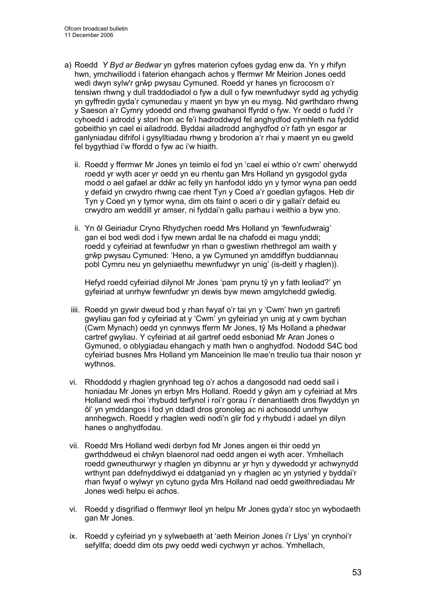- a) Roedd Y Byd ar Bedwar yn gyfres materion cyfoes gydag enw da. Yn y rhifyn hwn, ymchwiliodd i faterion ehangach achos y ffermwr Mr Meirion Jones oedd wedi dwyn sylw'r grŵp pwysau Cymuned. Roedd yr hanes yn ficrocosm o'r tensiwn rhwng y dull traddodiadol o fyw a dull o fyw mewnfudwyr sydd ag ychydig yn gyffredin gyda'r cymunedau y maent yn byw yn eu mysg. Nid gwrthdaro rhwng y Saeson a'r Cymry ydoedd ond rhwng gwahanol ffyrdd o fyw. Yr oedd o fudd i'r cyhoedd i adrodd y stori hon ac fe'i hadroddwyd fel anghydfod cymhleth na fyddid gobeithio yn cael ei ailadrodd. Byddai ailadrodd anghydfod o'r fath yn esgor ar ganlyniadau difrifol i gysylltiadau rhwng y brodorion a'r rhai y maent yn eu gweld fel bygythiad i'w ffordd o fyw ac i'w hiaith.
	- ii. Roedd y ffermwr Mr Jones yn teimlo ei fod yn 'cael ei wthio o'r cwm' oherwydd roedd yr wyth acer yr oedd yn eu rhentu gan Mrs Holland yn gysgodol gyda modd o ael gafael ar ddŵr ac felly yn hanfodol iddo yn y tymor wyna pan oedd y defaid yn crwydro rhwng cae rhent Tyn y Coed a'r goedlan gyfagos. Heb dir Tyn y Coed yn y tymor wyna, dim ots faint o aceri o dir y gallai'r defaid eu crwydro am weddill yr amser, ni fyddai'n gallu parhau i weithio a byw yno.
	- ii. Yn ôl Geiriadur Cryno Rhydychen roedd Mrs Holland yn 'fewnfudwraig' gan ei bod wedi dod i fyw mewn ardal lle na chafodd ei magu ynddi; roedd y cyfeiriad at fewnfudwr yn rhan o gwestiwn rhethregol am waith y grŵp pwysau Cymuned: 'Heno, a yw Cymuned yn amddiffyn buddiannau pobl Cymru neu yn gelyniaethu mewnfudwyr yn unig' (is-deitl y rhaglen)).

Hefyd roedd cyfeiriad dilynol Mr Jones 'pam prynu tŷ yn y fath leoliad?' yn gyfeiriad at unrhyw fewnfudwr yn dewis byw mewn amgylchedd gwledig.

- iiii. Roedd yn gywir dweud bod y rhan fwyaf o'r tai yn y 'Cwm' hwn yn gartrefi gwyliau gan fod y cyfeiriad at y 'Cwm' yn gyfeiriad yn unig at y cwm bychan (Cwm Mynach) oedd yn cynnwys fferm Mr Jones, tŷ Ms Holland a phedwar cartref gwyliau. Y cyfeiriad at ail gartref oedd esboniad Mr Aran Jones o Gymuned, o oblygiadau ehangach y math hwn o anghydfod. Nododd S4C bod cyfeiriad busnes Mrs Holland ym Manceinion lle mae'n treulio tua thair noson yr wythnos.
- vi. Rhoddodd y rhaglen grynhoad teg o'r achos a dangosodd nad oedd sail i honiadau Mr Jones yn erbyn Mrs Holland. Roedd y gŵyn am y cyfeiriad at Mrs Holland wedi rhoi 'rhybudd terfynol i roi'r gorau i'r denantiaeth dros flwyddyn yn ôl' yn ymddangos i fod yn ddadl dros gronoleg ac ni achosodd unrhyw annhegwch. Roedd y rhaglen wedi nodi'n glir fod y rhybudd i adael yn dilyn hanes o anghydfodau.
- vii. Roedd Mrs Holland wedi derbyn fod Mr Jones angen ei thir oedd yn gwrthddweud ei chŵyn blaenorol nad oedd angen ei wyth acer. Ymhellach roedd gwneuthurwyr y rhaglen yn dibynnu ar yr hyn y dywedodd yr achwynydd wrthynt pan ddefnyddiwyd ei ddatganiad yn y rhaglen ac yn ystyried y byddai'r rhan fwyaf o wylwyr yn cytuno gyda Mrs Holland nad oedd gweithrediadau Mr Jones wedi helpu ei achos.
- vi. Roedd y disgrifiad o ffermwyr lleol yn helpu Mr Jones gyda'r stoc yn wybodaeth gan Mr Jones.
- ix. Roedd y cyfeiriad yn y sylwebaeth at 'aeth Meirion Jones i'r Llys' yn crynhoi'r sefyllfa; doedd dim ots pwy oedd wedi cychwyn yr achos. Ymhellach,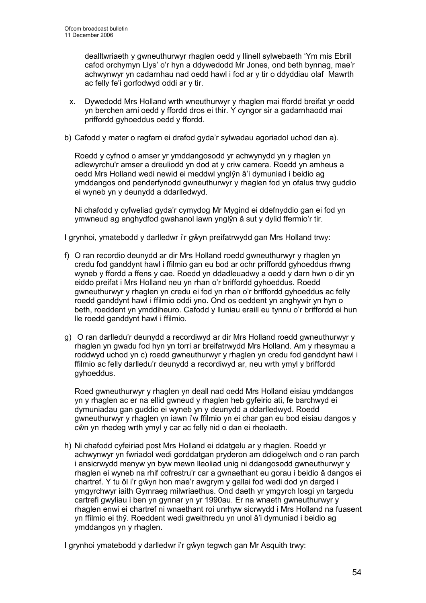dealltwriaeth y gwneuthurwyr rhaglen oedd y llinell sylwebaeth 'Ym mis Ebrill cafod orchymyn Llys' o'r hyn a ddywedodd Mr Jones, ond beth bynnag, mae'r achwynwyr yn cadarnhau nad oedd hawl i fod ar y tir o ddyddiau olaf Mawrth ac felly fe'i gorfodwyd oddi ar y tir.

- x. Dywedodd Mrs Holland wrth wneuthurwyr y rhaglen mai ffordd breifat yr oedd yn berchen arni oedd y ffordd dros ei thir. Y cyngor sir a gadarnhaodd mai priffordd gyhoeddus oedd y ffordd.
- b) Cafodd y mater o ragfarn ei drafod gyda'r sylwadau agoriadol uchod dan a).

Roedd y cyfnod o amser yr ymddangosodd yr achwynydd yn y rhaglen yn adlewyrchu'r amser a dreuliodd yn dod at y criw camera. Roedd yn amheus a oedd Mrs Holland wedi newid ei meddwl ynglŷn â'i dymuniad i beidio ag ymddangos ond penderfynodd gwneuthurwyr y rhaglen fod yn ofalus trwy guddio ei wyneb yn y deunydd a ddarlledwyd.

Ni chafodd y cyfweliad gyda'r cymydog Mr Mygind ei ddefnyddio gan ei fod yn ymwneud ag anghydfod gwahanol iawn ynglŷn â sut y dylid ffermio'r tir.

I grynhoi, ymatebodd y darlledwr i'r gŵyn preifatrwydd gan Mrs Holland trwy:

- f) O ran recordio deunydd ar dir Mrs Holland roedd gwneuthurwyr y rhaglen yn credu fod ganddynt hawl i ffilmio gan eu bod ar ochr priffordd gyhoeddus rhwng wyneb y ffordd a ffens y cae. Roedd yn ddadleuadwy a oedd y darn hwn o dir yn eiddo preifat i Mrs Holland neu yn rhan o'r briffordd gyhoeddus. Roedd gwneuthurwyr y rhaglen yn credu ei fod yn rhan o'r briffordd gyhoeddus ac felly roedd ganddynt hawl i ffilmio oddi yno. Ond os oeddent yn anghywir yn hyn o beth, roeddent yn ymddiheuro. Cafodd y lluniau eraill eu tynnu o'r briffordd ei hun lle roedd ganddynt hawl i ffilmio.
- g) O ran darlledu'r deunydd a recordiwyd ar dir Mrs Holland roedd gwneuthurwyr y rhaglen yn gwadu fod hyn yn torri ar breifatrwydd Mrs Holland. Am y rhesymau a roddwyd uchod yn c) roedd gwneuthurwyr y rhaglen yn credu fod ganddynt hawl i ffilmio ac felly darlledu'r deunydd a recordiwyd ar, neu wrth ymyl y briffordd gyhoeddus.

Roed gwneuthurwyr y rhaglen yn deall nad oedd Mrs Holland eisiau ymddangos yn y rhaglen ac er na ellid gwneud y rhaglen heb gyfeirio ati, fe barchwyd ei dymuniadau gan guddio ei wyneb yn y deunydd a ddarlledwyd. Roedd gwneuthurwyr y rhaglen yn iawn i'w ffilmio yn ei char gan eu bod eisiau dangos y cŵn yn rhedeg wrth ymyl y car ac felly nid o dan ei rheolaeth.

h) Ni chafodd cyfeiriad post Mrs Holland ei ddatgelu ar y rhaglen. Roedd yr achwynwyr yn fwriadol wedi gorddatgan pryderon am ddiogelwch ond o ran parch i ansicrwydd menyw yn byw mewn lleoliad unig ni ddangosodd gwneuthurwyr y rhaglen ei wyneb na rhif cofrestru'r car a gwnaethant eu gorau i beidio â dangos ei chartref. Y tu ôl i'r gŵyn hon mae'r awgrym y gallai fod wedi dod yn darged i ymgyrchwyr iaith Gymraeg milwriaethus. Ond daeth yr ymgyrch losgi yn targedu cartrefi gwyliau i ben yn gynnar yn yr 1990au. Er na wnaeth gwneuthurwyr y rhaglen enwi ei chartref ni wnaethant roi unrhyw sicrwydd i Mrs Holland na fuasent yn ffilmio ei thŷ. Roeddent wedi gweithredu yn unol â'i dymuniad i beidio ag ymddangos yn y rhaglen.

I grynhoi ymatebodd y darlledwr i'r gŵyn tegwch gan Mr Asquith trwy: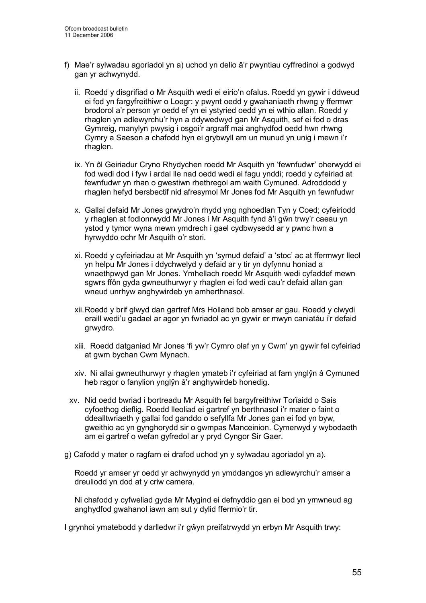- f) Mae'r sylwadau agoriadol yn a) uchod yn delio â'r pwyntiau cyffredinol a godwyd gan yr achwynydd.
	- ii. Roedd y disgrifiad o Mr Asquith wedi ei eirio'n ofalus. Roedd yn gywir i ddweud ei fod yn fargyfreithiwr o Loegr: y pwynt oedd y gwahaniaeth rhwng y ffermwr brodorol a'r person yr oedd ef yn ei ystyried oedd yn ei wthio allan. Roedd y rhaglen yn adlewyrchu'r hyn a ddywedwyd gan Mr Asquith, sef ei fod o dras Gymreig, manylyn pwysig i osgoi'r argraff mai anghydfod oedd hwn rhwng Cymry a Saeson a chafodd hyn ei grybwyll am un munud yn unig i mewn i'r rhaglen.
	- ix. Yn ôl Geiriadur Cryno Rhydychen roedd Mr Asquith yn 'fewnfudwr' oherwydd ei fod wedi dod i fyw i ardal lle nad oedd wedi ei fagu ynddi; roedd y cyfeiriad at fewnfudwr yn rhan o gwestiwn rhethregol am waith Cymuned. Adroddodd y rhaglen hefyd bersbectif nid afresymol Mr Jones fod Mr Asquith yn fewnfudwr
	- x. Gallai defaid Mr Jones grwydro'n rhydd yng nghoedlan Tyn y Coed; cyfeiriodd y rhaglen at fodlonrwydd Mr Jones i Mr Asquith fynd â'i gŵn trwy'r caeau yn ystod y tymor wyna mewn ymdrech i gael cydbwysedd ar y pwnc hwn a hyrwyddo ochr Mr Asquith o'r stori.
	- xi. Roedd y cyfeiriadau at Mr Asquith yn 'symud defaid' a 'stoc' ac at ffermwyr lleol yn helpu Mr Jones i ddychwelyd y defaid ar y tir yn dyfynnu honiad a wnaethpwyd gan Mr Jones. Ymhellach roedd Mr Asquith wedi cyfaddef mewn sgwrs ffôn gyda gwneuthurwyr y rhaglen ei fod wedi cau'r defaid allan gan wneud unrhyw anghywirdeb yn amherthnasol.
	- xii. Roedd y brif glwyd dan gartref Mrs Holland bob amser ar gau. Roedd y clwydi eraill wedi'u gadael ar agor yn fwriadol ac yn gywir er mwyn caniatáu i'r defaid grwydro.
	- xiii. Roedd datganiad Mr Jones 'fi yw'r Cymro olaf yn y Cwm' yn gywir fel cyfeiriad at gwm bychan Cwm Mynach.
	- xiv. Ni allai gwneuthurwyr y rhaglen ymateb i'r cyfeiriad at farn ynglŷn â Cymuned heb ragor o fanylion ynglŷn â'r anghywirdeb honedig.
	- xv. Nid oedd bwriad i bortreadu Mr Asquith fel bargyfreithiwr Torïaidd o Sais cyfoethog dieflig. Roedd lleoliad ei gartref yn berthnasol i'r mater o faint o ddealltwriaeth y gallai fod ganddo o sefyllfa Mr Jones gan ei fod yn byw, gweithio ac yn gynghorydd sir o gwmpas Manceinion. Cymerwyd y wybodaeth am ei gartref o wefan gyfredol ar y pryd Cyngor Sir Gaer.
- g) Cafodd y mater o ragfarn ei drafod uchod yn y sylwadau agoriadol yn a).

Roedd yr amser yr oedd yr achwynydd yn ymddangos yn adlewyrchu'r amser a dreuliodd yn dod at y criw camera.

Ni chafodd y cyfweliad gyda Mr Mygind ei defnyddio gan ei bod yn ymwneud ag anghydfod gwahanol iawn am sut y dylid ffermio'r tir.

I grynhoi ymatebodd y darlledwr i'r gŵyn preifatrwydd yn erbyn Mr Asquith trwy: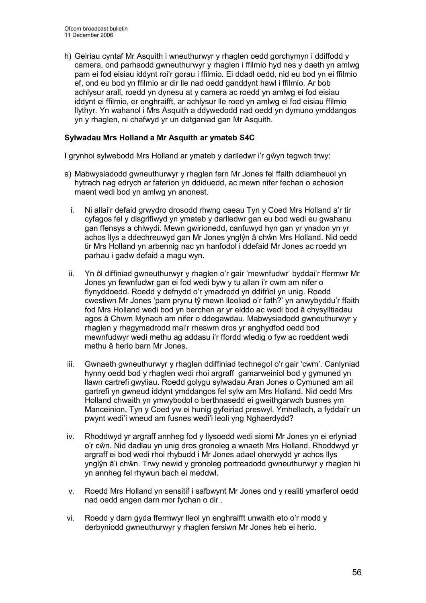h) Geiriau cyntaf Mr Asquith i wneuthurwyr y rhaglen oedd gorchymyn i ddiffodd y camera, ond parhaodd gwneuthurwyr y rhaglen i ffilmio hyd nes y daeth yn amlwg pam ei fod eisiau iddynt roi'r gorau i ffilmio. Ei ddadl oedd, nid eu bod yn ei ffilmio ef, ond eu bod yn ffilmio ar dir lle nad oedd ganddynt hawl i ffilmio. Ar bob achlysur arall, roedd yn dynesu at y camera ac roedd yn amlwg ei fod eisiau iddynt ei ffilmio, er enghraifft, ar achlysur lle roed yn amlwg ei fod eisiau ffilmio llythyr. Yn wahanol i Mrs Asquith a ddywedodd nad oedd yn dymuno ymddangos yn y rhaglen, ni chafwyd yr un datganiad gan Mr Asquith.

## Sylwadau Mrs Holland a Mr Asquith ar ymateb S4C

I grynhoi sylwebodd Mrs Holland ar ymateb y darlledwr i'r gŵyn tegwch trwy:

- a) Mabwysiadodd gwneuthurwyr y rhaglen farn Mr Jones fel ffaith ddiamheuol yn hytrach nag edrych ar faterion yn ddiduedd, ac mewn nifer fechan o achosion maent wedi bod yn amlwg yn anonest.
	- i. Ni allai'r defaid grwydro drosodd rhwng caeau Tyn y Coed Mrs Holland a'r tir cyfagos fel y disgrifiwyd yn ymateb y darlledwr gan eu bod wedi eu gwahanu gan ffensys a chlwydi. Mewn gwirionedd, canfuwyd hyn gan yr ynadon yn yr achos llys a ddechreuwyd gan Mr Jones ynglŷn â chŵn Mrs Holland. Nid oedd tir Mrs Holland yn arbennig nac yn hanfodol i ddefaid Mr Jones ac roedd yn parhau i gadw defaid a magu wyn.
- ii. Yn ôl diffiniad gwneuthurwyr y rhaglen o'r gair 'mewnfudwr' byddai'r ffermwr Mr Jones yn fewnfudwr gan ei fod wedi byw y tu allan i'r cwm am nifer o flynyddoedd. Roedd y defnydd o'r ymadrodd yn ddifrïol yn unig. Roedd cwestiwn Mr Jones 'pam prynu tŷ mewn lleoliad o'r fath?' yn anwybyddu'r ffaith fod Mrs Holland wedi bod yn berchen ar yr eiddo ac wedi bod â chysylltiadau agos â Chwm Mynach am nifer o ddegawdau. Mabwysiadodd gwneuthurwyr y rhaglen y rhagymadrodd mai'r rheswm dros yr anghydfod oedd bod mewnfudwyr wedi methu ag addasu i'r ffordd wledig o fyw ac roeddent wedi methu â herio barn Mr Jones.
- iii. Gwnaeth gwneuthurwyr y rhaglen ddiffiniad technegol o'r gair 'cwm'. Canlyniad hynny oedd bod y rhaglen wedi rhoi argraff gamarweiniol bod y gymuned yn llawn cartrefi gwyliau. Roedd golygu sylwadau Aran Jones o Cymuned am ail gartrefi yn gwneud iddynt ymddangos fel sylw am Mrs Holland. Nid oedd Mrs Holland chwaith yn ymwybodol o berthnasedd ei gweithgarwch busnes ym Manceinion. Tyn y Coed yw ei hunig gyfeiriad preswyl. Ymhellach, a fyddai'r un pwynt wedi'i wneud am fusnes wedi'i leoli yng Nghaerdydd?
- iv. Rhoddwyd yr argraff annheg fod y llysoedd wedi siomi Mr Jones yn ei erlyniad o'r cŵn. Nid dadlau yn unig dros gronoleg a wnaeth Mrs Holland. Rhoddwyd yr argraff ei bod wedi rhoi rhybudd i Mr Jones adael oherwydd yr achos llys ynglŷn â'i chŵn. Trwy newid y gronoleg portreadodd gwneuthurwyr y rhaglen hi yn annheg fel rhywun bach ei meddwl.
- v. Roedd Mrs Holland yn sensitif i safbwynt Mr Jones ond y realiti ymarferol oedd nad oedd angen darn mor fychan o dir .
- vi. Roedd y darn gyda ffermwyr lleol yn enghraifft unwaith eto o'r modd y derbyniodd gwneuthurwyr y rhaglen fersiwn Mr Jones heb ei herio.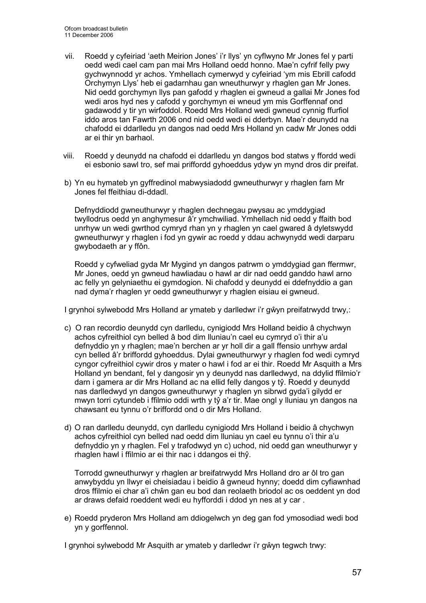- vii. Roedd y cyfeiriad 'aeth Meirion Jones' i'r llys' yn cyflwyno Mr Jones fel y parti oedd wedi cael cam pan mai Mrs Holland oedd honno. Mae'n cyfrif felly pwy gychwynnodd yr achos. Ymhellach cymerwyd y cyfeiriad 'ym mis Ebrill cafodd Orchymyn Llys' heb ei gadarnhau gan wneuthurwyr y rhaglen gan Mr Jones. Nid oedd gorchymyn llys pan gafodd y rhaglen ei gwneud a gallai Mr Jones fod wedi aros hyd nes y cafodd y gorchymyn ei wneud ym mis Gorffennaf ond gadawodd y tir yn wirfoddol. Roedd Mrs Holland wedi gwneud cynnig ffurfiol iddo aros tan Fawrth 2006 ond nid oedd wedi ei dderbyn. Mae'r deunydd na chafodd ei ddarlledu yn dangos nad oedd Mrs Holland yn cadw Mr Jones oddi ar ei thir yn barhaol.
- viii. Roedd y deunydd na chafodd ei ddarlledu yn dangos bod statws y ffordd wedi ei esbonio sawl tro, sef mai priffordd gyhoeddus ydyw yn mynd dros dir preifat.
- b) Yn eu hymateb yn gyffredinol mabwysiadodd gwneuthurwyr y rhaglen farn Mr Jones fel ffeithiau di-ddadl.

Defnyddiodd gwneuthurwyr y rhaglen dechnegau pwysau ac ymddygiad twyllodrus oedd yn anghymesur â'r ymchwiliad. Ymhellach nid oedd y ffaith bod unrhyw un wedi gwrthod cymryd rhan yn y rhaglen yn cael gwared â dyletswydd gwneuthurwyr y rhaglen i fod yn gywir ac roedd y ddau achwynydd wedi darparu gwybodaeth ar y ffôn.

Roedd y cyfweliad gyda Mr Mygind yn dangos patrwm o ymddygiad gan ffermwr, Mr Jones, oedd yn gwneud hawliadau o hawl ar dir nad oedd ganddo hawl arno ac felly yn gelyniaethu ei gymdogion. Ni chafodd y deunydd ei ddefnyddio a gan nad dyma'r rhaglen yr oedd gwneuthurwyr y rhaglen eisiau ei gwneud.

I grynhoi sylwebodd Mrs Holland ar ymateb y darlledwr i'r gŵyn preifatrwydd trwy,:

- c) O ran recordio deunydd cyn darlledu, cynigiodd Mrs Holland beidio â chychwyn achos cyfreithiol cyn belled â bod dim lluniau'n cael eu cymryd o'i thir a'u defnyddio yn y rhaglen; mae'n berchen ar yr holl dir a gall ffensio unrhyw ardal cyn belled â'r briffordd gyhoeddus. Dylai gwneuthurwyr y rhaglen fod wedi cymryd cyngor cyfreithiol cywir dros y mater o hawl i fod ar ei thir. Roedd Mr Asquith a Mrs Holland yn bendant, fel y dangosir yn y deunydd nas darlledwyd, na ddylid ffilmio'r darn i gamera ar dir Mrs Holland ac na ellid felly dangos y tŷ. Roedd y deunydd nas darlledwyd yn dangos gwneuthurwyr y rhaglen yn sibrwd gyda'i gilydd er mwyn torri cytundeb i ffilmio oddi wrth y tŷ a'r tir. Mae ongl y lluniau yn dangos na chawsant eu tynnu o'r briffordd ond o dir Mrs Holland.
- d) O ran darlledu deunydd, cyn darlledu cynigiodd Mrs Holland i beidio â chychwyn achos cyfreithiol cyn belled nad oedd dim lluniau yn cael eu tynnu o'i thir a'u defnyddio yn y rhaglen. Fel y trafodwyd yn c) uchod, nid oedd gan wneuthurwyr y rhaglen hawl i ffilmio ar ei thir nac i ddangos ei thŷ.

Torrodd gwneuthurwyr y rhaglen ar breifatrwydd Mrs Holland dro ar ôl tro gan anwybyddu yn llwyr ei cheisiadau i beidio â gwneud hynny; doedd dim cyfiawnhad dros ffilmio ei char a'i chŵn gan eu bod dan reolaeth briodol ac os oeddent yn dod ar draws defaid roeddent wedi eu hyfforddi i ddod yn nes at y car .

e) Roedd pryderon Mrs Holland am ddiogelwch yn deg gan fod ymosodiad wedi bod yn y gorffennol.

I grynhoi sylwebodd Mr Asquith ar ymateb y darlledwr i'r gŵyn tegwch trwy: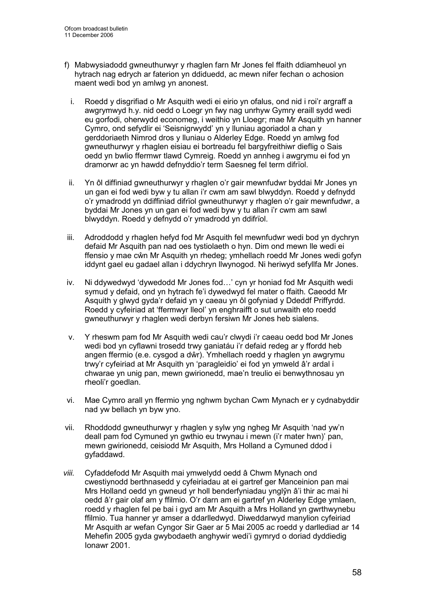- f) Mabwysiadodd gwneuthurwyr y rhaglen farn Mr Jones fel ffaith ddiamheuol yn hytrach nag edrych ar faterion yn ddiduedd, ac mewn nifer fechan o achosion maent wedi bod yn amlwg yn anonest.
	- i. Roedd y disgrifiad o Mr Asquith wedi ei eirio yn ofalus, ond nid i roi'r argraff a awgrymwyd h.y. nid oedd o Loegr yn fwy nag unrhyw Gymry eraill sydd wedi eu gorfodi, oherwydd economeg, i weithio yn Lloegr; mae Mr Asquith yn hanner Cymro, ond sefydlir ei 'Seisnigrwydd' yn y lluniau agoriadol a chan y gerddoriaeth Nimrod dros y lluniau o Alderley Edge. Roedd yn amlwg fod gwneuthurwyr y rhaglen eisiau ei bortreadu fel bargyfreithiwr dieflig o Sais oedd yn bwlio ffermwr tlawd Cymreig. Roedd yn annheg i awgrymu ei fod yn dramorwr ac yn hawdd defnyddio'r term Saesneg fel term difrïol.
- ii. Yn ôl diffiniad gwneuthurwyr y rhaglen o'r gair mewnfudwr byddai Mr Jones yn un gan ei fod wedi byw y tu allan i'r cwm am sawl blwyddyn. Roedd y defnydd o'r ymadrodd yn ddiffiniad difrïol gwneuthurwyr y rhaglen o'r gair mewnfudwr, a byddai Mr Jones yn un gan ei fod wedi byw y tu allan i'r cwm am sawl blwyddyn. Roedd y defnydd o'r ymadrodd yn ddifrïol.
- iii. Adroddodd y rhaglen hefyd fod Mr Asquith fel mewnfudwr wedi bod yn dychryn defaid Mr Asquith pan nad oes tystiolaeth o hyn. Dim ond mewn lle wedi ei ffensio y mae cŵn Mr Asquith yn rhedeg; ymhellach roedd Mr Jones wedi gofyn iddynt gael eu gadael allan i ddychryn llwynogod. Ni heriwyd sefyllfa Mr Jones.
- iv. Ni ddywedwyd 'dywedodd Mr Jones fod…' cyn yr honiad fod Mr Asquith wedi symud y defaid, ond yn hytrach fe'i dywedwyd fel mater o ffaith. Caeodd Mr Asquith y glwyd gyda'r defaid yn y caeau yn ôl gofyniad y Ddeddf Priffyrdd. Roedd y cyfeiriad at 'ffermwyr lleol' yn enghraifft o sut unwaith eto roedd gwneuthurwyr y rhaglen wedi derbyn fersiwn Mr Jones heb sialens.
- v. Y rheswm pam fod Mr Asquith wedi cau'r clwydi i'r caeau oedd bod Mr Jones wedi bod yn cyflawni trosedd trwy ganiatáu i'r defaid redeg ar y ffordd heb angen ffermio (e.e. cysgod a dŵr). Ymhellach roedd y rhaglen yn awgrymu trwy'r cyfeiriad at Mr Asquith yn 'paragleidio' ei fod yn ymweld â'r ardal i chwarae yn unig pan, mewn gwirionedd, mae'n treulio ei benwythnosau yn rheoli'r goedlan.
- vi. Mae Cymro arall yn ffermio yng nghwm bychan Cwm Mynach er y cydnabyddir nad yw bellach yn byw yno.
- vii. Rhoddodd gwneuthurwyr y rhaglen y sylw yng ngheg Mr Asquith 'nad yw'n deall pam fod Cymuned yn gwthio eu trwynau i mewn (i'r mater hwn)' pan, mewn gwirionedd, ceisiodd Mr Asquith, Mrs Holland a Cymuned ddod i gyfaddawd.
- viii. Cyfaddefodd Mr Asquith mai ymwelydd oedd â Chwm Mynach ond cwestiynodd berthnasedd y cyfeiriadau at ei gartref ger Manceinion pan mai Mrs Holland oedd yn gwneud yr holl benderfyniadau ynglŷn â'i thir ac mai hi oedd â'r gair olaf am y ffilmio. O'r darn am ei gartref yn Alderley Edge ymlaen, roedd y rhaglen fel pe bai i gyd am Mr Asquith a Mrs Holland yn gwrthwynebu ffilmio. Tua hanner yr amser a ddarlledwyd. Diweddarwyd manylion cyfeiriad Mr Asquith ar wefan Cyngor Sir Gaer ar 5 Mai 2005 ac roedd y darllediad ar 14 Mehefin 2005 gyda gwybodaeth anghywir wedi'i gymryd o doriad dyddiedig Ionawr 2001.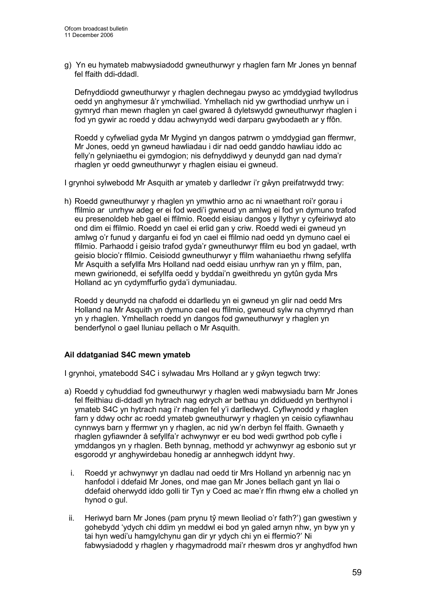g) Yn eu hymateb mabwysiadodd gwneuthurwyr y rhaglen farn Mr Jones yn bennaf fel ffaith ddi-ddadl.

Defnyddiodd gwneuthurwyr y rhaglen dechnegau pwyso ac ymddygiad twyllodrus oedd yn anghymesur â'r ymchwiliad. Ymhellach nid yw gwrthodiad unrhyw un i gymryd rhan mewn rhaglen yn cael gwared â dyletswydd gwneuthurwyr rhaglen i fod yn gywir ac roedd y ddau achwynydd wedi darparu gwybodaeth ar y ffôn.

Roedd y cyfweliad gyda Mr Mygind yn dangos patrwm o ymddygiad gan ffermwr, Mr Jones, oedd yn gwneud hawliadau i dir nad oedd ganddo hawliau iddo ac felly'n gelyniaethu ei gymdogion; nis defnyddiwyd y deunydd gan nad dyma'r rhaglen yr oedd gwneuthurwyr y rhaglen eisiau ei gwneud.

I grynhoi sylwebodd Mr Asquith ar ymateb y darlledwr i'r gŵyn preifatrwydd trwy:

h) Roedd gwneuthurwyr y rhaglen yn ymwthio arno ac ni wnaethant roi'r gorau i ffilmio ar unrhyw adeg er ei fod wedi'i gwneud yn amlwg ei fod yn dymuno trafod eu presenoldeb heb gael ei ffilmio. Roedd eisiau dangos y llythyr y cyfeiriwyd ato ond dim ei ffilmio. Roedd yn cael ei erlid gan y criw. Roedd wedi ei gwneud yn amlwg o'r funud y darganfu ei fod yn cael ei ffilmio nad oedd yn dymuno cael ei ffilmio. Parhaodd i geisio trafod gyda'r gwneuthurwyr ffilm eu bod yn gadael, wrth geisio blocio'r ffilmio. Ceisiodd gwneuthurwyr y ffilm wahaniaethu rhwng sefyllfa Mr Asquith a sefyllfa Mrs Holland nad oedd eisiau unrhyw ran yn y ffilm, pan, mewn gwirionedd, ei sefyllfa oedd y byddai'n gweithredu yn gytûn gyda Mrs Holland ac yn cydymffurfio gyda'i dymuniadau.

 Roedd y deunydd na chafodd ei ddarlledu yn ei gwneud yn glir nad oedd Mrs Holland na Mr Asquith yn dymuno cael eu ffilmio, gwneud sylw na chymryd rhan yn y rhaglen. Ymhellach roedd yn dangos fod gwneuthurwyr y rhaglen yn benderfynol o gael lluniau pellach o Mr Asquith.

### Ail ddatganiad S4C mewn ymateb

I grynhoi, ymatebodd S4C i sylwadau Mrs Holland ar y gŵyn tegwch trwy:

- a) Roedd y cyhuddiad fod gwneuthurwyr y rhaglen wedi mabwysiadu barn Mr Jones fel ffeithiau di-ddadl yn hytrach nag edrych ar bethau yn ddiduedd yn berthynol i ymateb S4C yn hytrach nag i'r rhaglen fel y'i darlledwyd. Cyflwynodd y rhaglen farn y ddwy ochr ac roedd ymateb gwneuthurwyr y rhaglen yn ceisio cyfiawnhau cynnwys barn y ffermwr yn y rhaglen, ac nid yw'n derbyn fel ffaith. Gwnaeth y rhaglen gyfiawnder â sefyllfa'r achwynwyr er eu bod wedi gwrthod pob cyfle i ymddangos yn y rhaglen. Beth bynnag, methodd yr achwynwyr ag esbonio sut yr esgorodd yr anghywirdebau honedig ar annhegwch iddynt hwy.
	- i. Roedd yr achwynwyr yn dadlau nad oedd tir Mrs Holland yn arbennig nac yn hanfodol i ddefaid Mr Jones, ond mae gan Mr Jones bellach gant yn llai o ddefaid oherwydd iddo golli tir Tyn y Coed ac mae'r ffin rhwng elw a cholled yn hynod o gul.
	- ii. Heriwyd barn Mr Jones (pam prynu tŷ mewn lleoliad o'r fath?') gan gwestiwn y gohebydd 'ydych chi ddim yn meddwl ei bod yn galed arnyn nhw, yn byw yn y tai hyn wedi'u hamgylchynu gan dir yr ydych chi yn ei ffermio?' Ni fabwysiadodd y rhaglen y rhagymadrodd mai'r rheswm dros yr anghydfod hwn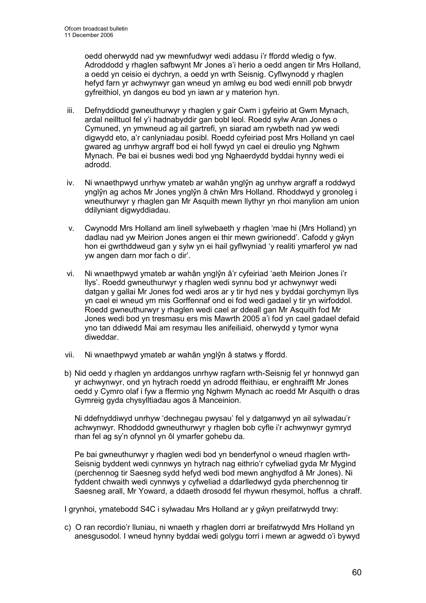oedd oherwydd nad yw mewnfudwyr wedi addasu i'r ffordd wledig o fyw. Adroddodd y rhaglen safbwynt Mr Jones a'i herio a oedd angen tir Mrs Holland, a oedd yn ceisio ei dychryn, a oedd yn wrth Seisnig. Cyflwynodd y rhaglen hefyd farn yr achwynwyr gan wneud yn amlwg eu bod wedi ennill pob brwydr gyfreithiol, yn dangos eu bod yn iawn ar y materion hyn.

- iii. Defnyddiodd gwneuthurwyr y rhaglen y gair Cwm i gyfeirio at Gwm Mynach, ardal neilltuol fel y'i hadnabyddir gan bobl leol. Roedd sylw Aran Jones o Cymuned, yn ymwneud ag ail gartrefi, yn siarad am rywbeth nad yw wedi digwydd eto, a'r canlyniadau posibl. Roedd cyfeiriad post Mrs Holland yn cael gwared ag unrhyw argraff bod ei holl fywyd yn cael ei dreulio yng Nghwm Mynach. Pe bai ei busnes wedi bod yng Nghaerdydd byddai hynny wedi ei adrodd.
- iv. Ni wnaethpwyd unrhyw ymateb ar wahân ynglŷn ag unrhyw argraff a roddwyd ynglŷn ag achos Mr Jones ynglŷn â chŵn Mrs Holland. Rhoddwyd y gronoleg i wneuthurwyr y rhaglen gan Mr Asquith mewn llythyr yn rhoi manylion am union ddilyniant digwyddiadau.
- v. Cwynodd Mrs Holland am linell sylwebaeth y rhaglen 'mae hi (Mrs Holland) yn dadlau nad yw Meirion Jones angen ei thir mewn gwirionedd'. Cafodd y gŵyn hon ei gwrthddweud gan y sylw yn ei hail gyflwyniad 'y realiti ymarferol yw nad yw angen darn mor fach o dir'.
- vi. Ni wnaethpwyd ymateb ar wahân ynglŷn â'r cyfeiriad 'aeth Meirion Jones i'r llys'. Roedd gwneuthurwyr y rhaglen wedi synnu bod yr achwynwyr wedi datgan y gallai Mr Jones fod wedi aros ar y tir hyd nes y byddai gorchymyn llys yn cael ei wneud ym mis Gorffennaf ond ei fod wedi gadael y tir yn wirfoddol. Roedd gwneuthurwyr y rhaglen wedi cael ar ddeall gan Mr Asquith fod Mr Jones wedi bod yn tresmasu ers mis Mawrth 2005 a'i fod yn cael gadael defaid yno tan ddiwedd Mai am resymau lles anifeiliaid, oherwydd y tymor wyna diweddar.
- vii. Ni wnaethpwyd ymateb ar wahân ynglŷn â statws y ffordd.
- b) Nid oedd y rhaglen yn arddangos unrhyw ragfarn wrth-Seisnig fel yr honnwyd gan yr achwynwyr, ond yn hytrach roedd yn adrodd ffeithiau, er enghraifft Mr Jones oedd y Cymro olaf i fyw a ffermio yng Nghwm Mynach ac roedd Mr Asquith o dras Gymreig gyda chysylltiadau agos â Manceinion.

Ni ddefnyddiwyd unrhyw 'dechnegau pwysau' fel y datganwyd yn ail sylwadau'r achwynwyr. Rhoddodd gwneuthurwyr y rhaglen bob cyfle i'r achwynwyr gymryd rhan fel ag sy'n ofynnol yn ôl ymarfer gohebu da.

Pe bai gwneuthurwyr y rhaglen wedi bod yn benderfynol o wneud rhaglen wrth-Seisnig byddent wedi cynnwys yn hytrach nag eithrio'r cyfweliad gyda Mr Mygind (perchennog tir Saesneg sydd hefyd wedi bod mewn anghydfod â Mr Jones). Ni fyddent chwaith wedi cynnwys y cyfweliad a ddarlledwyd gyda pherchennog tir Saesneg arall, Mr Yoward, a ddaeth drosodd fel rhywun rhesymol, hoffus a chraff.

I grynhoi, ymatebodd S4C i sylwadau Mrs Holland ar y gŵyn preifatrwydd trwy:

c) O ran recordio'r lluniau, ni wnaeth y rhaglen dorri ar breifatrwydd Mrs Holland yn anesgusodol. I wneud hynny byddai wedi golygu torri i mewn ar agwedd o'i bywyd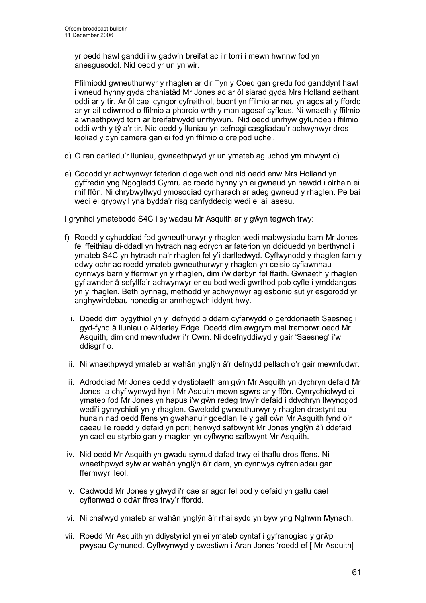yr oedd hawl ganddi i'w gadw'n breifat ac i'r torri i mewn hwnnw fod yn anesgusodol. Nid oedd yr un yn wir.

Ffilmiodd gwneuthurwyr y rhaglen ar dir Tyn y Coed gan gredu fod ganddynt hawl i wneud hynny gyda chaniatâd Mr Jones ac ar ôl siarad gyda Mrs Holland aethant oddi ar y tir. Ar ôl cael cyngor cyfreithiol, buont yn ffilmio ar neu yn agos at y ffordd ar yr ail ddiwrnod o ffilmio a pharcio wrth y man agosaf cyfleus. Ni wnaeth y ffilmio a wnaethpwyd torri ar breifatrwydd unrhywun. Nid oedd unrhyw gytundeb i ffilmio oddi wrth y tŷ a'r tir. Nid oedd y lluniau yn cefnogi casgliadau'r achwynwyr dros leoliad y dyn camera gan ei fod yn ffilmio o dreipod uchel.

- d) O ran darlledu'r lluniau, gwnaethpwyd yr un ymateb ag uchod ym mhwynt c).
- e) Cododd yr achwynwyr faterion diogelwch ond nid oedd enw Mrs Holland yn gyffredin yng Ngogledd Cymru ac roedd hynny yn ei gwneud yn hawdd i olrhain ei rhif ffôn. Ni chrybwyllwyd ymosodiad cynharach ar adeg gwneud y rhaglen. Pe bai wedi ei grybwyll yna bydda'r risg canfyddedig wedi ei ail asesu.

I grynhoi ymatebodd S4C i sylwadau Mr Asquith ar y gŵyn tegwch trwy:

- f) Roedd y cyhuddiad fod gwneuthurwyr y rhaglen wedi mabwysiadu barn Mr Jones fel ffeithiau di-ddadl yn hytrach nag edrych ar faterion yn ddiduedd yn berthynol i ymateb S4C yn hytrach na'r rhaglen fel y'i darlledwyd. Cyflwynodd y rhaglen farn y ddwy ochr ac roedd ymateb gwneuthurwyr y rhaglen yn ceisio cyfiawnhau cynnwys barn y ffermwr yn y rhaglen, dim i'w derbyn fel ffaith. Gwnaeth y rhaglen gyfiawnder â sefyllfa'r achwynwyr er eu bod wedi gwrthod pob cyfle i ymddangos yn y rhaglen. Beth bynnag, methodd yr achwynwyr ag esbonio sut yr esgorodd yr anghywirdebau honedig ar annhegwch iddynt hwy.
	- i. Doedd dim bygythiol yn y defnydd o ddarn cyfarwydd o gerddoriaeth Saesneg i gyd-fynd â lluniau o Alderley Edge. Doedd dim awgrym mai tramorwr oedd Mr Asquith, dim ond mewnfudwr i'r Cwm. Ni ddefnyddiwyd y gair 'Saesneg' i'w ddisarifio.
	- ii. Ni wnaethpwyd ymateb ar wahân ynglŷn â'r defnydd pellach o'r gair mewnfudwr.
- iii. Adroddiad Mr Jones oedd y dystiolaeth am gŵn Mr Asquith yn dychryn defaid Mr Jones a chyflwynwyd hyn i Mr Asquith mewn sgwrs ar y ffôn. Cynrychiolwyd ei ymateb fod Mr Jones yn hapus i'w gŵn redeg trwy'r defaid i ddychryn llwynogod wedi'i gynrychioli yn y rhaglen. Gwelodd gwneuthurwyr y rhaglen drostynt eu hunain nad oedd ffens yn gwahanu'r goedlan lle y gall cŵn Mr Asquith fynd o'r caeau lle roedd y defaid yn pori; heriwyd safbwynt Mr Jones ynglŷn â'i ddefaid yn cael eu styrbio gan y rhaglen yn cyflwyno safbwynt Mr Asquith.
- iv. Nid oedd Mr Asquith yn gwadu symud dafad trwy ei thaflu dros ffens. Ni wnaethpwyd sylw ar wahân ynglŷn â'r darn, yn cynnwys cyfraniadau gan ffermwyr lleol.
- v. Cadwodd Mr Jones y glwyd i'r cae ar agor fel bod y defaid yn gallu cael cyflenwad o ddŵr ffres trwy'r ffordd.
- vi. Ni chafwyd ymateb ar wahân ynglŷn â'r rhai sydd yn byw yng Nghwm Mynach.
- vii. Roedd Mr Asquith yn ddiystyriol yn ei ymateb cyntaf i gyfranogiad y grŵp pwysau Cymuned. Cyflwynwyd y cwestiwn i Aran Jones 'roedd ef [ Mr Asquith]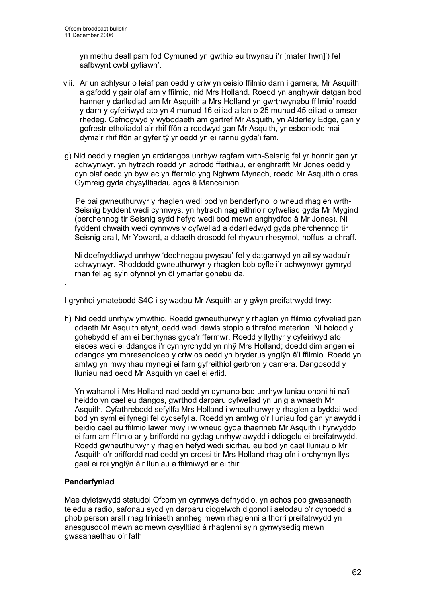yn methu deall pam fod Cymuned yn gwthio eu trwynau i'r [mater hwn]') fel safbwynt cwbl gyfiawn'.

- viii. Ar un achlysur o leiaf pan oedd y criw yn ceisio ffilmio darn i gamera, Mr Asquith a gafodd y gair olaf am y ffilmio, nid Mrs Holland. Roedd yn anghywir datgan bod hanner y darllediad am Mr Asquith a Mrs Holland yn gwrthwynebu ffilmio' roedd y darn y cyfeiriwyd ato yn 4 munud 16 eiliad allan o 25 munud 45 eiliad o amser rhedeg. Cefnogwyd y wybodaeth am gartref Mr Asquith, yn Alderley Edge, gan y gofrestr etholiadol a'r rhif ffôn a roddwyd gan Mr Asquith, yr esboniodd mai dyma'r rhif ffôn ar gyfer tŷ yr oedd yn ei rannu gyda'i fam.
- g) Nid oedd y rhaglen yn arddangos unrhyw ragfarn wrth-Seisnig fel yr honnir gan yr achwynwyr, yn hytrach roedd yn adrodd ffeithiau, er enghraifft Mr Jones oedd y dyn olaf oedd yn byw ac yn ffermio yng Nghwm Mynach, roedd Mr Asquith o dras Gymreig gyda chysylltiadau agos â Manceinion.

 Pe bai gwneuthurwyr y rhaglen wedi bod yn benderfynol o wneud rhaglen wrth-Seisnig byddent wedi cynnwys, yn hytrach nag eithrio'r cyfweliad gyda Mr Mygind (perchennog tir Seisnig sydd hefyd wedi bod mewn anghydfod â Mr Jones). Ni fyddent chwaith wedi cynnwys y cyfweliad a ddarlledwyd gyda pherchennog tir Seisnig arall, Mr Yoward, a ddaeth drosodd fel rhywun rhesymol, hoffus a chraff.

Ni ddefnyddiwyd unrhyw 'dechnegau pwysau' fel y datganwyd yn ail sylwadau'r achwynwyr. Rhoddodd gwneuthurwyr y rhaglen bob cyfle i'r achwynwyr gymryd rhan fel ag sy'n ofynnol yn ôl ymarfer gohebu da.

I grynhoi ymatebodd S4C i sylwadau Mr Asquith ar y gŵyn preifatrwydd trwy:

h) Nid oedd unrhyw ymwthio. Roedd gwneuthurwyr y rhaglen yn ffilmio cyfweliad pan ddaeth Mr Asquith atynt, oedd wedi dewis stopio a thrafod materion. Ni holodd y gohebydd ef am ei berthynas gyda'r ffermwr. Roedd y llythyr y cyfeiriwyd ato eisoes wedi ei ddangos i'r cynhyrchydd yn nhŷ Mrs Holland; doedd dim angen ei ddangos ym mhresenoldeb y criw os oedd yn bryderus ynglŷn â'i ffilmio. Roedd yn amlwg yn mwynhau mynegi ei farn gyfreithiol gerbron y camera. Dangosodd y lluniau nad oedd Mr Asquith yn cael ei erlid.

Yn wahanol i Mrs Holland nad oedd yn dymuno bod unrhyw luniau ohoni hi na'i heiddo yn cael eu dangos, gwrthod darparu cyfweliad yn unig a wnaeth Mr Asquith. Cyfathrebodd sefyllfa Mrs Holland i wneuthurwyr y rhaglen a byddai wedi bod yn syml ei fynegi fel cydsefylla. Roedd yn amlwg o'r lluniau fod gan yr awydd i beidio cael eu ffilmio lawer mwy i'w wneud gyda thaerineb Mr Asquith i hyrwyddo ei farn am ffilmio ar y briffordd na gydag unrhyw awydd i ddiogelu ei breifatrwydd. Roedd gwneuthurwyr y rhaglen hefyd wedi sicrhau eu bod yn cael lluniau o Mr Asquith o'r briffordd nad oedd yn croesi tir Mrs Holland rhag ofn i orchymyn llys gael ei roi ynglŷn â'r lluniau a ffilmiwyd ar ei thir.

### Penderfyniad

.

Mae dyletswydd statudol Ofcom yn cynnwys defnyddio, yn achos pob gwasanaeth teledu a radio, safonau sydd yn darparu diogelwch digonol i aelodau o'r cyhoedd a phob person arall rhag triniaeth annheg mewn rhaglenni a thorri preifatrwydd yn anesgusodol mewn ac mewn cysylltiad â rhaglenni sy'n gynwysedig mewn gwasanaethau o'r fath.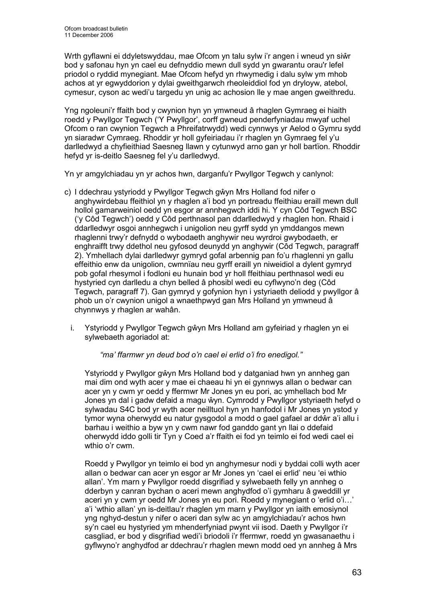Wrth gyflawni ei ddyletswyddau, mae Ofcom yn talu sylw i'r angen i wneud yn siŵr bod y safonau hyn yn cael eu defnyddio mewn dull sydd yn gwarantu orau'r lefel priodol o ryddid mynegiant. Mae Ofcom hefyd yn rhwymedig i dalu sylw ym mhob achos at yr egwyddorion y dylai gweithgarwch rheoleiddiol fod yn dryloyw, atebol, cymesur, cyson ac wedi'u targedu yn unig ac achosion lle y mae angen gweithredu.

Yng ngoleuni'r ffaith bod y cwynion hyn yn ymwneud â rhaglen Gymraeg ei hiaith roedd y Pwyllgor Tegwch ('Y Pwyllgor', corff gwneud penderfyniadau mwyaf uchel Ofcom o ran cwynion Tegwch a Phreifatrwydd) wedi cynnwys yr Aelod o Gymru sydd yn siaradwr Cymraeg. Rhoddir yr holl gyfeiriadau i'r rhaglen yn Gymraeg fel y'u darlledwyd a chyfieithiad Saesneg llawn y cytunwyd arno gan yr holl bartïon. Rhoddir hefyd yr is-deitlo Saesneg fel y'u darlledwyd.

Yn yr amgylchiadau yn yr achos hwn, darganfu'r Pwyllgor Tegwch y canlynol:

- c) I ddechrau ystyriodd y Pwyllgor Tegwch gŵyn Mrs Holland fod nifer o anghywirdebau ffeithiol yn y rhaglen a'i bod yn portreadu ffeithiau eraill mewn dull hollol gamarweiniol oedd yn esgor ar annhegwch iddi hi. Y cyn Côd Tegwch BSC ('y Côd Tegwch') oedd y Côd perthnasol pan ddarlledwyd y rhaglen hon. Rhaid i ddarlledwyr osgoi annhegwch i unigolion neu gyrff sydd yn ymddangos mewn rhaglenni trwy'r defnydd o wybodaeth anghywir neu wyrdroi gwybodaeth, er enghraifft trwy ddethol neu gyfosod deunydd yn anghywir (Côd Tegwch, paragraff 2). Ymhellach dylai darlledwyr gymryd gofal arbennig pan fo'u rhaglenni yn gallu effeithio enw da unigolion, cwmnïau neu gyrff eraill yn niweidiol a dylent gymryd pob gofal rhesymol i fodloni eu hunain bod yr holl ffeithiau perthnasol wedi eu hystyried cyn darlledu a chyn belled â phosibl wedi eu cyflwyno'n deg (Côd Tegwch, paragraff 7). Gan gymryd y gofynion hyn i ystyriaeth deliodd y pwyllgor â phob un o'r cwynion unigol a wnaethpwyd gan Mrs Holland yn ymwneud â chynnwys y rhaglen ar wahân.
	- i. Ystyriodd y Pwyllgor Tegwch gŵyn Mrs Holland am gyfeiriad y rhaglen yn ei sylwebaeth agoriadol at:

"ma' ffarmwr yn deud bod o'n cael ei erlid o'i fro enedigol."

Ystyriodd y Pwyllgor gŵyn Mrs Holland bod y datganiad hwn yn annheg gan mai dim ond wyth acer y mae ei chaeau hi yn ei gynnwys allan o bedwar can acer yn y cwm yr oedd y ffermwr Mr Jones yn eu pori, ac ymhellach bod Mr Jones yn dal i gadw defaid a magu ŵyn. Cymrodd y Pwyllgor ystyriaeth hefyd o sylwadau S4C bod yr wyth acer neilltuol hyn yn hanfodol i Mr Jones yn ystod y tymor wyna oherwydd eu natur gysgodol a modd o gael gafael ar ddŵr a'i allu i barhau i weithio a byw yn y cwm nawr fod ganddo gant yn llai o ddefaid oherwydd iddo golli tir Tyn y Coed a'r ffaith ei fod yn teimlo ei fod wedi cael ei wthio o'r cwm.

 Roedd y Pwyllgor yn teimlo ei bod yn anghymesur nodi y byddai colli wyth acer allan o bedwar can acer yn esgor ar Mr Jones yn 'cael ei erlid' neu 'ei wthio allan'. Ym marn y Pwyllgor roedd disgrifiad y sylwebaeth felly yn annheg o dderbyn y canran bychan o aceri mewn anghydfod o'i gymharu â gweddill yr aceri yn y cwm yr oedd Mr Jones yn eu pori. Roedd y mynegiant o 'erlid o'i…' a'i 'wthio allan' yn is-deitlau'r rhaglen ym marn y Pwyllgor yn iaith emosiynol yng nghyd-destun y nifer o aceri dan sylw ac yn amgylchiadau'r achos hwn sy'n cael eu hystyried ym mhenderfyniad pwynt vii isod. Daeth y Pwyllgor i'r casgliad, er bod y disgrifiad wedi'i briodoli i'r ffermwr, roedd yn gwasanaethu i gyflwyno'r anghydfod ar ddechrau'r rhaglen mewn modd oed yn annheg â Mrs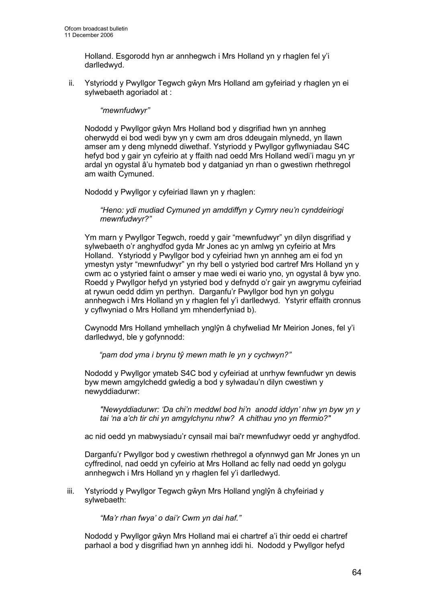Holland. Esgorodd hyn ar annhegwch i Mrs Holland yn y rhaglen fel y'i darlledwyd.

ii. Ystyriodd y Pwyllgor Tegwch gŵyn Mrs Holland am gyfeiriad y rhaglen yn ei sylwebaeth agoriadol at :

#### "mewnfudwyr"

Nododd y Pwyllgor gŵyn Mrs Holland bod y disgrifiad hwn yn annheg oherwydd ei bod wedi byw yn y cwm am dros ddeugain mlynedd, yn llawn amser am y deng mlynedd diwethaf. Ystyriodd y Pwyllgor gyflwyniadau S4C hefyd bod y gair yn cyfeirio at y ffaith nad oedd Mrs Holland wedi'i magu yn yr ardal yn ogystal â'u hymateb bod y datganiad yn rhan o gwestiwn rhethregol am waith Cymuned.

Nododd y Pwyllgor y cyfeiriad llawn yn y rhaglen:

"Heno: ydi mudiad Cymuned yn amddiffyn y Cymry neu'n cynddeiriogi mewnfudwyr?"

Ym marn y Pwyllgor Tegwch, roedd y gair "mewnfudwyr" yn dilyn disgrifiad y sylwebaeth o'r anghydfod gyda Mr Jones ac yn amlwg yn cyfeirio at Mrs Holland. Ystyriodd y Pwyllgor bod y cyfeiriad hwn yn annheg am ei fod yn ymestyn ystyr "mewnfudwyr" yn rhy bell o ystyried bod cartref Mrs Holland yn y cwm ac o ystyried faint o amser y mae wedi ei wario yno, yn ogystal â byw yno. Roedd y Pwyllgor hefyd yn ystyried bod y defnydd o'r gair yn awgrymu cyfeiriad at rywun oedd ddim yn perthyn. Darganfu'r Pwyllgor bod hyn yn golygu annhegwch i Mrs Holland yn y rhaglen fel y'i darlledwyd. Ystyrir effaith cronnus y cyflwyniad o Mrs Holland ym mhenderfyniad b).

Cwynodd Mrs Holland ymhellach ynglŷn â chyfweliad Mr Meirion Jones, fel y'i darlledwyd, ble y gofynnodd:

"pam dod yma i brynu tŷ mewn math le yn y cychwyn?"

Nododd y Pwyllgor ymateb S4C bod y cyfeiriad at unrhyw fewnfudwr yn dewis byw mewn amgylchedd gwledig a bod y sylwadau'n dilyn cwestiwn y newyddiadurwr:

"Newyddiadurwr: 'Da chi'n meddwl bod hi'n anodd iddyn' nhw yn byw yn y tai 'na a'ch tir chi yn amgylchynu nhw? A chithau yno yn ffermio?"

ac nid oedd yn mabwysiadu'r cynsail mai bai'r mewnfudwyr oedd yr anghydfod.

Darganfu'r Pwyllgor bod y cwestiwn rhethregol a ofynnwyd gan Mr Jones yn un cyffredinol, nad oedd yn cyfeirio at Mrs Holland ac felly nad oedd yn golygu annhegwch i Mrs Holland yn y rhaglen fel y'i darlledwyd.

iii. Ystyriodd y Pwyllgor Tegwch gŵyn Mrs Holland ynglŷn â chyfeiriad y sylwebaeth:

"Ma'r rhan fwya' o dai'r Cwm yn dai haf."

Nododd y Pwyllgor gŵyn Mrs Holland mai ei chartref a'i thir oedd ei chartref parhaol a bod y disgrifiad hwn yn annheg iddi hi. Nododd y Pwyllgor hefyd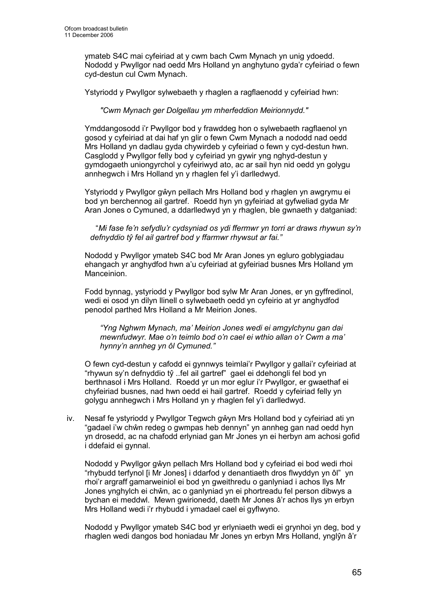ymateb S4C mai cyfeiriad at y cwm bach Cwm Mynach yn unig ydoedd. Nododd y Pwyllgor nad oedd Mrs Holland yn anghytuno gyda'r cyfeiriad o fewn cyd-destun cul Cwm Mynach.

Ystyriodd y Pwyllgor sylwebaeth y rhaglen a ragflaenodd y cyfeiriad hwn:

"Cwm Mynach ger Dolgellau ym mherfeddion Meirionnydd."

Ymddangosodd i'r Pwyllgor bod y frawddeg hon o sylwebaeth ragflaenol yn gosod y cyfeiriad at dai haf yn glir o fewn Cwm Mynach a nododd nad oedd Mrs Holland yn dadlau gyda chywirdeb y cyfeiriad o fewn y cyd-destun hwn. Casglodd y Pwyllgor felly bod y cyfeiriad yn gywir yng nghyd-destun y gymdogaeth uniongyrchol y cyfeiriwyd ato, ac ar sail hyn nid oedd yn golygu annhegwch i Mrs Holland yn y rhaglen fel y'i darlledwyd.

Ystyriodd y Pwyllgor gŵyn pellach Mrs Holland bod y rhaglen yn awgrymu ei bod yn berchennog ail gartref. Roedd hyn yn gyfeiriad at gyfweliad gyda Mr Aran Jones o Cymuned, a ddarlledwyd yn y rhaglen, ble gwnaeth y datganiad:

"Mi fase fe'n sefydlu'r cydsyniad os ydi ffermwr yn torri ar draws rhywun sy'n defnyddio tŷ fel ail gartref bod y ffarmwr rhywsut ar fai."

Nododd y Pwyllgor ymateb S4C bod Mr Aran Jones yn egluro goblygiadau ehangach yr anghydfod hwn a'u cyfeiriad at gyfeiriad busnes Mrs Holland ym Manceinion.

Fodd bynnag, ystyriodd y Pwyllgor bod sylw Mr Aran Jones, er yn gyffredinol, wedi ei osod yn dilyn llinell o sylwebaeth oedd yn cyfeirio at yr anghydfod penodol parthed Mrs Holland a Mr Meirion Jones.

"Yng Nghwm Mynach, ma' Meirion Jones wedi ei amgylchynu gan dai mewnfudwyr. Mae o'n teimlo bod o'n cael ei wthio allan o'r Cwm a ma' hynny'n annheg yn ôl Cymuned."

O fewn cyd-destun y cafodd ei gynnwys teimlai'r Pwyllgor y gallai'r cyfeiriad at "rhywun sy'n defnyddio tŷ ..fel ail gartref" gael ei ddehongli fel bod yn berthnasol i Mrs Holland. Roedd yr un mor eglur i'r Pwyllgor, er gwaethaf ei chyfeiriad busnes, nad hwn oedd ei hail gartref. Roedd y cyfeiriad felly yn golygu annhegwch i Mrs Holland yn y rhaglen fel y'i darlledwyd.

iv. Nesaf fe ystyriodd y Pwyllgor Tegwch gŵyn Mrs Holland bod y cyfeiriad ati yn "gadael i'w chŵn redeg o gwmpas heb dennyn" yn annheg gan nad oedd hyn yn drosedd, ac na chafodd erlyniad gan Mr Jones yn ei herbyn am achosi gofid i ddefaid ei gynnal.

Nododd y Pwyllgor gŵyn pellach Mrs Holland bod y cyfeiriad ei bod wedi rhoi "rhybudd terfynol [i Mr Jones] i ddarfod y denantiaeth dros flwyddyn yn ôl" yn rhoi'r argraff gamarweiniol ei bod yn gweithredu o ganlyniad i achos llys Mr Jones ynghylch ei chŵn, ac o ganlyniad yn ei phortreadu fel person dibwys a bychan ei meddwl. Mewn gwirionedd, daeth Mr Jones â'r achos llys yn erbyn Mrs Holland wedi i'r rhybudd i ymadael cael ei gyflwyno.

Nododd y Pwyllgor ymateb S4C bod yr erlyniaeth wedi ei grynhoi yn deg, bod y rhaglen wedi dangos bod honiadau Mr Jones yn erbyn Mrs Holland, ynglŷn â'r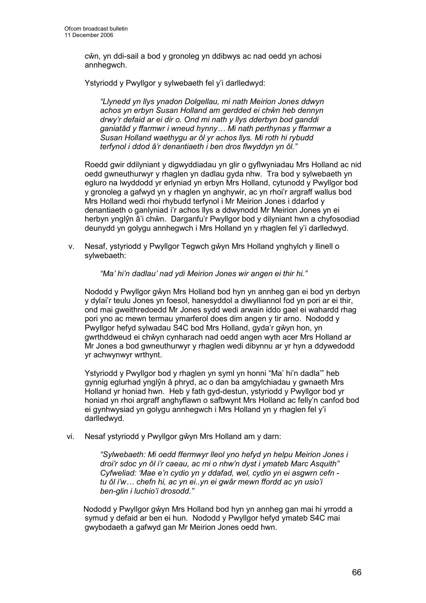cŵn, yn ddi-sail a bod y gronoleg yn ddibwys ac nad oedd yn achosi annhegwch.

Ystyriodd y Pwyllgor y sylwebaeth fel y'i darlledwyd:

"Llynedd yn llys ynadon Dolgellau, mi nath Meirion Jones ddwyn achos yn erbyn Susan Holland am gerdded ei chŵn heb dennyn drwy'r defaid ar ei dir o. Ond mi nath y llys dderbyn bod ganddi ganiatâd y ffarmwr i wneud hynny… Mi nath perthynas y ffarmwr a Susan Holland waethygu ar ôl yr achos llys. Mi roth hi rybudd terfynol i ddod â'r denantiaeth i ben dros flwyddyn yn ôl."

Roedd gwir ddilyniant y digwyddiadau yn glir o gyflwyniadau Mrs Holland ac nid oedd gwneuthurwyr y rhaglen yn dadlau gyda nhw. Tra bod y sylwebaeth yn egluro na lwyddodd yr erlyniad yn erbyn Mrs Holland, cytunodd y Pwyllgor bod y gronoleg a gafwyd yn y rhaglen yn anghywir, ac yn rhoi'r argraff wallus bod Mrs Holland wedi rhoi rhybudd terfynol i Mr Meirion Jones i ddarfod y denantiaeth o ganlyniad i'r achos llys a ddwynodd Mr Meirion Jones yn ei herbyn ynglŷn â'i chŵn. Darganfu'r Pwyllgor bod y dilyniant hwn a chyfosodiad deunydd yn golygu annhegwch i Mrs Holland yn y rhaglen fel y'i darlledwyd.

v. Nesaf, ystyriodd y Pwyllgor Tegwch gŵyn Mrs Holland ynghylch y llinell o sylwebaeth:

"Ma' hi'n dadlau' nad ydi Meirion Jones wir angen ei thir hi."

Nododd y Pwyllgor gŵyn Mrs Holland bod hyn yn annheg gan ei bod yn derbyn y dylai'r teulu Jones yn foesol, hanesyddol a diwylliannol fod yn pori ar ei thir, ond mai gweithredoedd Mr Jones sydd wedi arwain iddo gael ei wahardd rhag pori yno ac mewn termau ymarferol does dim angen y tir arno. Nododd y Pwyllgor hefyd sylwadau S4C bod Mrs Holland, gyda'r gŵyn hon, yn gwrthddweud ei chŵyn cynharach nad oedd angen wyth acer Mrs Holland ar Mr Jones a bod gwneuthurwyr y rhaglen wedi dibynnu ar yr hyn a ddywedodd yr achwynwyr wrthynt.

Ystyriodd y Pwyllgor bod y rhaglen yn syml yn honni "Ma' hi'n dadla'" heb gynnig eglurhad ynglŷn â phryd, ac o dan ba amgylchiadau y gwnaeth Mrs Holland yr honiad hwn. Heb y fath gyd-destun, ystyriodd y Pwyllgor bod yr honiad yn rhoi argraff anghyflawn o safbwynt Mrs Holland ac felly'n canfod bod ei gynhwysiad yn golygu annhegwch i Mrs Holland yn y rhaglen fel y'i darlledwyd.

vi. Nesaf ystyriodd y Pwyllgor gŵyn Mrs Holland am y darn:

"Sylwebaeth: Mi oedd ffermwyr lleol yno hefyd yn helpu Meirion Jones i droi'r sdoc yn ôl i'r caeau, ac mi o nhw'n dyst i ymateb Marc Asquith" Cyfweliad: 'Mae e'n cydio yn y ddafad, wel, cydio yn ei asgwrn cefn tu ôl i'w… chefn hi, ac yn ei..yn ei gwâr mewn ffordd ac yn usio'i ben-glin i luchio'i drosodd."

 Nododd y Pwyllgor gŵyn Mrs Holland bod hyn yn annheg gan mai hi yrrodd a symud y defaid ar ben ei hun. Nododd y Pwyllgor hefyd ymateb S4C mai gwybodaeth a gafwyd gan Mr Meirion Jones oedd hwn.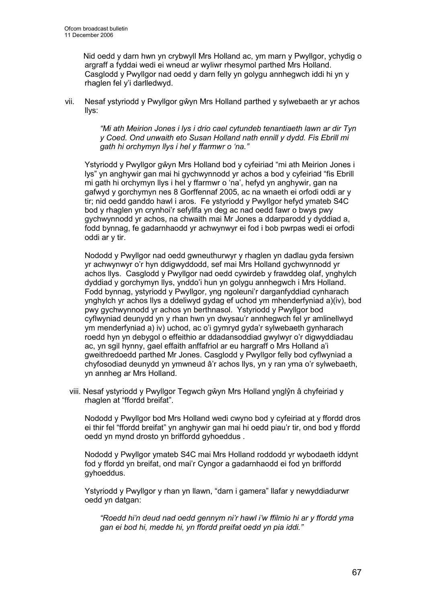Nid oedd y darn hwn yn crybwyll Mrs Holland ac, ym marn y Pwyllgor, ychydig o argraff a fyddai wedi ei wneud ar wyliwr rhesymol parthed Mrs Holland. Casglodd y Pwyllgor nad oedd y darn felly yn golygu annhegwch iddi hi yn y rhaglen fel y'i darlledwyd.

vii. Nesaf ystyriodd y Pwyllgor gŵyn Mrs Holland parthed y sylwebaeth ar yr achos llys:

> "Mi ath Meirion Jones i lys i drio cael cytundeb tenantiaeth lawn ar dir Tyn y Coed. Ond unwaith eto Susan Holland nath ennill y dydd. Fis Ebrill mi gath hi orchymyn llys i hel y ffarmwr o 'na."

Ystyriodd y Pwyllgor gŵyn Mrs Holland bod y cyfeiriad "mi ath Meirion Jones i lys" yn anghywir gan mai hi gychwynnodd yr achos a bod y cyfeiriad "fis Ebrill mi gath hi orchymyn llys i hel y ffarmwr o 'na', hefyd yn anghywir, gan na gafwyd y gorchymyn nes 8 Gorffennaf 2005, ac na wnaeth ei orfodi oddi ar y tir; nid oedd ganddo hawl i aros. Fe ystyriodd y Pwyllgor hefyd ymateb S4C bod y rhaglen yn crynhoi'r sefyllfa yn deg ac nad oedd fawr o bwys pwy gychwynnodd yr achos, na chwaith mai Mr Jones a ddarparodd y dyddiad a, fodd bynnag, fe gadarnhaodd yr achwynwyr ei fod i bob pwrpas wedi ei orfodi oddi ar y tir.

Nododd y Pwyllgor nad oedd gwneuthurwyr y rhaglen yn dadlau gyda fersiwn yr achwynwyr o'r hyn ddigwyddodd, sef mai Mrs Holland gychwynnodd yr achos llys. Casglodd y Pwyllgor nad oedd cywirdeb y frawddeg olaf, ynghylch dyddiad y gorchymyn llys, ynddo'i hun yn golygu annhegwch i Mrs Holland. Fodd bynnag, ystyriodd y Pwyllgor, yng ngoleuni'r darganfyddiad cynharach ynghylch yr achos llys a ddeliwyd gydag ef uchod ym mhenderfyniad a)(iv), bod pwy gychwynnodd yr achos yn berthnasol. Ystyriodd y Pwyllgor bod cyflwyniad deunydd yn y rhan hwn yn dwysau'r annhegwch fel yr amlinellwyd ym menderfyniad a) iv) uchod, ac o'i gymryd gyda'r sylwebaeth gynharach roedd hyn yn debygol o effeithio ar ddadansoddiad gwylwyr o'r digwyddiadau ac, yn sgil hynny, gael effaith anffafriol ar eu hargraff o Mrs Holland a'i gweithredoedd parthed Mr Jones. Casglodd y Pwyllgor felly bod cyflwyniad a chyfosodiad deunydd yn ymwneud â'r achos llys, yn y ran yma o'r sylwebaeth, yn annheg ar Mrs Holland.

viii. Nesaf ystyriodd y Pwyllgor Tegwch gŵyn Mrs Holland ynglŷn â chyfeiriad y rhaglen at "ffordd breifat".

Nododd y Pwyllgor bod Mrs Holland wedi cwyno bod y cyfeiriad at y ffordd dros ei thir fel "ffordd breifat" yn anghywir gan mai hi oedd piau'r tir, ond bod y ffordd oedd yn mynd drosto yn briffordd gyhoeddus .

Nododd y Pwyllgor ymateb S4C mai Mrs Holland roddodd yr wybodaeth iddynt fod y ffordd yn breifat, ond mai'r Cyngor a gadarnhaodd ei fod yn briffordd gyhoeddus.

Ystyriodd y Pwyllgor y rhan yn llawn, "darn i gamera" llafar y newyddiadurwr oedd yn datgan:

"Roedd hi'n deud nad oedd gennym ni'r hawl i'w ffilmio hi ar y ffordd yma gan ei bod hi, medde hi, yn ffordd preifat oedd yn pia iddi."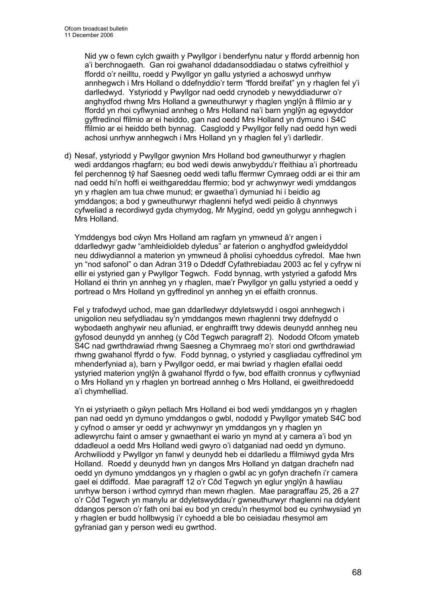Nid yw o fewn cylch gwaith y Pwyllgor i benderfynu natur y ffordd arbennig hon a'i berchnogaeth. Gan roi gwahanol ddadansoddiadau o statws cyfreithiol y ffordd o'r neilltu, roedd y Pwyllgor yn gallu ystyried a achoswyd unrhyw annhegwch i Mrs Holland o ddefnyddio'r term "ffordd breifat" yn y rhaglen fel y'i darlledwyd. Ystyriodd y Pwyllgor nad oedd crynodeb y newyddiadurwr o'r anghydfod rhwng Mrs Holland a gwneuthurwyr y rhaglen ynglŷn â ffilmio ar y ffordd yn rhoi cyflwyniad annheg o Mrs Holland na'i barn ynglŷn ag egwyddor gyffredinol ffilmio ar ei heiddo, gan nad oedd Mrs Holland yn dymuno i S4C ffilmio ar ei heiddo beth bynnag. Casglodd y Pwyllgor felly nad oedd hyn wedi achosi unrhyw annhegwch i Mrs Holland yn y rhaglen fel y'i darlledir.

d) Nesaf, ystyriodd y Pwyllgor gwynion Mrs Holland bod gwneuthurwyr y rhaglen wedi arddangos rhagfarn; eu bod wedi dewis anwybyddu'r ffeithiau a'i phortreadu fel perchennog tŷ haf Saesneg oedd wedi taflu ffermwr Cymraeg oddi ar ei thir am nad oedd hi'n hoffi ei weithgareddau ffermio; bod yr achwynwyr wedi ymddangos yn y rhaglen am tua chwe munud; er gwaetha'i dymuniad hi i beidio ag ymddangos; a bod y gwneuthurwyr rhaglenni hefyd wedi peidio â chynnwys cyfweliad a recordiwyd gyda chymydog, Mr Mygind, oedd yn golygu annhegwch i Mrs Holland.

Ymddengys bod cŵyn Mrs Holland am ragfarn yn ymwneud â'r angen i ddarlledwyr gadw "amhleidioldeb dyledus" ar faterion o anghydfod gwleidyddol neu ddiwydiannol a materion yn ymwneud â pholisi cyhoeddus cyfredol. Mae hwn yn "nod safonol" o dan Adran 319 o Ddeddf Cyfathrebiadau 2003 ac fel y cyfryw ni ellir ei ystyried gan y Pwyllgor Tegwch. Fodd bynnag, wrth ystyried a gafodd Mrs Holland ei thrin yn annheg yn y rhaglen, mae'r Pwyllgor yn gallu ystyried a oedd y portread o Mrs Holland yn gyffredinol yn annheg yn ei effaith cronnus.

 Fel y trafodwyd uchod, mae gan ddarlledwyr ddyletswydd i osgoi annhegwch i unigolion neu sefydliadau sy'n ymddangos mewn rhaglenni trwy ddefnydd o wybodaeth anghywir neu afluniad, er enghraifft trwy ddewis deunydd annheg neu gyfosod deunydd yn annheg (y Côd Tegwch paragraff 2). Nododd Ofcom ymateb S4C nad gwrthdrawiad rhwng Saesneg a Chymraeg mo'r stori ond gwrthdrawiad rhwng gwahanol ffyrdd o fyw. Fodd bynnag, o ystyried y casgliadau cyffredinol ym mhenderfyniad a), barn y Pwyllgor oedd, er mai bwriad y rhaglen efallai oedd ystyried materion ynglŷn â gwahanol ffyrdd o fyw, bod effaith cronnus y cyflwyniad o Mrs Holland yn y rhaglen yn bortread annheg o Mrs Holland, ei gweithredoedd a'i chymhelliad.

Yn ei ystyriaeth o gŵyn pellach Mrs Holland ei bod wedi ymddangos yn y rhaglen pan nad oedd yn dymuno ymddangos o gwbl, nododd y Pwyllgor ymateb S4C bod y cyfnod o amser yr oedd yr achwynwyr yn ymddangos yn y rhaglen yn adlewyrchu faint o amser y gwnaethant ei wario yn mynd at y camera a'i bod yn ddadleuol a oedd Mrs Holland wedi gwyro o'i datganiad nad oedd yn dymuno. Archwiliodd y Pwyllgor yn fanwl y deunydd heb ei ddarlledu a ffilmiwyd gyda Mrs Holland. Roedd y deunydd hwn yn dangos Mrs Holland yn datgan drachefn nad oedd yn dymuno ymddangos yn y rhaglen o gwbl ac yn gofyn drachefn i'r camera gael ei ddiffodd. Mae paragraff 12 o'r Côd Tegwch yn eglur ynglŷn â hawliau unrhyw berson i wrthod cymryd rhan mewn rhaglen. Mae paragraffau 25, 26 a 27 o'r Côd Tegwch yn manylu ar ddyletswyddau'r gwneuthurwyr rhaglenni na ddylent ddangos person o'r fath oni bai eu bod yn credu'n rhesymol bod eu cynhwysiad yn y rhaglen er budd hollbwysig i'r cyhoedd a ble bo ceisiadau rhesymol am gyfraniad gan y person wedi eu gwrthod.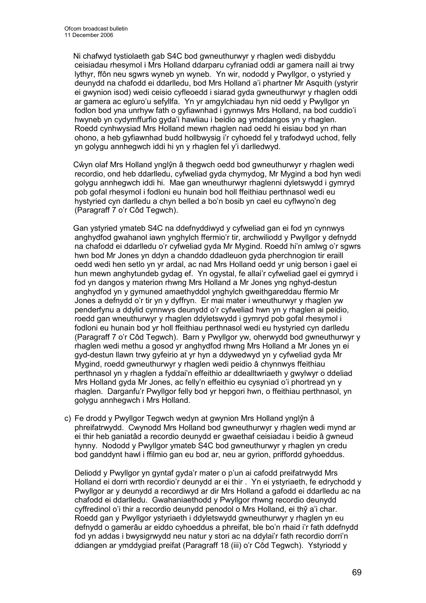Ni chafwyd tystiolaeth gab S4C bod gwneuthurwyr y rhaglen wedi disbyddu ceisiadau rhesymol i Mrs Holland ddarparu cyfraniad oddi ar gamera naill ai trwy lythyr, ffôn neu sgwrs wyneb yn wyneb. Yn wir, nododd y Pwyllgor, o ystyried y deunydd na chafodd ei ddarlledu, bod Mrs Holland a'i phartner Mr Asquith (ystyrir ei gwynion isod) wedi ceisio cyfleoedd i siarad gyda gwneuthurwyr y rhaglen oddi ar gamera ac egluro'u sefyllfa. Yn yr amgylchiadau hyn nid oedd y Pwyllgor yn fodlon bod yna unrhyw fath o gyfiawnhad i gynnwys Mrs Holland, na bod cuddio'i hwyneb yn cydymffurfio gyda'i hawliau i beidio ag ymddangos yn y rhaglen. Roedd cynhwysiad Mrs Holland mewn rhaglen nad oedd hi eisiau bod yn rhan ohono, a heb gyfiawnhad budd hollbwysig i'r cyhoedd fel y trafodwyd uchod, felly yn golygu annhegwch iddi hi yn y rhaglen fel y'i darlledwyd.

 Cŵyn olaf Mrs Holland ynglŷn â thegwch oedd bod gwneuthurwyr y rhaglen wedi recordio, ond heb ddarlledu, cyfweliad gyda chymydog, Mr Mygind a bod hyn wedi golygu annhegwch iddi hi. Mae gan wneuthurwyr rhaglenni dyletswydd i gymryd pob gofal rhesymol i fodloni eu hunain bod holl ffeithiau perthnasol wedi eu hystyried cyn darlledu a chyn belled a bo'n bosib yn cael eu cyflwyno'n deg (Paragraff 7 o'r Côd Tegwch).

 Gan ystyried ymateb S4C na ddefnyddiwyd y cyfweliad gan ei fod yn cynnwys anghydfod gwahanol iawn ynghylch ffermio'r tir, archwiliodd y Pwyllgor y defnydd na chafodd ei ddarlledu o'r cyfweliad gyda Mr Mygind. Roedd hi'n amlwg o'r sgwrs hwn bod Mr Jones yn ddyn a chanddo ddadleuon gyda pherchnogion tir eraill oedd wedi hen setlo yn yr ardal, ac nad Mrs Holland oedd yr unig berson i gael ei hun mewn anghytundeb gydag ef. Yn ogystal, fe allai'r cyfweliad gael ei gymryd i fod yn dangos y materion rhwng Mrs Holland a Mr Jones yng nghyd-destun anghydfod yn y gymuned amaethyddol ynghylch gweithgareddau ffermio Mr Jones a defnydd o'r tir yn y dyffryn. Er mai mater i wneuthurwyr y rhaglen yw penderfynu a ddylid cynnwys deunydd o'r cyfweliad hwn yn y rhaglen ai peidio, roedd gan wneuthurwyr y rhaglen ddyletswydd i gymryd pob gofal rhesymol i fodloni eu hunain bod yr holl ffeithiau perthnasol wedi eu hystyried cyn darlledu (Paragraff 7 o'r Côd Tegwch). Barn y Pwyllgor yw, oherwydd bod gwneuthurwyr y rhaglen wedi methu a gosod yr anghydfod rhwng Mrs Holland a Mr Jones yn ei gyd-destun llawn trwy gyfeirio at yr hyn a ddywedwyd yn y cyfweliad gyda Mr Mygind, roedd gwneuthurwyr y rhaglen wedi peidio â chynnwys ffeithiau perthnasol yn y rhaglen a fyddai'n effeithio ar ddealltwriaeth y gwylwyr o ddeliad Mrs Holland gyda Mr Jones, ac felly'n effeithio eu cysyniad o'i phortread yn y rhaglen. Darganfu'r Pwyllgor felly bod yr hepgori hwn, o ffeithiau perthnasol, yn golygu annhegwch i Mrs Holland.

c) Fe drodd y Pwyllgor Tegwch wedyn at gwynion Mrs Holland ynglŷn â phreifatrwydd. Cwynodd Mrs Holland bod gwneuthurwyr y rhaglen wedi mynd ar ei thir heb ganiatâd a recordio deunydd er gwaethaf ceisiadau i beidio â gwneud hynny. Nododd y Pwyllgor ymateb S4C bod gwneuthurwyr y rhaglen yn credu bod ganddynt hawl i ffilmio gan eu bod ar, neu ar gyrion, priffordd gyhoeddus.

Deliodd y Pwyllgor yn gyntaf gyda'r mater o p'un ai cafodd preifatrwydd Mrs Holland ei dorri wrth recordio'r deunydd ar ei thir . Yn ei ystyriaeth, fe edrychodd y Pwyllgor ar y deunydd a recordiwyd ar dir Mrs Holland a gafodd ei ddarlledu ac na chafodd ei ddarlledu. Gwahaniaethodd y Pwyllgor rhwng recordio deunydd cyffredinol o'i thir a recordio deunydd penodol o Mrs Holland, ei thŷ a'i char. Roedd gan y Pwyllgor ystyriaeth i ddyletswydd gwneuthurwyr y rhaglen yn eu defnydd o gamerâu ar eiddo cyhoeddus a phreifat, ble bo'n rhaid i'r fath ddefnydd fod yn addas i bwysigrwydd neu natur y stori ac na ddylai'r fath recordio dorri'n ddiangen ar ymddygiad preifat (Paragraff 18 (iii) o'r Côd Tegwch). Ystyriodd y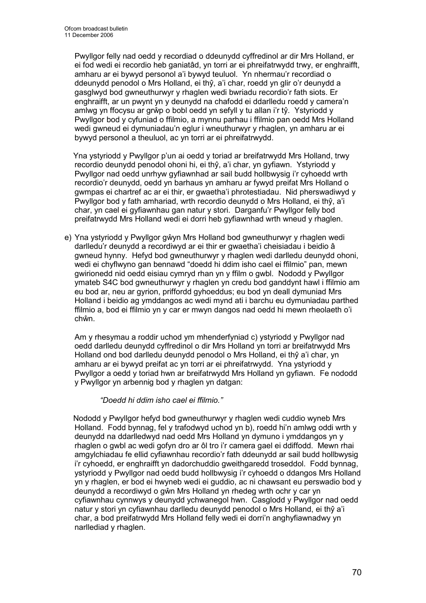Pwyllgor felly nad oedd y recordiad o ddeunydd cyffredinol ar dir Mrs Holland, er ei fod wedi ei recordio heb ganiatâd, yn torri ar ei phreifatrwydd trwy, er enghraifft, amharu ar ei bywyd personol a'i bywyd teuluol. Yn nhermau'r recordiad o ddeunydd penodol o Mrs Holland, ei thŷ, a'i char, roedd yn glir o'r deunydd a gasglwyd bod gwneuthurwyr y rhaglen wedi bwriadu recordio'r fath siots. Er enghraifft, ar un pwynt yn y deunydd na chafodd ei ddarlledu roedd y camera'n amlwg yn ffocysu ar grŵp o bobl oedd yn sefyll y tu allan i'r tŷ. Ystyriodd y Pwyllgor bod y cyfuniad o ffilmio, a mynnu parhau i ffilmio pan oedd Mrs Holland wedi gwneud ei dymuniadau'n eglur i wneuthurwyr y rhaglen, yn amharu ar ei bywyd personol a theuluol, ac yn torri ar ei phreifatrwydd.

 Yna ystyriodd y Pwyllgor p'un ai oedd y toriad ar breifatrwydd Mrs Holland, trwy recordio deunydd penodol ohoni hi, ei thŷ, a'i char, yn gyfiawn. Ystyriodd y Pwyllgor nad oedd unrhyw gyfiawnhad ar sail budd hollbwysig i'r cyhoedd wrth recordio'r deunydd, oedd yn barhaus yn amharu ar fywyd preifat Mrs Holland o gwmpas ei chartref ac ar ei thir, er gwaetha'i phrotestiadau. Nid pherswadiwyd y Pwyllgor bod y fath amhariad, wrth recordio deunydd o Mrs Holland, ei thŷ, a'i char, yn cael ei gyfiawnhau gan natur y stori. Darganfu'r Pwyllgor felly bod preifatrwydd Mrs Holland wedi ei dorri heb gyfiawnhad wrth wneud y rhaglen.

e) Yna ystyriodd y Pwyllgor gŵyn Mrs Holland bod gwneuthurwyr y rhaglen wedi darlledu'r deunydd a recordiwyd ar ei thir er gwaetha'i cheisiadau i beidio â gwneud hynny. Hefyd bod gwneuthurwyr y rhaglen wedi darlledu deunydd ohoni, wedi ei chyflwyno gan bennawd "doedd hi ddim isho cael ei ffilmio" pan, mewn gwirionedd nid oedd eisiau cymryd rhan yn y ffilm o gwbl. Nododd y Pwyllgor ymateb S4C bod gwneuthurwyr y rhaglen yn credu bod ganddynt hawl i ffilmio am eu bod ar, neu ar gyrion, priffordd gyhoeddus; eu bod yn deall dymuniad Mrs Holland i beidio ag ymddangos ac wedi mynd ati i barchu eu dymuniadau parthed ffilmio a, bod ei ffilmio yn y car er mwyn dangos nad oedd hi mewn rheolaeth o'i chŵn.

Am y rhesymau a roddir uchod ym mhenderfyniad c) ystyriodd y Pwyllgor nad oedd darlledu deunydd cyffredinol o dir Mrs Holland yn torri ar breifatrwydd Mrs Holland ond bod darlledu deunydd penodol o Mrs Holland, ei thŷ a'i char, yn amharu ar ei bywyd preifat ac yn torri ar ei phreifatrwydd. Yna ystyriodd y Pwyllgor a oedd y toriad hwn ar breifatrwydd Mrs Holland yn gyfiawn. Fe nododd y Pwyllgor yn arbennig bod y rhaglen yn datgan:

### "Doedd hi ddim isho cael ei ffilmio."

 Nododd y Pwyllgor hefyd bod gwneuthurwyr y rhaglen wedi cuddio wyneb Mrs Holland. Fodd bynnag, fel y trafodwyd uchod yn b), roedd hi'n amlwg oddi wrth y deunydd na ddarlledwyd nad oedd Mrs Holland yn dymuno i ymddangos yn y rhaglen o gwbl ac wedi gofyn dro ar ôl tro i'r camera gael ei ddiffodd. Mewn rhai amgylchiadau fe ellid cyfiawnhau recordio'r fath ddeunydd ar sail budd hollbwysig i'r cyhoedd, er enghraifft yn dadorchuddio gweithgaredd troseddol. Fodd bynnag, ystyriodd y Pwyllgor nad oedd budd hollbwysig i'r cyhoedd o ddangos Mrs Holland yn y rhaglen, er bod ei hwyneb wedi ei guddio, ac ni chawsant eu perswadio bod y deunydd a recordiwyd o gŵn Mrs Holland yn rhedeg wrth ochr y car yn cyfiawnhau cynnwys y deunydd ychwanegol hwn. Casglodd y Pwyllgor nad oedd natur y stori yn cyfiawnhau darlledu deunydd penodol o Mrs Holland, ei thŷ a'i char, a bod preifatrwydd Mrs Holland felly wedi ei dorri'n anghyfiawnadwy yn narllediad y rhaglen.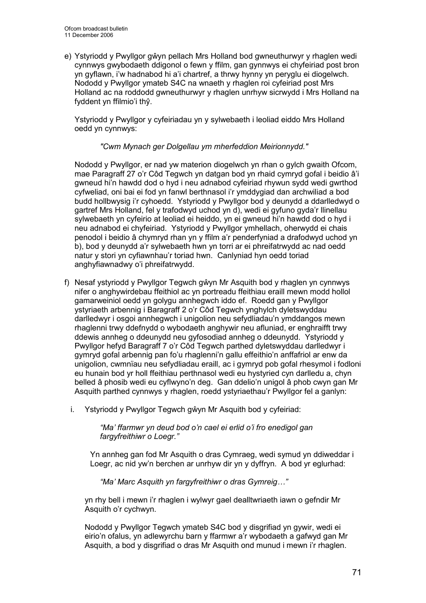e) Ystyriodd y Pwyllgor gŵyn pellach Mrs Holland bod gwneuthurwyr y rhaglen wedi cynnwys gwybodaeth ddigonol o fewn y ffilm, gan gynnwys ei chyfeiriad post bron yn gyflawn, i'w hadnabod hi a'i chartref, a thrwy hynny yn peryglu ei diogelwch. Nododd y Pwyllgor ymateb S4C na wnaeth y rhaglen roi cyfeiriad post Mrs Holland ac na roddodd gwneuthurwyr y rhaglen unrhyw sicrwydd i Mrs Holland na fyddent yn ffilmio'i thŷ.

Ystyriodd y Pwyllgor y cyfeiriadau yn y sylwebaeth i leoliad eiddo Mrs Holland oedd yn cynnwys:

"Cwm Mynach ger Dolgellau ym mherfeddion Meirionnydd."

Nododd y Pwyllgor, er nad yw materion diogelwch yn rhan o gylch gwaith Ofcom, mae Paragraff 27 o'r Côd Tegwch yn datgan bod yn rhaid cymryd gofal i beidio â'i gwneud hi'n hawdd dod o hyd i neu adnabod cyfeiriad rhywun sydd wedi gwrthod cyfweliad, oni bai ei fod yn fanwl berthnasol i'r ymddygiad dan archwiliad a bod budd hollbwysig i'r cyhoedd. Ystyriodd y Pwyllgor bod y deunydd a ddarlledwyd o gartref Mrs Holland, fel y trafodwyd uchod yn d), wedi ei gyfuno gyda'r llinellau sylwebaeth yn cyfeirio at leoliad ei heiddo, yn ei gwneud hi'n hawdd dod o hyd i neu adnabod ei chyfeiriad. Ystyriodd y Pwyllgor ymhellach, oherwydd ei chais penodol i beidio â chymryd rhan yn y ffilm a'r penderfyniad a drafodwyd uchod yn b), bod y deunydd a'r sylwebaeth hwn yn torri ar ei phreifatrwydd ac nad oedd natur y stori yn cyfiawnhau'r toriad hwn. Canlyniad hyn oedd toriad anghyfiawnadwy o'i phreifatrwydd.

- f) Nesaf ystyriodd y Pwyllgor Tegwch gŵyn Mr Asquith bod y rhaglen yn cynnwys nifer o anghywirdebau ffeithiol ac yn portreadu ffeithiau eraill mewn modd hollol gamarweiniol oedd yn golygu annhegwch iddo ef. Roedd gan y Pwyllgor ystyriaeth arbennig i Baragraff 2 o'r Côd Tegwch ynghylch dyletswyddau darlledwyr i osgoi annhegwch i unigolion neu sefydliadau'n ymddangos mewn rhaglenni trwy ddefnydd o wybodaeth anghywir neu afluniad, er enghraifft trwy ddewis annheg o ddeunydd neu gyfosodiad annheg o ddeunydd. Ystyriodd y Pwyllgor hefyd Baragraff 7 o'r Côd Tegwch parthed dyletswyddau darlledwyr i gymryd gofal arbennig pan fo'u rhaglenni'n gallu effeithio'n anffafriol ar enw da unigolion, cwmnïau neu sefydliadau eraill, ac i gymryd pob gofal rhesymol i fodloni eu hunain bod yr holl ffeithiau perthnasol wedi eu hystyried cyn darlledu a, chyn belled â phosib wedi eu cyflwyno'n deg. Gan ddelio'n unigol â phob cwyn gan Mr Asquith parthed cynnwys y rhaglen, roedd ystyriaethau'r Pwyllgor fel a ganlyn:
	- i. Ystyriodd y Pwyllgor Tegwch gŵyn Mr Asquith bod y cyfeiriad:

"Ma' ffarmwr yn deud bod o'n cael ei erlid o'i fro enedigol gan fargyfreithiwr o Loegr."

Yn annheg gan fod Mr Asquith o dras Cymraeg, wedi symud yn ddiweddar i Loegr, ac nid yw'n berchen ar unrhyw dir yn y dyffryn. A bod yr eglurhad:

"Ma' Marc Asquith yn fargyfreithiwr o dras Gymreig…"

yn rhy bell i mewn i'r rhaglen i wylwyr gael dealltwriaeth iawn o gefndir Mr Asquith o'r cychwyn.

Nododd y Pwyllgor Tegwch ymateb S4C bod y disgrifiad yn gywir, wedi ei eirio'n ofalus, yn adlewyrchu barn y ffarmwr a'r wybodaeth a gafwyd gan Mr Asquith, a bod y disgrifiad o dras Mr Asquith ond munud i mewn i'r rhaglen.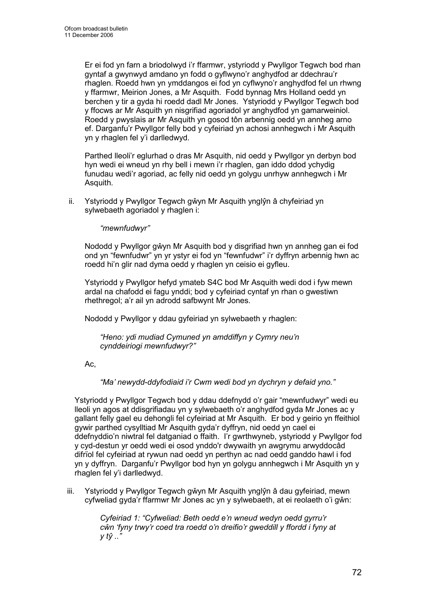Er ei fod yn farn a briodolwyd i'r ffarmwr, ystyriodd y Pwyllgor Tegwch bod rhan gyntaf a gwynwyd amdano yn fodd o gyflwyno'r anghydfod ar ddechrau'r rhaglen. Roedd hwn yn ymddangos ei fod yn cyflwyno'r anghydfod fel un rhwng y ffarmwr, Meirion Jones, a Mr Asquith. Fodd bynnag Mrs Holland oedd yn berchen y tir a gyda hi roedd dadl Mr Jones. Ystyriodd y Pwyllgor Tegwch bod y ffocws ar Mr Asquith yn nisgrifiad agoriadol yr anghydfod yn gamarweiniol. Roedd y pwyslais ar Mr Asquith yn gosod tôn arbennig oedd yn annheg arno ef. Darganfu'r Pwyllgor felly bod y cyfeiriad yn achosi annhegwch i Mr Asquith yn y rhaglen fel y'i darlledwyd.

Parthed lleoli'r eglurhad o dras Mr Asquith, nid oedd y Pwyllgor yn derbyn bod hyn wedi ei wneud yn rhy bell i mewn i'r rhaglen, gan iddo ddod ychydig funudau wedi'r agoriad, ac felly nid oedd yn golygu unrhyw annhegwch i Mr Asquith.

ii. Ystyriodd y Pwyllgor Tegwch gŵyn Mr Asquith ynglŷn â chyfeiriad yn sylwebaeth agoriadol y rhaglen i:

"mewnfudwyr"

Nododd y Pwyllgor gŵyn Mr Asquith bod y disgrifiad hwn yn annheg gan ei fod ond yn "fewnfudwr" yn yr ystyr ei fod yn "fewnfudwr" i'r dyffryn arbennig hwn ac roedd hi'n glir nad dyma oedd y rhaglen yn ceisio ei gyfleu.

Ystyriodd y Pwyllgor hefyd ymateb S4C bod Mr Asquith wedi dod i fyw mewn ardal na chafodd ei fagu ynddi; bod y cyfeiriad cyntaf yn rhan o gwestiwn rhethregol; a'r ail yn adrodd safbwynt Mr Jones.

Nododd y Pwyllgor y ddau gyfeiriad yn sylwebaeth y rhaglen:

"Heno: ydi mudiad Cymuned yn amddiffyn y Cymry neu'n cynddeiriogi mewnfudwyr?"

Ac,

"Ma' newydd-ddyfodiaid i'r Cwm wedi bod yn dychryn y defaid yno."

Ystyriodd y Pwyllgor Tegwch bod y ddau ddefnydd o'r gair "mewnfudwyr" wedi eu lleoli yn agos at ddisgrifiadau yn y sylwebaeth o'r anghydfod gyda Mr Jones ac y gallant felly gael eu dehongli fel cyfeiriad at Mr Asquith. Er bod y geirio yn ffeithiol gywir parthed cysylltiad Mr Asquith gyda'r dyffryn, nid oedd yn cael ei ddefnyddio'n niwtral fel datganiad o ffaith. I'r gwrthwyneb, ystyriodd y Pwyllgor fod y cyd-destun yr oedd wedi ei osod ynddo'r dwywaith yn awgrymu arwyddocâd difrïol fel cyfeiriad at rywun nad oedd yn perthyn ac nad oedd ganddo hawl i fod yn y dyffryn. Darganfu'r Pwyllgor bod hyn yn golygu annhegwch i Mr Asquith yn y rhaglen fel y'i darlledwyd.

iii. Ystyriodd y Pwyllgor Tegwch gŵyn Mr Asquith ynglŷn â dau gyfeiriad, mewn cyfweliad gyda'r ffarmwr Mr Jones ac yn y sylwebaeth, at ei reolaeth o'i gŵn:

> Cyfeiriad 1: "Cyfweliad: Beth oedd e'n wneud wedyn oedd gyrru'r cŵn 'fyny trwy'r coed tra roedd o'n dreifio'r gweddill y ffordd i fyny at  $v t\hat{v}$ .."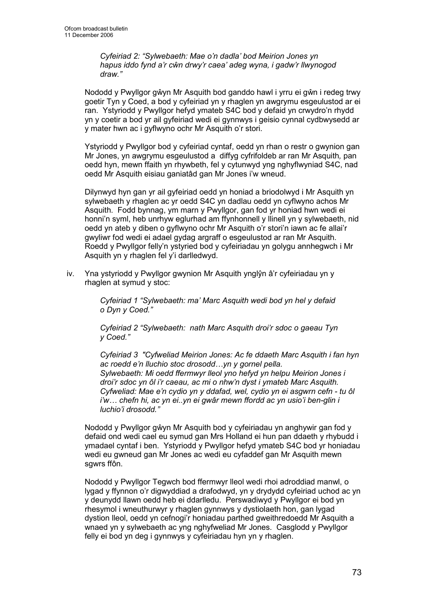Cyfeiriad 2: "Sylwebaeth: Mae o'n dadla' bod Meirion Jones yn hapus iddo fynd a'r cŵn drwy'r caea' adeg wyna, i gadw'r llwynogod draw."

Nododd y Pwyllgor gŵyn Mr Asquith bod ganddo hawl i yrru ei gŵn i redeg trwy goetir Tyn y Coed, a bod y cyfeiriad yn y rhaglen yn awgrymu esgeulustod ar ei ran. Ystyriodd y Pwyllgor hefyd ymateb S4C bod y defaid yn crwydro'n rhydd yn y coetir a bod yr ail gyfeiriad wedi ei gynnwys i geisio cynnal cydbwysedd ar y mater hwn ac i gyflwyno ochr Mr Asquith o'r stori.

Ystyriodd y Pwyllgor bod y cyfeiriad cyntaf, oedd yn rhan o restr o gwynion gan Mr Jones, yn awgrymu esgeulustod a diffyg cyfrifoldeb ar ran Mr Asquith, pan oedd hyn, mewn ffaith yn rhywbeth, fel y cytunwyd yng nghyflwyniad S4C, nad oedd Mr Asquith eisiau ganiatâd gan Mr Jones i'w wneud.

Dilynwyd hyn gan yr ail gyfeiriad oedd yn honiad a briodolwyd i Mr Asquith yn sylwebaeth y rhaglen ac yr oedd S4C yn dadlau oedd yn cyflwyno achos Mr Asquith. Fodd bynnag, ym marn y Pwyllgor, gan fod yr honiad hwn wedi ei honni'n syml, heb unrhyw eglurhad am ffynhonnell y llinell yn y sylwebaeth, nid oedd yn ateb y diben o gyflwyno ochr Mr Asquith o'r stori'n iawn ac fe allai'r gwyliwr fod wedi ei adael gydag argraff o esgeulustod ar ran Mr Asquith. Roedd y Pwyllgor felly'n ystyried bod y cyfeiriadau yn golygu annhegwch i Mr Asquith yn y rhaglen fel y'i darlledwyd.

iv. Yna ystyriodd y Pwyllgor gwynion Mr Asquith ynglŷn â'r cyfeiriadau yn y rhaglen at symud y stoc:

> Cyfeiriad 1 "Sylwebaeth: ma' Marc Asquith wedi bod yn hel y defaid o Dyn y Coed."

Cyfeiriad 2 "Sylwebaeth: nath Marc Asquith droi'r sdoc o gaeau Tyn y Coed."

Cyfeiriad 3 "Cyfweliad Meirion Jones: Ac fe ddaeth Marc Asquith i fan hyn ac roedd e'n lluchio stoc drosodd…yn y gornel pella. Sylwebaeth: Mi oedd ffermwyr lleol yno hefyd yn helpu Meirion Jones i droi'r sdoc yn ôl i'r caeau, ac mi o nhw'n dyst i ymateb Marc Asquith. Cyfweliad: Mae e'n cydio yn y ddafad, wel, cydio yn ei asgwrn cefn - tu ôl i'w… chefn hi, ac yn ei..yn ei gwâr mewn ffordd ac yn usio'i ben-glin i luchio'i drosodd."

Nododd y Pwyllgor gŵyn Mr Asquith bod y cyfeiriadau yn anghywir gan fod y defaid ond wedi cael eu symud gan Mrs Holland ei hun pan ddaeth y rhybudd i ymadael cyntaf i ben. Ystyriodd y Pwyllgor hefyd ymateb S4C bod yr honiadau wedi eu gwneud gan Mr Jones ac wedi eu cyfaddef gan Mr Asquith mewn sgwrs ffôn.

Nododd y Pwyllgor Tegwch bod ffermwyr lleol wedi rhoi adroddiad manwl, o lygad y ffynnon o'r digwyddiad a drafodwyd, yn y drydydd cyfeiriad uchod ac yn y deunydd llawn oedd heb ei ddarlledu. Perswadiwyd y Pwyllgor ei bod yn rhesymol i wneuthurwyr y rhaglen gynnwys y dystiolaeth hon, gan lygad dystion lleol, oedd yn cefnogi'r honiadau parthed gweithredoedd Mr Asquith a wnaed yn y sylwebaeth ac yng nghyfweliad Mr Jones. Casglodd y Pwyllgor felly ei bod yn deg i gynnwys y cyfeiriadau hyn yn y rhaglen.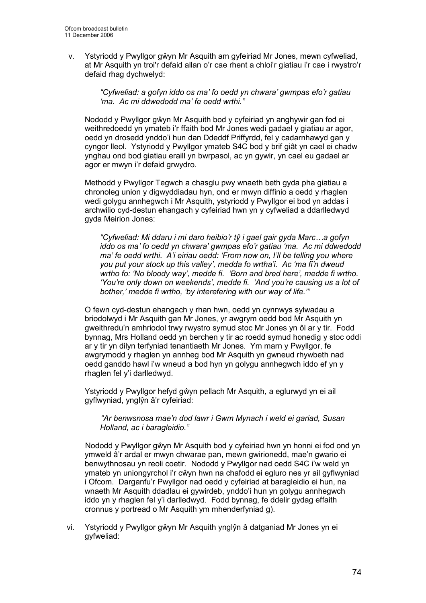v. Ystyriodd y Pwyllgor gŵyn Mr Asquith am gyfeiriad Mr Jones, mewn cyfweliad, at Mr Asquith yn troi'r defaid allan o'r cae rhent a chloi'r giatiau i'r cae i rwystro'r defaid rhag dychwelyd:

> "Cyfweliad: a gofyn iddo os ma' fo oedd yn chwara' gwmpas efo'r gatiau 'ma. Ac mi ddwedodd ma' fe oedd wrthi."

Nododd y Pwyllgor gŵyn Mr Asquith bod y cyfeiriad yn anghywir gan fod ei weithredoedd yn ymateb i'r ffaith bod Mr Jones wedi gadael y giatiau ar agor, oedd yn drosedd ynddo'i hun dan Ddeddf Priffyrdd, fel y cadarnhawyd gan y cyngor lleol. Ystyriodd y Pwyllgor ymateb S4C bod y brif giât yn cael ei chadw ynghau ond bod giatiau eraill yn bwrpasol, ac yn gywir, yn cael eu gadael ar agor er mwyn i'r defaid grwydro.

Methodd y Pwyllgor Tegwch a chasglu pwy wnaeth beth gyda pha giatiau a chronoleg union y digwyddiadau hyn, ond er mwyn diffinio a oedd y rhaglen wedi golygu annhegwch i Mr Asquith, ystyriodd y Pwyllgor ei bod yn addas i archwilio cyd-destun ehangach y cyfeiriad hwn yn y cyfweliad a ddarlledwyd gyda Meirion Jones:

"Cyfweliad: Mi ddaru i mi daro heibio'r tŷ i gael gair gyda Marc…a gofyn iddo os ma' fo oedd yn chwara' gwmpas efo'r gatiau 'ma. Ac mi ddwedodd ma' fe oedd wrthi. A'i eiriau oedd: 'From now on, I'll be telling you where you put your stock up this valley', medda fo wrtha'i. Ac 'ma fi'n dweud wrtho fo: 'No bloody way', medde fi. 'Born and bred here', medde fi wrtho. 'You're only down on weekends', medde fi. 'And you're causing us a lot of bother,' medde fi wrtho, 'by interefering with our way of life.'"

O fewn cyd-destun ehangach y rhan hwn, oedd yn cynnwys sylwadau a briodolwyd i Mr Asquith gan Mr Jones, yr awgrym oedd bod Mr Asquith yn gweithredu'n amhriodol trwy rwystro symud stoc Mr Jones yn ôl ar y tir. Fodd bynnag, Mrs Holland oedd yn berchen y tir ac roedd symud honedig y stoc oddi ar y tir yn dilyn terfyniad tenantiaeth Mr Jones. Ym marn y Pwyllgor, fe awgrymodd y rhaglen yn annheg bod Mr Asquith yn gwneud rhywbeth nad oedd ganddo hawl i'w wneud a bod hyn yn golygu annhegwch iddo ef yn y rhaglen fel y'i darlledwyd.

Ystyriodd y Pwyllgor hefyd gŵyn pellach Mr Asquith, a eglurwyd yn ei ail gyflwyniad, ynglŷn â'r cyfeiriad:

"Ar benwsnosa mae'n dod lawr i Gwm Mynach i weld ei gariad, Susan Holland, ac i baragleidio."

Nododd y Pwyllgor gŵyn Mr Asquith bod y cyfeiriad hwn yn honni ei fod ond yn ymweld â'r ardal er mwyn chwarae pan, mewn gwirionedd, mae'n gwario ei benwythnosau yn reoli coetir. Nododd y Pwyllgor nad oedd S4C i'w weld yn ymateb yn uniongyrchol i'r cŵyn hwn na chafodd ei egluro nes yr ail gyflwyniad i Ofcom. Darganfu'r Pwyllgor nad oedd y cyfeiriad at baragleidio ei hun, na wnaeth Mr Asquith ddadlau ei gywirdeb, ynddo'i hun yn golygu annhegwch iddo yn y rhaglen fel y'i darlledwyd. Fodd bynnag, fe ddelir gydag effaith cronnus y portread o Mr Asquith ym mhenderfyniad g).

vi. Ystyriodd y Pwyllgor gŵyn Mr Asquith ynglŷn â datganiad Mr Jones yn ei gyfweliad: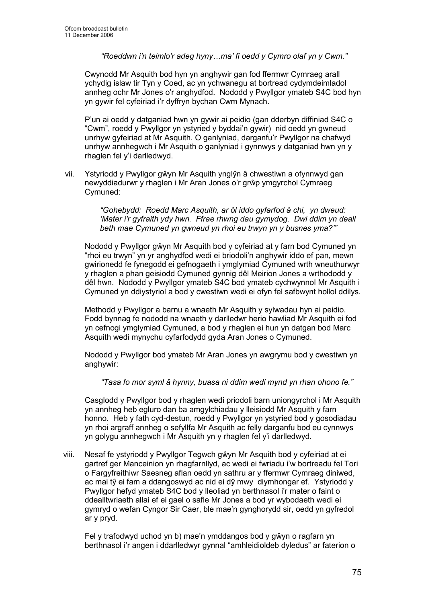"Roeddwn i'n teimlo'r adeg hyny…ma' fi oedd y Cymro olaf yn y Cwm."

Cwynodd Mr Asquith bod hyn yn anghywir gan fod ffermwr Cymraeg arall ychydig islaw tir Tyn y Coed, ac yn ychwanegu at bortread cydymdeimladol annheg ochr Mr Jones o'r anghydfod. Nododd y Pwyllgor ymateb S4C bod hyn yn gywir fel cyfeiriad i'r dyffryn bychan Cwm Mynach.

P'un ai oedd y datganiad hwn yn gywir ai peidio (gan dderbyn diffiniad S4C o "Cwm", roedd y Pwyllgor yn ystyried y byddai'n gywir) nid oedd yn gwneud unrhyw gyfeiriad at Mr Asquith. O ganlyniad, darganfu'r Pwyllgor na chafwyd unrhyw annhegwch i Mr Asquith o ganlyniad i gynnwys y datganiad hwn yn y rhaglen fel y'i darlledwyd.

vii. Ystyriodd y Pwyllgor gŵyn Mr Asquith ynglŷn â chwestiwn a ofynnwyd gan newyddiadurwr y rhaglen i Mr Aran Jones o'r grŵp ymgyrchol Cymraeg Cymuned:

> "Gohebydd: Roedd Marc Asquith, ar ôl iddo gyfarfod â chi, yn dweud: 'Mater i'r gyfraith ydy hwn. Ffrae rhwng dau gymydog. Dwi ddim yn deall beth mae Cymuned yn gwneud yn rhoi eu trwyn yn y busnes yma?'"

Nododd y Pwyllgor gŵyn Mr Asquith bod y cyfeiriad at y farn bod Cymuned yn "rhoi eu trwyn" yn yr anghydfod wedi ei briodoli'n anghywir iddo ef pan, mewn gwirionedd fe fynegodd ei gefnogaeth i ymglymiad Cymuned wrth wneuthurwyr y rhaglen a phan geisiodd Cymuned gynnig dêl Meirion Jones a wrthododd y dêl hwn. Nododd y Pwyllgor ymateb S4C bod ymateb cychwynnol Mr Asquith i Cymuned yn ddiystyriol a bod y cwestiwn wedi ei ofyn fel safbwynt hollol ddilys.

Methodd y Pwyllgor a barnu a wnaeth Mr Asquith y sylwadau hyn ai peidio. Fodd bynnag fe nododd na wnaeth y darlledwr herio hawliad Mr Asquith ei fod yn cefnogi ymglymiad Cymuned, a bod y rhaglen ei hun yn datgan bod Marc Asquith wedi mynychu cyfarfodydd gyda Aran Jones o Cymuned.

Nododd y Pwyllgor bod ymateb Mr Aran Jones yn awgrymu bod y cwestiwn yn anghywir:

"Tasa fo mor syml â hynny, buasa ni ddim wedi mynd yn rhan ohono fe."

Casglodd y Pwyllgor bod y rhaglen wedi priodoli barn uniongyrchol i Mr Asquith yn annheg heb egluro dan ba amgylchiadau y lleisiodd Mr Asquith y farn honno. Heb y fath cyd-destun, roedd y Pwyllgor yn ystyried bod y gosodiadau yn rhoi argraff annheg o sefyllfa Mr Asquith ac felly darganfu bod eu cynnwys yn golygu annhegwch i Mr Asquith yn y rhaglen fel y'i darlledwyd.

viii. Nesaf fe ystyriodd y Pwyllgor Tegwch gŵyn Mr Asquith bod y cyfeiriad at ei gartref ger Manceinion yn rhagfarnllyd, ac wedi ei fwriadu i'w bortreadu fel Tori o Fargyfreithiwr Saesneg aflan oedd yn sathru ar y ffermwr Cymraeg diniwed, ac mai tŷ ei fam a ddangoswyd ac nid ei dŷ mwy diymhongar ef. Ystyriodd y Pwyllgor hefyd ymateb S4C bod y lleoliad yn berthnasol i'r mater o faint o ddealltwriaeth allai ef ei gael o safle Mr Jones a bod yr wybodaeth wedi ei gymryd o wefan Cyngor Sir Caer, ble mae'n gynghorydd sir, oedd yn gyfredol ar y pryd.

Fel y trafodwyd uchod yn b) mae'n ymddangos bod y gŵyn o ragfarn yn berthnasol i'r angen i ddarlledwyr gynnal "amhleidioldeb dyledus" ar faterion o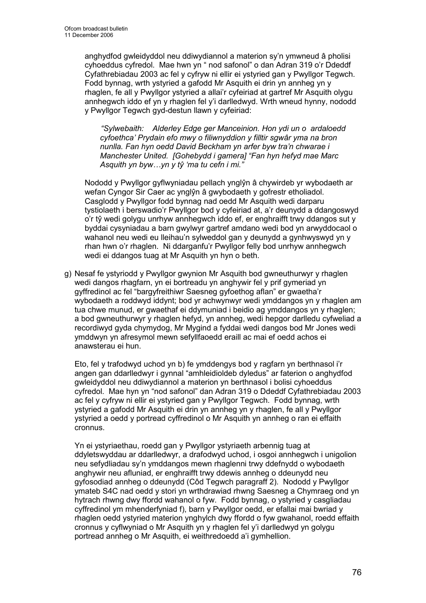anghydfod gwleidyddol neu ddiwydiannol a materion sy'n ymwneud â pholisi cyhoeddus cyfredol. Mae hwn yn " nod safonol" o dan Adran 319 o'r Ddeddf Cyfathrebiadau 2003 ac fel y cyfryw ni ellir ei ystyried gan y Pwyllgor Tegwch. Fodd bynnag, wrth ystyried a gafodd Mr Asquith ei drin yn annheg yn y rhaglen, fe all y Pwyllgor ystyried a allai'r cyfeiriad at gartref Mr Asquith olygu annhegwch iddo ef yn y rhaglen fel y'i darlledwyd. Wrth wneud hynny, nododd y Pwyllgor Tegwch gyd-destun llawn y cyfeiriad:

"Sylwebaith: Alderley Edge ger Manceinion. Hon ydi un o ardaloedd cyfoethca' Prydain efo mwy o filiwnyddion y filltir sgwâr yma na bron nunlla. Fan hyn oedd David Beckham yn arfer byw tra'n chwarae i Manchester United. [Gohebydd i gamera] "Fan hyn hefyd mae Marc Asquith yn byw…yn y tŷ 'ma tu cefn i mi."

Nododd y Pwyllgor gyflwyniadau pellach ynglŷn â chywirdeb yr wybodaeth ar wefan Cyngor Sir Caer ac ynglŷn â gwybodaeth y gofrestr etholiadol. Casglodd y Pwyllgor fodd bynnag nad oedd Mr Asquith wedi darparu tystiolaeth i berswadio'r Pwyllgor bod y cyfeiriad at, a'r deunydd a ddangoswyd o'r tŷ wedi golygu unrhyw annhegwch iddo ef, er enghraifft trwy ddangos sut y byddai cysyniadau a barn gwylwyr gartref amdano wedi bod yn arwyddocaol o wahanol neu wedi eu lleihau'n sylweddol gan y deunydd a gynhwyswyd yn y rhan hwn o'r rhaglen. Ni ddarganfu'r Pwyllgor felly bod unrhyw annhegwch wedi ei ddangos tuag at Mr Asquith yn hyn o beth.

g) Nesaf fe ystyriodd y Pwyllgor gwynion Mr Asquith bod gwneuthurwyr y rhaglen wedi dangos rhagfarn, yn ei bortreadu yn anghywir fel y prif gymeriad yn gyffredinol ac fel "bargyfreithiwr Saesneg gyfoethog aflan" er gwaetha'r wybodaeth a roddwyd iddynt; bod yr achwynwyr wedi ymddangos yn y rhaglen am tua chwe munud, er gwaethaf ei ddymuniad i beidio ag ymddangos yn y rhaglen; a bod gwneuthurwyr y rhaglen hefyd, yn annheg, wedi hepgor darlledu cyfweliad a recordiwyd gyda chymydog, Mr Mygind a fyddai wedi dangos bod Mr Jones wedi ymddwyn yn afresymol mewn sefyllfaoedd eraill ac mai ef oedd achos ei anawsterau ei hun.

Eto, fel y trafodwyd uchod yn b) fe ymddengys bod y ragfarn yn berthnasol i'r angen gan ddarlledwyr i gynnal "amhleidioldeb dyledus" ar faterion o anghydfod gwleidyddol neu ddiwydiannol a materion yn berthnasol i bolisi cyhoeddus cyfredol. Mae hyn yn "nod safonol" dan Adran 319 o Ddeddf Cyfathrebiadau 2003 ac fel y cyfryw ni ellir ei ystyried gan y Pwyllgor Tegwch. Fodd bynnag, wrth ystyried a gafodd Mr Asquith ei drin yn annheg yn y rhaglen, fe all y Pwyllgor ystyried a oedd y portread cyffredinol o Mr Asquith yn annheg o ran ei effaith cronnus.

Yn ei ystyriaethau, roedd gan y Pwyllgor ystyriaeth arbennig tuag at ddyletswyddau ar ddarlledwyr, a drafodwyd uchod, i osgoi annhegwch i unigolion neu sefydliadau sy'n ymddangos mewn rhaglenni trwy ddefnydd o wybodaeth anghywir neu afluniad, er enghraifft trwy ddewis annheg o ddeunydd neu gyfosodiad annheg o ddeunydd (Côd Tegwch paragraff 2). Nododd y Pwyllgor ymateb S4C nad oedd y stori yn wrthdrawiad rhwng Saesneg a Chymraeg ond yn hytrach rhwng dwy ffordd wahanol o fyw. Fodd bynnag, o ystyried y casgliadau cyffredinol ym mhenderfyniad f), barn y Pwyllgor oedd, er efallai mai bwriad y rhaglen oedd ystyried materion ynghylch dwy ffordd o fyw gwahanol, roedd effaith cronnus y cyflwyniad o Mr Asquith yn y rhaglen fel y'i darlledwyd yn golygu portread annheg o Mr Asquith, ei weithredoedd a'i gymhellion.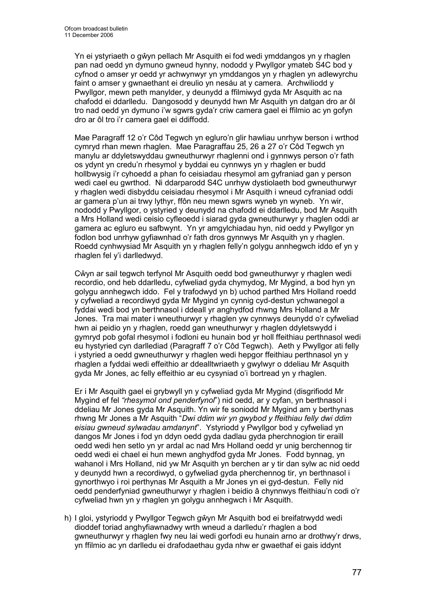Yn ei ystyriaeth o gŵyn pellach Mr Asquith ei fod wedi ymddangos yn y rhaglen pan nad oedd yn dymuno gwneud hynny, nododd y Pwyllgor ymateb S4C bod y cyfnod o amser yr oedd yr achwynwyr yn ymddangos yn y rhaglen yn adlewyrchu faint o amser y gwnaethant ei dreulio yn nesáu at y camera. Archwiliodd y Pwyllgor, mewn peth manylder, y deunydd a ffilmiwyd gyda Mr Asquith ac na chafodd ei ddarlledu. Dangosodd y deunydd hwn Mr Asquith yn datgan dro ar ôl tro nad oedd yn dymuno i'w sgwrs gyda'r criw camera gael ei ffilmio ac yn gofyn dro ar ôl tro i'r camera gael ei ddiffodd.

Mae Paragraff 12 o'r Côd Tegwch yn egluro'n glir hawliau unrhyw berson i wrthod cymryd rhan mewn rhaglen. Mae Paragraffau 25, 26 a 27 o'r Côd Tegwch yn manylu ar ddyletswyddau gwneuthurwyr rhaglenni ond i gynnwys person o'r fath os ydynt yn credu'n rhesymol y byddai eu cynnwys yn y rhaglen er budd hollbwysig i'r cyhoedd a phan fo ceisiadau rhesymol am gyfraniad gan y person wedi cael eu gwrthod. Ni ddarparodd S4C unrhyw dystiolaeth bod gwneuthurwyr y rhaglen wedi disbyddu ceisiadau rhesymol i Mr Asquith i wneud cyfraniad oddi ar gamera p'un ai trwy lythyr, ffôn neu mewn sgwrs wyneb yn wyneb. Yn wir, nododd y Pwyllgor, o ystyried y deunydd na chafodd ei ddarlledu, bod Mr Asquith a Mrs Holland wedi ceisio cyfleoedd i siarad gyda gwneuthurwyr y rhaglen oddi ar gamera ac egluro eu safbwynt. Yn yr amgylchiadau hyn, nid oedd y Pwyllgor yn fodlon bod unrhyw gyfiawnhad o'r fath dros gynnwys Mr Asquith yn y rhaglen. Roedd cynhwysiad Mr Asquith yn y rhaglen felly'n golygu annhegwch iddo ef yn y rhaglen fel y'i darlledwyd.

Cŵyn ar sail tegwch terfynol Mr Asquith oedd bod gwneuthurwyr y rhaglen wedi recordio, ond heb ddarlledu, cyfweliad gyda chymydog, Mr Mygind, a bod hyn yn golygu annhegwch iddo. Fel y trafodwyd yn b) uchod parthed Mrs Holland roedd y cyfweliad a recordiwyd gyda Mr Mygind yn cynnig cyd-destun ychwanegol a fyddai wedi bod yn berthnasol i ddeall yr anghydfod rhwng Mrs Holland a Mr Jones. Tra mai mater i wneuthurwyr y rhaglen yw cynnwys deunydd o'r cyfweliad hwn ai peidio yn y rhaglen, roedd gan wneuthurwyr y rhaglen ddyletswydd i gymryd pob gofal rhesymol i fodloni eu hunain bod yr holl ffeithiau perthnasol wedi eu hystyried cyn darllediad (Paragraff 7 o'r Côd Tegwch). Aeth y Pwyllgor ati felly i ystyried a oedd gwneuthurwyr y rhaglen wedi hepgor ffeithiau perthnasol yn y rhaglen a fyddai wedi effeithio ar ddealltwriaeth y gwylwyr o ddeliau Mr Asquith gyda Mr Jones, ac felly effeithio ar eu cysyniad o'i bortread yn y rhaglen.

Er i Mr Asquith gael ei grybwyll yn y cyfweliad gyda Mr Mygind (disgrifiodd Mr Mygind ef fel "rhesymol ond penderfynol") nid oedd, ar y cyfan, yn berthnasol i ddeliau Mr Jones gyda Mr Asquith. Yn wir fe soniodd Mr Mygind am y berthynas rhwng Mr Jones a Mr Asquith "Dwi ddim wir yn gwybod y ffeithiau felly dwi ddim eisiau gwneud sylwadau amdanynt". Ystyriodd y Pwyllgor bod y cyfweliad yn dangos Mr Jones i fod yn ddyn oedd gyda dadlau gyda pherchnogion tir eraill oedd wedi hen setlo yn yr ardal ac nad Mrs Holland oedd yr unig berchennog tir oedd wedi ei chael ei hun mewn anghydfod gyda Mr Jones. Fodd bynnag, yn wahanol i Mrs Holland, nid yw Mr Asquith yn berchen ar y tir dan sylw ac nid oedd y deunydd hwn a recordiwyd, o gyfweliad gyda pherchennog tir, yn berthnasol i gynorthwyo i roi perthynas Mr Asquith a Mr Jones yn ei gyd-destun. Felly nid oedd penderfyniad gwneuthurwyr y rhaglen i beidio â chynnwys ffeithiau'n codi o'r cyfweliad hwn yn y rhaglen yn golygu annhegwch i Mr Asquith.

h) I gloi, ystyriodd y Pwyllgor Tegwch gŵyn Mr Asquith bod ei breifatrwydd wedi dioddef toriad anghyfiawnadwy wrth wneud a darlledu'r rhaglen a bod gwneuthurwyr y rhaglen fwy neu lai wedi gorfodi eu hunain arno ar drothwy'r drws, yn ffilmio ac yn darlledu ei drafodaethau gyda nhw er gwaethaf ei gais iddynt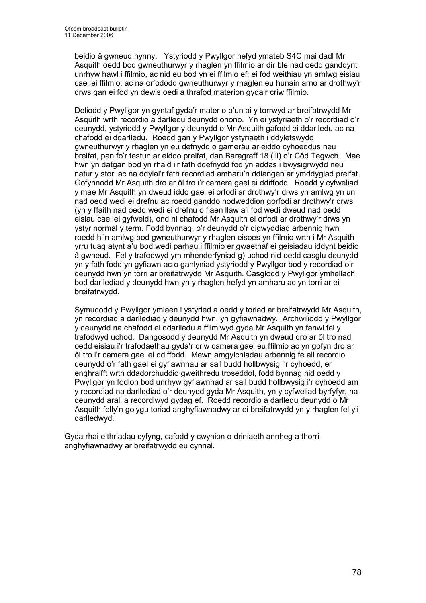beidio â gwneud hynny. Ystyriodd y Pwyllgor hefyd ymateb S4C mai dadl Mr Asquith oedd bod gwneuthurwyr y rhaglen yn ffilmio ar dir ble nad oedd ganddynt unrhyw hawl i ffilmio, ac nid eu bod yn ei ffilmio ef; ei fod weithiau yn amlwg eisiau cael ei ffilmio; ac na orfododd gwneuthurwyr y rhaglen eu hunain arno ar drothwy'r drws gan ei fod yn dewis oedi a thrafod materion gyda'r criw ffilmio.

Deliodd y Pwyllgor yn gyntaf gyda'r mater o p'un ai y torrwyd ar breifatrwydd Mr Asquith wrth recordio a darlledu deunydd ohono. Yn ei ystyriaeth o'r recordiad o'r deunydd, ystyriodd y Pwyllgor y deunydd o Mr Asquith gafodd ei ddarlledu ac na chafodd ei ddarlledu. Roedd gan y Pwyllgor ystyriaeth i ddyletswydd gwneuthurwyr y rhaglen yn eu defnydd o gamerâu ar eiddo cyhoeddus neu breifat, pan fo'r testun ar eiddo preifat, dan Baragraff 18 (iii) o'r Côd Tegwch. Mae hwn yn datgan bod yn rhaid i'r fath ddefnydd fod yn addas i bwysigrwydd neu natur y stori ac na ddylai'r fath recordiad amharu'n ddiangen ar ymddygiad preifat. Gofynnodd Mr Asquith dro ar ôl tro i'r camera gael ei ddiffodd. Roedd y cyfweliad y mae Mr Asquith yn dweud iddo gael ei orfodi ar drothwy'r drws yn amlwg yn un nad oedd wedi ei drefnu ac roedd ganddo nodweddion gorfodi ar drothwy'r drws (yn y ffaith nad oedd wedi ei drefnu o flaen llaw a'i fod wedi dweud nad oedd eisiau cael ei gyfweld), ond ni chafodd Mr Asquith ei orfodi ar drothwy'r drws yn ystyr normal y term. Fodd bynnag, o'r deunydd o'r digwyddiad arbennig hwn roedd hi'n amlwg bod gwneuthurwyr y rhaglen eisoes yn ffilmio wrth i Mr Asquith yrru tuag atynt a'u bod wedi parhau i ffilmio er gwaethaf ei geisiadau iddynt beidio â gwneud. Fel y trafodwyd ym mhenderfyniad g) uchod nid oedd casglu deunydd yn y fath fodd yn gyfiawn ac o ganlyniad ystyriodd y Pwyllgor bod y recordiad o'r deunydd hwn yn torri ar breifatrwydd Mr Asquith. Casglodd y Pwyllgor ymhellach bod darllediad y deunydd hwn yn y rhaglen hefyd yn amharu ac yn torri ar ei breifatrwydd.

Symudodd y Pwyllgor ymlaen i ystyried a oedd y toriad ar breifatrwydd Mr Asquith, yn recordiad a darllediad y deunydd hwn, yn gyfiawnadwy. Archwiliodd y Pwyllgor y deunydd na chafodd ei ddarlledu a ffilmiwyd gyda Mr Asquith yn fanwl fel y trafodwyd uchod. Dangosodd y deunydd Mr Asquith yn dweud dro ar ôl tro nad oedd eisiau i'r trafodaethau gyda'r criw camera gael eu ffilmio ac yn gofyn dro ar ôl tro i'r camera gael ei ddiffodd. Mewn amgylchiadau arbennig fe all recordio deunydd o'r fath gael ei gyfiawnhau ar sail budd hollbwysig i'r cyhoedd, er enghraifft wrth ddadorchuddio gweithredu troseddol, fodd bynnag nid oedd y Pwyllgor yn fodlon bod unrhyw gyfiawnhad ar sail budd hollbwysig i'r cyhoedd am y recordiad na darllediad o'r deunydd gyda Mr Asquith, yn y cyfweliad byrfyfyr, na deunydd arall a recordiwyd gydag ef. Roedd recordio a darlledu deunydd o Mr Asquith felly'n golygu toriad anghyfiawnadwy ar ei breifatrwydd yn y rhaglen fel y'i darlledwyd.

Gyda rhai eithriadau cyfyng, cafodd y cwynion o driniaeth annheg a thorri anghyfiawnadwy ar breifatrwydd eu cynnal.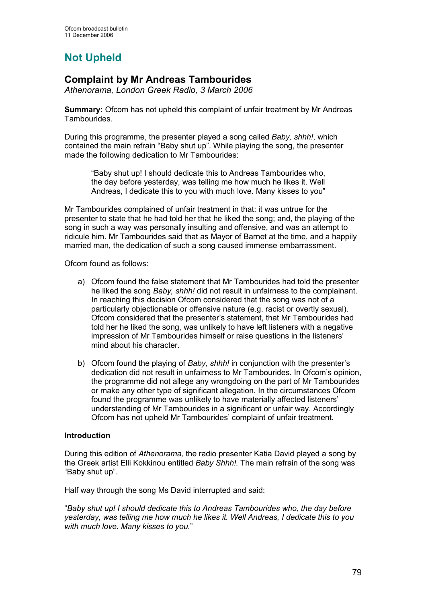# Not Upheld

# Complaint by Mr Andreas Tambourides

Athenorama, London Greek Radio, 3 March 2006

Summary: Ofcom has not upheld this complaint of unfair treatment by Mr Andreas Tambourides.

During this programme, the presenter played a song called Baby, shhh!, which contained the main refrain "Baby shut up". While playing the song, the presenter made the following dedication to Mr Tambourides:

"Baby shut up! I should dedicate this to Andreas Tambourides who, the day before yesterday, was telling me how much he likes it. Well Andreas, I dedicate this to you with much love. Many kisses to you"

Mr Tambourides complained of unfair treatment in that: it was untrue for the presenter to state that he had told her that he liked the song; and, the playing of the song in such a way was personally insulting and offensive, and was an attempt to ridicule him. Mr Tambourides said that as Mayor of Barnet at the time, and a happily married man, the dedication of such a song caused immense embarrassment.

Ofcom found as follows:

- a) Ofcom found the false statement that Mr Tambourides had told the presenter he liked the song Baby, shhh! did not result in unfairness to the complainant. In reaching this decision Ofcom considered that the song was not of a particularly objectionable or offensive nature (e.g. racist or overtly sexual). Ofcom considered that the presenter's statement, that Mr Tambourides had told her he liked the song, was unlikely to have left listeners with a negative impression of Mr Tambourides himself or raise questions in the listeners' mind about his character.
- b) Ofcom found the playing of Baby, shhh! in conjunction with the presenter's dedication did not result in unfairness to Mr Tambourides. In Ofcom's opinion, the programme did not allege any wrongdoing on the part of Mr Tambourides or make any other type of significant allegation. In the circumstances Ofcom found the programme was unlikely to have materially affected listeners' understanding of Mr Tambourides in a significant or unfair way. Accordingly Ofcom has not upheld Mr Tambourides' complaint of unfair treatment.

### Introduction

During this edition of Athenorama, the radio presenter Katia David played a song by the Greek artist Elli Kokkinou entitled Baby Shhh!. The main refrain of the song was "Baby shut up".

Half way through the song Ms David interrupted and said:

"Baby shut up! I should dedicate this to Andreas Tambourides who, the day before yesterday, was telling me how much he likes it. Well Andreas, I dedicate this to you with much love. Many kisses to you."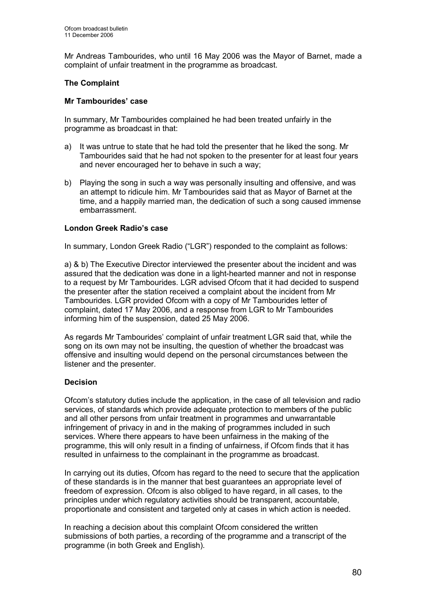Mr Andreas Tambourides, who until 16 May 2006 was the Mayor of Barnet, made a complaint of unfair treatment in the programme as broadcast.

## The Complaint

#### Mr Tambourides' case

In summary, Mr Tambourides complained he had been treated unfairly in the programme as broadcast in that:

- a) It was untrue to state that he had told the presenter that he liked the song. Mr Tambourides said that he had not spoken to the presenter for at least four years and never encouraged her to behave in such a way;
- b) Playing the song in such a way was personally insulting and offensive, and was an attempt to ridicule him. Mr Tambourides said that as Mayor of Barnet at the time, and a happily married man, the dedication of such a song caused immense embarrassment.

#### London Greek Radio's case

In summary, London Greek Radio ("LGR") responded to the complaint as follows:

a) & b) The Executive Director interviewed the presenter about the incident and was assured that the dedication was done in a light-hearted manner and not in response to a request by Mr Tambourides. LGR advised Ofcom that it had decided to suspend the presenter after the station received a complaint about the incident from Mr Tambourides. LGR provided Ofcom with a copy of Mr Tambourides letter of complaint, dated 17 May 2006, and a response from LGR to Mr Tambourides informing him of the suspension, dated 25 May 2006.

As regards Mr Tambourides' complaint of unfair treatment LGR said that, while the song on its own may not be insulting, the question of whether the broadcast was offensive and insulting would depend on the personal circumstances between the listener and the presenter.

### Decision

Ofcom's statutory duties include the application, in the case of all television and radio services, of standards which provide adequate protection to members of the public and all other persons from unfair treatment in programmes and unwarrantable infringement of privacy in and in the making of programmes included in such services. Where there appears to have been unfairness in the making of the programme, this will only result in a finding of unfairness, if Ofcom finds that it has resulted in unfairness to the complainant in the programme as broadcast.

In carrying out its duties, Ofcom has regard to the need to secure that the application of these standards is in the manner that best guarantees an appropriate level of freedom of expression. Ofcom is also obliged to have regard, in all cases, to the principles under which regulatory activities should be transparent, accountable, proportionate and consistent and targeted only at cases in which action is needed.

In reaching a decision about this complaint Ofcom considered the written submissions of both parties, a recording of the programme and a transcript of the programme (in both Greek and English).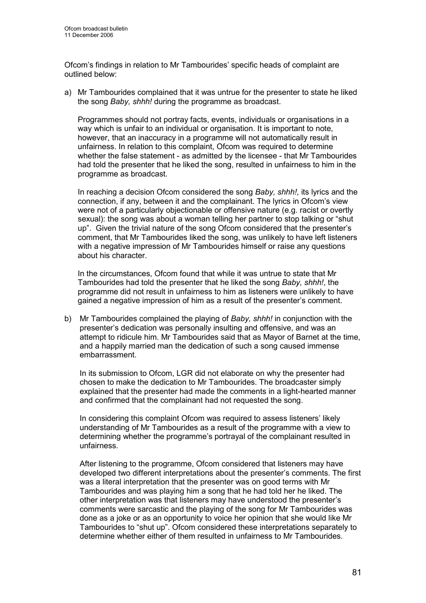Ofcom's findings in relation to Mr Tambourides' specific heads of complaint are outlined below:

a) Mr Tambourides complained that it was untrue for the presenter to state he liked the song Baby, shhh! during the programme as broadcast.

Programmes should not portray facts, events, individuals or organisations in a way which is unfair to an individual or organisation. It is important to note, however, that an inaccuracy in a programme will not automatically result in unfairness. In relation to this complaint, Ofcom was required to determine whether the false statement - as admitted by the licensee - that Mr Tambourides had told the presenter that he liked the song, resulted in unfairness to him in the programme as broadcast.

In reaching a decision Ofcom considered the song Baby, shhh!, its lyrics and the connection, if any, between it and the complainant. The lyrics in Ofcom's view were not of a particularly objectionable or offensive nature (e.g. racist or overtly sexual): the song was about a woman telling her partner to stop talking or "shut up". Given the trivial nature of the song Ofcom considered that the presenter's comment, that Mr Tambourides liked the song, was unlikely to have left listeners with a negative impression of Mr Tambourides himself or raise any questions about his character.

In the circumstances, Ofcom found that while it was untrue to state that Mr Tambourides had told the presenter that he liked the song Baby, shhh!, the programme did not result in unfairness to him as listeners were unlikely to have gained a negative impression of him as a result of the presenter's comment.

b) Mr Tambourides complained the playing of Baby, shhh! in conjunction with the presenter's dedication was personally insulting and offensive, and was an attempt to ridicule him. Mr Tambourides said that as Mayor of Barnet at the time, and a happily married man the dedication of such a song caused immense embarrassment.

In its submission to Ofcom, LGR did not elaborate on why the presenter had chosen to make the dedication to Mr Tambourides. The broadcaster simply explained that the presenter had made the comments in a light-hearted manner and confirmed that the complainant had not requested the song.

In considering this complaint Ofcom was required to assess listeners' likely understanding of Mr Tambourides as a result of the programme with a view to determining whether the programme's portrayal of the complainant resulted in unfairness.

After listening to the programme, Ofcom considered that listeners may have developed two different interpretations about the presenter's comments. The first was a literal interpretation that the presenter was on good terms with Mr Tambourides and was playing him a song that he had told her he liked. The other interpretation was that listeners may have understood the presenter's comments were sarcastic and the playing of the song for Mr Tambourides was done as a joke or as an opportunity to voice her opinion that she would like Mr Tambourides to "shut up". Ofcom considered these interpretations separately to determine whether either of them resulted in unfairness to Mr Tambourides.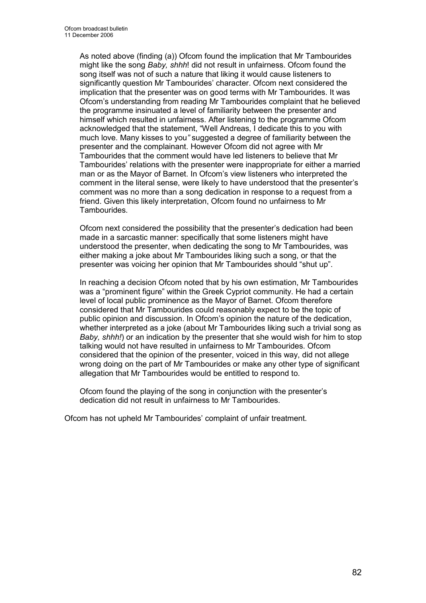As noted above (finding (a)) Ofcom found the implication that Mr Tambourides might like the song Baby, shhh! did not result in unfairness. Ofcom found the song itself was not of such a nature that liking it would cause listeners to significantly question Mr Tambourides' character. Ofcom next considered the implication that the presenter was on good terms with Mr Tambourides. It was Ofcom's understanding from reading Mr Tambourides complaint that he believed the programme insinuated a level of familiarity between the presenter and himself which resulted in unfairness. After listening to the programme Ofcom acknowledged that the statement, "Well Andreas, I dedicate this to you with much love. Many kisses to you" suggested a degree of familiarity between the presenter and the complainant. However Ofcom did not agree with Mr Tambourides that the comment would have led listeners to believe that Mr Tambourides' relations with the presenter were inappropriate for either a married man or as the Mayor of Barnet. In Ofcom's view listeners who interpreted the comment in the literal sense, were likely to have understood that the presenter's comment was no more than a song dedication in response to a request from a friend. Given this likely interpretation, Ofcom found no unfairness to Mr **Tambourides** 

 Ofcom next considered the possibility that the presenter's dedication had been made in a sarcastic manner: specifically that some listeners might have understood the presenter, when dedicating the song to Mr Tambourides, was either making a joke about Mr Tambourides liking such a song, or that the presenter was voicing her opinion that Mr Tambourides should "shut up".

In reaching a decision Ofcom noted that by his own estimation, Mr Tambourides was a "prominent figure" within the Greek Cypriot community. He had a certain level of local public prominence as the Mayor of Barnet. Ofcom therefore considered that Mr Tambourides could reasonably expect to be the topic of public opinion and discussion. In Ofcom's opinion the nature of the dedication, whether interpreted as a joke (about Mr Tambourides liking such a trivial song as Baby, shhh!) or an indication by the presenter that she would wish for him to stop talking would not have resulted in unfairness to Mr Tambourides. Ofcom considered that the opinion of the presenter, voiced in this way, did not allege wrong doing on the part of Mr Tambourides or make any other type of significant allegation that Mr Tambourides would be entitled to respond to.

Ofcom found the playing of the song in conjunction with the presenter's dedication did not result in unfairness to Mr Tambourides.

Ofcom has not upheld Mr Tambourides' complaint of unfair treatment.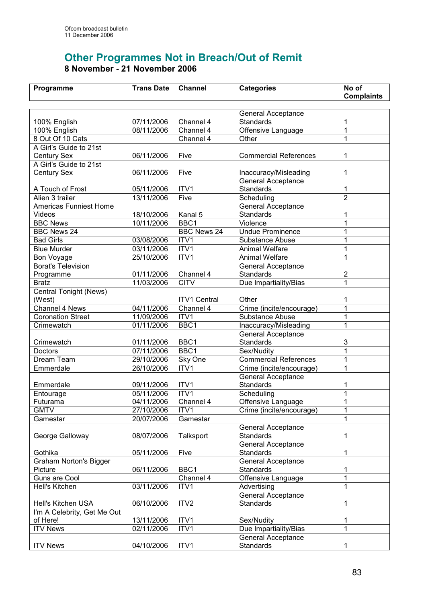# Other Programmes Not in Breach/Out of Remit 8 November - 21 November 2006

| Programme                   | <b>Trans Date</b> | <b>Channel</b>      | <b>Categories</b>            | No of             |
|-----------------------------|-------------------|---------------------|------------------------------|-------------------|
|                             |                   |                     |                              | <b>Complaints</b> |
|                             |                   |                     |                              |                   |
|                             |                   |                     | <b>General Acceptance</b>    |                   |
| 100% English                | 07/11/2006        | Channel 4           | Standards                    | 1                 |
| 100% English                | 08/11/2006        | Channel 4           | Offensive Language           | 1                 |
| 8 Out Of 10 Cats            |                   | Channel 4           | Other                        | 1                 |
| A Girl's Guide to 21st      |                   |                     |                              |                   |
| <b>Century Sex</b>          | 06/11/2006        | Five                | <b>Commercial References</b> | 1                 |
| A Girl's Guide to 21st      |                   |                     |                              |                   |
| <b>Century Sex</b>          | 06/11/2006        | Five                | Inaccuracy/Misleading        | 1                 |
|                             |                   |                     | General Acceptance           |                   |
| A Touch of Frost            | 05/11/2006        | ITV <sub>1</sub>    | Standards                    | 1                 |
| Alien 3 trailer             | 13/11/2006        | Five                | Scheduling                   | $\overline{2}$    |
| Americas Funniest Home      |                   |                     | <b>General Acceptance</b>    |                   |
| Videos                      | 18/10/2006        | Kanal 5             | <b>Standards</b>             | 1                 |
| <b>BBC News</b>             | 10/11/2006        | BBC1                | Violence                     | 1                 |
| <b>BBC News 24</b>          |                   | <b>BBC News 24</b>  | <b>Undue Prominence</b>      | 1                 |
| <b>Bad Girls</b>            | 03/08/2006        | ITV1                | Substance Abuse              | 1                 |
| <b>Blue Murder</b>          | 03/11/2006        | ITV1                | <b>Animal Welfare</b>        | 1                 |
| Bon Voyage                  | 25/10/2006        | ITV1                | <b>Animal Welfare</b>        | 1                 |
| <b>Borat's Television</b>   |                   |                     | General Acceptance           |                   |
| Programme                   | 01/11/2006        | Channel 4           | Standards                    | 2                 |
| <b>Bratz</b>                | 11/03/2006        | <b>CITV</b>         | Due Impartiality/Bias        | 1                 |
| Central Tonight (News)      |                   |                     |                              |                   |
| (West)                      |                   | <b>ITV1 Central</b> | Other                        | 1                 |
| Channel 4 News              | 04/11/2006        | Channel 4           | Crime (incite/encourage)     | 1                 |
| <b>Coronation Street</b>    | 11/09/2006        | ITV1                | Substance Abuse              | 1                 |
| Crimewatch                  | 01/11/2006        | BBC1                | Inaccuracy/Misleading        | 1                 |
|                             |                   |                     | <b>General Acceptance</b>    |                   |
| Crimewatch                  | 01/11/2006        | BBC1                | <b>Standards</b>             | 3                 |
| Doctors                     | 07/11/2006        | BBC1                | Sex/Nudity                   | $\overline{1}$    |
| Dream Team                  | 29/10/2006        | Sky One             | <b>Commercial References</b> | 1                 |
| Emmerdale                   | 26/10/2006        | ITV1                | Crime (incite/encourage)     | 1                 |
|                             |                   |                     | <b>General Acceptance</b>    |                   |
| Emmerdale                   | 09/11/2006        | ITV <sub>1</sub>    | Standards                    | 1                 |
| Entourage                   | 05/11/2006        | ITV1                | Scheduling                   | 1                 |
| Futurama                    | 04/11/2006        | Channel 4           | Offensive Language           | 1                 |
| <b>GMTV</b>                 | 27/10/2006        | ITV1                | Crime (incite/encourage)     | 1                 |
| Gamestar                    | 20/07/2006        | Gamestar            |                              | 1                 |
|                             |                   |                     | <b>General Acceptance</b>    |                   |
| George Galloway             | 08/07/2006        | <b>Talksport</b>    | <b>Standards</b>             | 1                 |
|                             |                   |                     | <b>General Acceptance</b>    |                   |
| Gothika                     | 05/11/2006        | Five                | <b>Standards</b>             | 1                 |
| Graham Norton's Bigger      |                   |                     | <b>General Acceptance</b>    |                   |
| Picture                     | 06/11/2006        | BBC1                | Standards                    | 1                 |
| Guns are Cool               |                   | Channel 4           | Offensive Language           | 1                 |
| Hell's Kitchen              | 03/11/2006        | ITV1                | Advertising                  | 1                 |
|                             |                   |                     | <b>General Acceptance</b>    |                   |
| Hell's Kitchen USA          | 06/10/2006        | ITV <sub>2</sub>    | Standards                    | 1                 |
| I'm A Celebrity, Get Me Out |                   |                     |                              |                   |
| of Here!                    | 13/11/2006        | ITV1                | Sex/Nudity                   | 1                 |
| <b>ITV News</b>             | 02/11/2006        | ITV1                | Due Impartiality/Bias        | 1                 |
|                             |                   |                     | <b>General Acceptance</b>    |                   |
| <b>ITV News</b>             | 04/10/2006        | ITV1                | Standards                    | 1                 |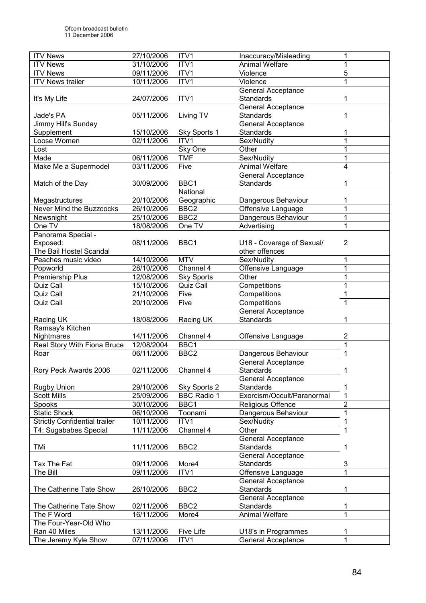| <b>ITV News</b>                      | 27/10/2006 | ITV1               | Inaccuracy/Misleading      | 1              |
|--------------------------------------|------------|--------------------|----------------------------|----------------|
| <b>ITV News</b>                      | 31/10/2006 | ITV1               | <b>Animal Welfare</b>      |                |
| <b>ITV News</b>                      | 09/11/2006 | ITV1               | Violence                   | 5              |
| <b>ITV News trailer</b>              | 10/11/2006 | ITV1               | Violence                   |                |
|                                      |            |                    | <b>General Acceptance</b>  |                |
| It's My Life                         | 24/07/2006 | ITV1               | <b>Standards</b>           |                |
|                                      |            |                    | General Acceptance         |                |
| Jade's PA                            | 05/11/2006 | Living TV          | <b>Standards</b>           | 1              |
| Jimmy Hill's Sunday                  |            |                    | <b>General Acceptance</b>  |                |
| Supplement                           | 15/10/2006 | Sky Sports 1       | <b>Standards</b>           | 1              |
| Loose Women                          | 02/11/2006 | ITV1               | Sex/Nudity                 | 1              |
| Lost                                 |            | Sky One            | Other                      | 1              |
| Made                                 | 06/11/2006 | <b>TMF</b>         | Sex/Nudity                 | 1              |
| Make Me a Supermodel                 | 03/11/2006 | Five               | <b>Animal Welfare</b>      | 4              |
|                                      |            |                    | General Acceptance         |                |
| Match of the Day                     | 30/09/2006 | BBC1               | <b>Standards</b>           | 1              |
|                                      |            | National           |                            |                |
| Megastructures                       | 20/10/2006 | Geographic         | Dangerous Behaviour        | 1              |
| Never Mind the Buzzcocks             | 26/10/2006 | BBC <sub>2</sub>   | Offensive Language         | 1              |
| Newsnight                            | 25/10/2006 | BBC <sub>2</sub>   | Dangerous Behaviour        | 1              |
| One TV                               | 18/08/2006 | One TV             | Advertising                | 1              |
| Panorama Special -                   |            |                    |                            |                |
| Exposed:                             | 08/11/2006 | BBC1               | U18 - Coverage of Sexual/  | 2              |
| The Bail Hostel Scandal              |            |                    | other offences             |                |
| Peaches music video                  | 14/10/2006 | <b>MTV</b>         | Sex/Nudity                 | 1              |
| Popworld                             | 28/10/2006 | Channel 4          | Offensive Language         | $\mathbf{1}$   |
| Premiership Plus                     | 12/08/2006 | <b>Sky Sports</b>  | Other                      | 1              |
| Quiz Call                            | 15/10/2006 | Quiz Call          | Competitions               | $\mathbf{1}$   |
| Quiz Call                            | 21/10/2006 | Five               | Competitions               | 1              |
| Quiz Call                            | 20/10/2006 | Five               | Competitions               | 1              |
|                                      |            |                    | General Acceptance         |                |
| Racing UK                            | 18/08/2006 | Racing UK          | <b>Standards</b>           | 1              |
| Ramsay's Kitchen                     |            |                    |                            |                |
| <b>Nightmares</b>                    | 14/11/2006 | Channel 4          | Offensive Language         | 2              |
| Real Story With Fiona Bruce          | 12/08/2004 | BBC1               |                            | 1              |
| Roar                                 | 06/11/2006 | BBC <sub>2</sub>   | Dangerous Behaviour        |                |
|                                      |            |                    | General Acceptance         |                |
| Rory Peck Awards 2006                | 02/11/2006 | Channel 4          | Standards                  |                |
|                                      |            |                    | <b>General Acceptance</b>  |                |
| <b>Rugby Union</b>                   | 29/10/2006 | Sky Sports 2       | <b>Standards</b>           | 1              |
| <b>Scott Mills</b>                   | 25/09/2006 | <b>BBC Radio 1</b> | Exorcism/Occult/Paranormal | 1              |
| Spooks                               | 30/10/2006 | BBC1               | Religious Offence          | $\overline{2}$ |
| <b>Static Shock</b>                  | 06/10/2006 | Toonami            | Dangerous Behaviour        | 1              |
| <b>Strictly Confidential trailer</b> | 10/11/2006 | ITV1               | Sex/Nudity                 |                |
| T4: Sugababes Special                | 11/11/2006 | Channel 4          | Other                      | 1              |
|                                      |            |                    | General Acceptance         |                |
| TMi                                  | 11/11/2006 | BBC <sub>2</sub>   | <b>Standards</b>           |                |
|                                      |            |                    | <b>General Acceptance</b>  |                |
| Tax The Fat                          | 09/11/2006 | More4              | <b>Standards</b>           | 3              |
| The Bill                             | 09/11/2006 | ITV1               | Offensive Language         | $\overline{1}$ |
|                                      |            |                    | <b>General Acceptance</b>  |                |
| The Catherine Tate Show              | 26/10/2006 | BBC <sub>2</sub>   | Standards                  | 1              |
|                                      |            |                    | General Acceptance         |                |
| The Catherine Tate Show              | 02/11/2006 | BBC <sub>2</sub>   | Standards                  | 1              |
| The F Word                           | 16/11/2006 | More4              | <b>Animal Welfare</b>      | 1              |
| The Four-Year-Old Who                |            |                    |                            |                |
| Ran 40 Miles                         | 13/11/2006 | <b>Five Life</b>   | U18's in Programmes        | 1              |
| The Jeremy Kyle Show                 | 07/11/2006 | ITVI               | <b>General Acceptance</b>  | 1              |
|                                      |            |                    |                            |                |